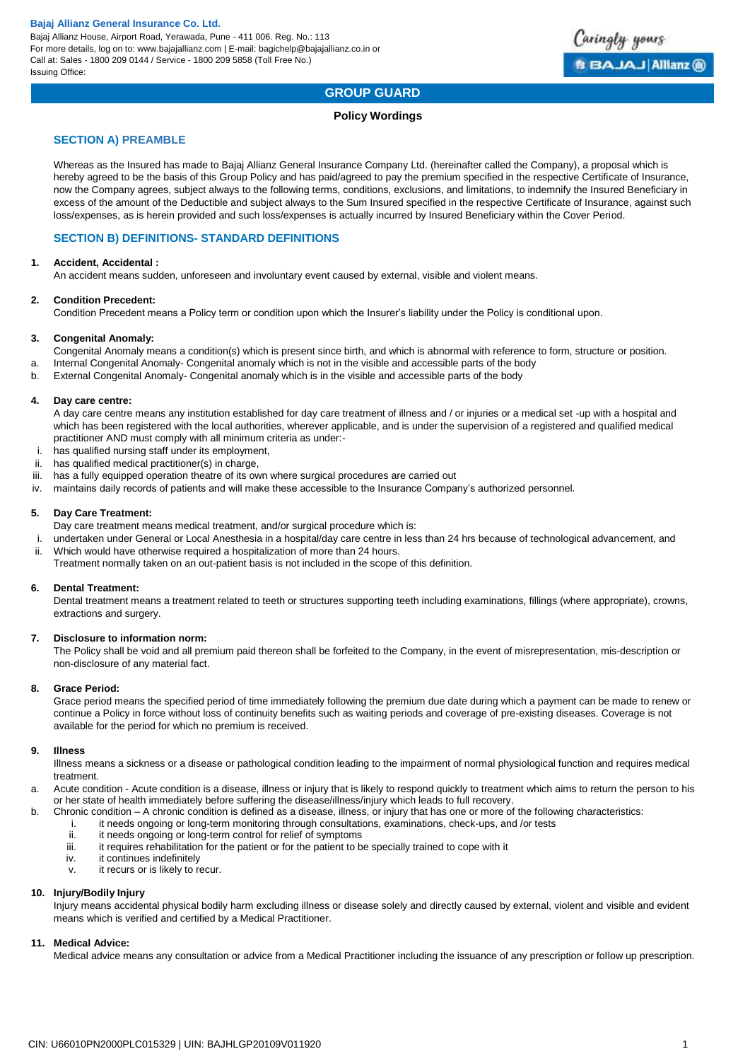

# **GROUP GUARD**

# **Policy Wordings**

# **SECTION A) PREAMBLE**

Whereas as the Insured has made to Bajaj Allianz General Insurance Company Ltd. (hereinafter called the Company), a proposal which is hereby agreed to be the basis of this Group Policy and has paid/agreed to pay the premium specified in the respective Certificate of Insurance, now the Company agrees, subject always to the following terms, conditions, exclusions, and limitations, to indemnify the Insured Beneficiary in excess of the amount of the Deductible and subject always to the Sum Insured specified in the respective Certificate of Insurance, against such loss/expenses, as is herein provided and such loss/expenses is actually incurred by Insured Beneficiary within the Cover Period.

# **SECTION B) DEFINITIONS- STANDARD DEFINITIONS**

### **1. Accident, Accidental :**

An accident means sudden, unforeseen and involuntary event caused by external, visible and violent means.

#### **2. Condition Precedent:**

Condition Precedent means a Policy term or condition upon which the Insurer's liability under the Policy is conditional upon.

### **3. Congenital Anomaly:**

- Congenital Anomaly means a condition(s) which is present since birth, and which is abnormal with reference to form, structure or position.
- a. Internal Congenital Anomaly- Congenital anomaly which is not in the visible and accessible parts of the body
- b. External Congenital Anomaly- Congenital anomaly which is in the visible and accessible parts of the body

#### **4. Day care centre:**

A day care centre means any institution established for day care treatment of illness and / or injuries or a medical set -up with a hospital and which has been registered with the local authorities, wherever applicable, and is under the supervision of a registered and qualified medical practitioner AND must comply with all minimum criteria as under:-

- i. has qualified nursing staff under its employment,
- ii. has qualified medical practitioner(s) in charge,
- iii. has a fully equipped operation theatre of its own where surgical procedures are carried out
- iv. maintains daily records of patients and will make these accessible to the Insurance Company's authorized personnel.

### **5. Day Care Treatment:**

Day care treatment means medical treatment, and/or surgical procedure which is:

- i. undertaken under General or Local Anesthesia in a hospital/day care centre in less than 24 hrs because of technological advancement, and
- ii. Which would have otherwise required a hospitalization of more than 24 hours.
- Treatment normally taken on an out-patient basis is not included in the scope of this definition.

#### **6. Dental Treatment:**

Dental treatment means a treatment related to teeth or structures supporting teeth including examinations, fillings (where appropriate), crowns, extractions and surgery.

# **7. Disclosure to information norm:**

The Policy shall be void and all premium paid thereon shall be forfeited to the Company, in the event of misrepresentation, mis-description or non-disclosure of any material fact.

#### **8. Grace Period:**

Grace period means the specified period of time immediately following the premium due date during which a payment can be made to renew or continue a Policy in force without loss of continuity benefits such as waiting periods and coverage of pre-existing diseases. Coverage is not available for the period for which no premium is received.

#### **9. Illness**

Illness means a sickness or a disease or pathological condition leading to the impairment of normal physiological function and requires medical treatment.

- a. Acute condition Acute condition is a disease, illness or injury that is likely to respond quickly to treatment which aims to return the person to his or her state of health immediately before suffering the disease/illness/injury which leads to full recovery.
- b. Chronic condition A chronic condition is defined as a disease, illness, or injury that has one or more of the following characteristics:
	- i. it needs ongoing or long-term monitoring through consultations, examinations, check-ups, and /or tests<br>ii. it needs ongoing or long-term control for relief of symptoms
	- ii. it needs ongoing or long-term control for relief of symptoms<br>iii it requires rehabilitation for the patient or for the patient to b
	- it requires rehabilitation for the patient or for the patient to be specially trained to cope with it
	- iv. it continues indefinitely
	- v. it recurs or is likely to recur.

# **10. Injury/Bodily Injury**

Injury means accidental physical bodily harm excluding illness or disease solely and directly caused by external, violent and visible and evident means which is verified and certified by a Medical Practitioner.

#### **11. Medical Advice:**

Medical advice means any consultation or advice from a Medical Practitioner including the issuance of any prescription or follow up prescription.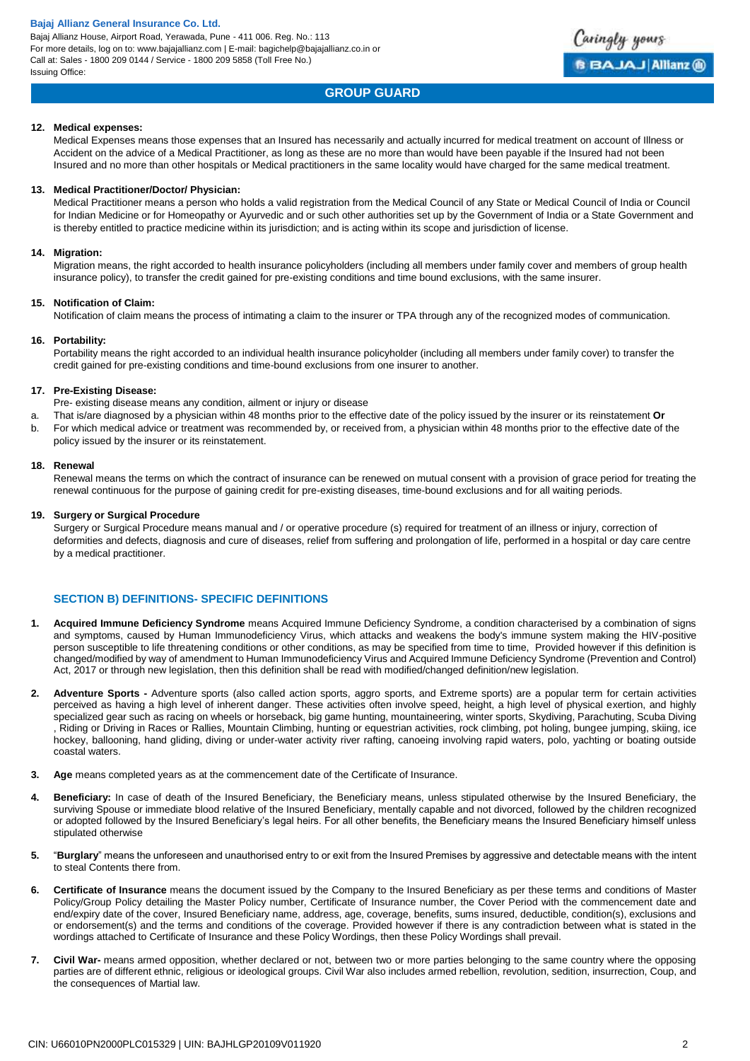Bajaj Allianz House, Airport Road, Yerawada, Pune - 411 006. Reg. No.: 113 For more details, log on to: www.bajajallianz.com | E-mail: bagichelp@bajajallianz.co.in or Call at: Sales - 1800 209 0144 / Service - 1800 209 5858 (Toll Free No.) Issuing Office:

# **GROUP GUARD**

#### **12. Medical expenses:**

Medical Expenses means those expenses that an Insured has necessarily and actually incurred for medical treatment on account of Illness or Accident on the advice of a Medical Practitioner, as long as these are no more than would have been payable if the Insured had not been Insured and no more than other hospitals or Medical practitioners in the same locality would have charged for the same medical treatment.

#### **13. Medical Practitioner/Doctor/ Physician:**

Medical Practitioner means a person who holds a valid registration from the Medical Council of any State or Medical Council of India or Council for Indian Medicine or for Homeopathy or Ayurvedic and or such other authorities set up by the Government of India or a State Government and is thereby entitled to practice medicine within its jurisdiction; and is acting within its scope and jurisdiction of license.

#### **14. Migration:**

Migration means, the right accorded to health insurance policyholders (including all members under family cover and members of group health insurance policy), to transfer the credit gained for pre-existing conditions and time bound exclusions, with the same insurer.

#### **15. Notification of Claim:**

Notification of claim means the process of intimating a claim to the insurer or TPA through any of the recognized modes of communication.

#### **16. Portability:**

Portability means the right accorded to an individual health insurance policyholder (including all members under family cover) to transfer the credit gained for pre-existing conditions and time-bound exclusions from one insurer to another.

#### **17. Pre-Existing Disease:**

Pre- existing disease means any condition, ailment or injury or disease

- a. That is/are diagnosed by a physician within 48 months prior to the effective date of the policy issued by the insurer or its reinstatement **Or**
- b. For which medical advice or treatment was recommended by, or received from, a physician within 48 months prior to the effective date of the policy issued by the insurer or its reinstatement.

#### **18. Renewal**

Renewal means the terms on which the contract of insurance can be renewed on mutual consent with a provision of grace period for treating the renewal continuous for the purpose of gaining credit for pre-existing diseases, time-bound exclusions and for all waiting periods.

#### **19. Surgery or Surgical Procedure**

Surgery or Surgical Procedure means manual and / or operative procedure (s) required for treatment of an illness or injury, correction of deformities and defects, diagnosis and cure of diseases, relief from suffering and prolongation of life, performed in a hospital or day care centre by a medical practitioner.

# **SECTION B) DEFINITIONS- SPECIFIC DEFINITIONS**

- **1. Acquired Immune Deficiency Syndrome** means Acquired Immune Deficiency Syndrome, a condition characterised by a combination of signs and symptoms, caused by Human Immunodeficiency Virus, which attacks and weakens the body's immune system making the HIV-positive person susceptible to life threatening conditions or other conditions, as may be specified from time to time, Provided however if this definition is changed/modified by way of amendment to Human Immunodeficiency Virus and Acquired Immune Deficiency Syndrome (Prevention and Control) Act, 2017 or through new legislation, then this definition shall be read with modified/changed definition/new legislation.
- **2. Adventure Sports -** Adventure sports (also called action sports, aggro sports, and Extreme sports) are a popular term for certain activities perceived as having a high level of inherent danger. These activities often involve speed, height, a high level of physical exertion, and highly specialized gear such as racing on wheels or horseback, big game hunting, mountaineering, winter sports, Skydiving, Parachuting, Scuba Diving , Riding or Driving in Races or Rallies, Mountain Climbing, hunting or equestrian activities, rock climbing, pot holing, bungee jumping, skiing, ice hockey, ballooning, hand gliding, diving or under-water activity river rafting, canoeing involving rapid waters, polo, yachting or boating outside coastal waters.
- **3. Age** means completed years as at the commencement date of the Certificate of Insurance.
- **4. Beneficiary:** In case of death of the Insured Beneficiary, the Beneficiary means, unless stipulated otherwise by the Insured Beneficiary, the surviving Spouse or immediate blood relative of the Insured Beneficiary, mentally capable and not divorced, followed by the children recognized or adopted followed by the Insured Beneficiary's legal heirs. For all other benefits, the Beneficiary means the Insured Beneficiary himself unless stipulated otherwise
- **5.** "**Burglary**" means the unforeseen and unauthorised entry to or exit from the Insured Premises by aggressive and detectable means with the intent to steal Contents there from.
- **6. Certificate of Insurance** means the document issued by the Company to the Insured Beneficiary as per these terms and conditions of Master Policy/Group Policy detailing the Master Policy number, Certificate of Insurance number, the Cover Period with the commencement date and end/expiry date of the cover, Insured Beneficiary name, address, age, coverage, benefits, sums insured, deductible, condition(s), exclusions and or endorsement(s) and the terms and conditions of the coverage. Provided however if there is any contradiction between what is stated in the wordings attached to Certificate of Insurance and these Policy Wordings, then these Policy Wordings shall prevail.
- **7. Civil War-** means armed opposition, whether declared or not, between two or more parties belonging to the same country where the opposing parties are of different ethnic, religious or ideological groups. Civil War also includes armed rebellion, revolution, sedition, insurrection, Coup, and the consequences of Martial law.

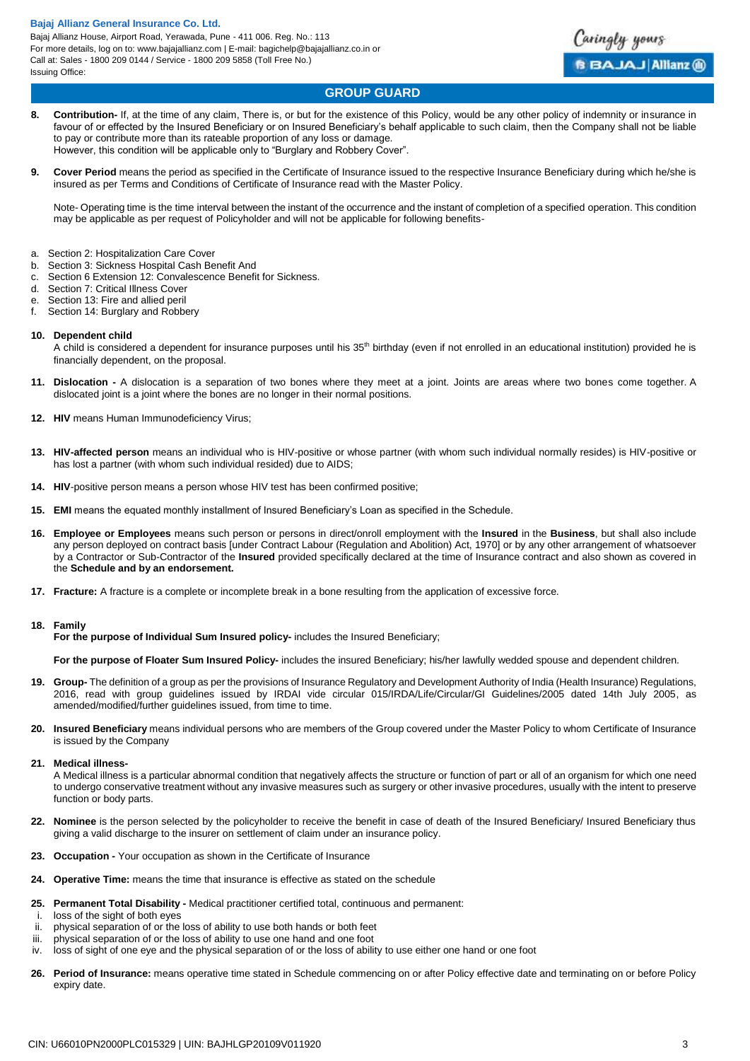

# **GROUP GUARD**

- **8. Contribution-** If, at the time of any claim, There is, or but for the existence of this Policy, would be any other policy of indemnity or insurance in favour of or effected by the Insured Beneficiary or on Insured Beneficiary's behalf applicable to such claim, then the Company shall not be liable to pay or contribute more than its rateable proportion of any loss or damage. However, this condition will be applicable only to "Burglary and Robbery Cover".
- **9. Cover Period** means the period as specified in the Certificate of Insurance issued to the respective Insurance Beneficiary during which he/she is insured as per Terms and Conditions of Certificate of Insurance read with the Master Policy.

Note- Operating time is the time interval between the instant of the occurrence and the instant of completion of a specified operation. This condition may be applicable as per request of Policyholder and will not be applicable for following benefits-

- a. Section 2: Hospitalization Care Cover
- b. Section 3: Sickness Hospital Cash Benefit And
- c. Section 6 Extension 12: Convalescence Benefit for Sickness.
- d. Section 7: Critical Illness Cover
- e. Section 13: Fire and allied peril
- f. Section 14: Burglary and Robbery

#### **10. Dependent child**

A child is considered a dependent for insurance purposes until his 35<sup>th</sup> birthday (even if not enrolled in an educational institution) provided he is financially dependent, on the proposal.

- **11. Dislocation -** A dislocation is a separation of two bones where they meet at a joint. Joints are areas where two bones come together. A dislocated joint is a joint where the bones are no longer in their normal positions.
- **12. HIV** means Human Immunodeficiency Virus;
- **13. HIV-affected person** means an individual who is HIV-positive or whose partner (with whom such individual normally resides) is HIV-positive or has lost a partner (with whom such individual resided) due to AIDS;
- **14. HIV**-positive person means a person whose HIV test has been confirmed positive;
- **15. EMI** means the equated monthly installment of Insured Beneficiary's Loan as specified in the Schedule.
- **16. Employee or Employees** means such person or persons in direct/onroll employment with the **Insured** in the **Business**, but shall also include any person deployed on contract basis [under Contract Labour (Regulation and Abolition) Act, 1970] or by any other arrangement of whatsoever by a Contractor or Sub-Contractor of the **Insured** provided specifically declared at the time of Insurance contract and also shown as covered in the **Schedule and by an endorsement.**
- **17. Fracture:** A fracture is a complete or incomplete break in a bone resulting from the application of excessive force.

#### **18. Family**

**For the purpose of Individual Sum Insured policy-** includes the Insured Beneficiary;

**For the purpose of Floater Sum Insured Policy-** includes the insured Beneficiary; his/her lawfully wedded spouse and dependent children.

- **19. Group-** The definition of a group as per the provisions of Insurance Regulatory and Development Authority of India (Health Insurance) Regulations, 2016, read with group guidelines issued by IRDAI vide circular 015/IRDA/Life/Circular/GI Guidelines/2005 dated 14th July 2005, as amended/modified/further guidelines issued, from time to time.
- **20. Insured Beneficiary** means individual persons who are members of the Group covered under the Master Policy to whom Certificate of Insurance is issued by the Company

#### **21. Medical illness-**

A Medical illness is a particular abnormal condition that negatively affects the structure or function of part or all of an organism for which one need to undergo conservative treatment without any invasive measures such as surgery or other invasive procedures, usually with the intent to preserve function or body parts.

- **22. Nominee** is the person selected by the policyholder to receive the benefit in case of death of the Insured Beneficiary/ Insured Beneficiary thus giving a valid discharge to the insurer on settlement of claim under an insurance policy.
- **23. Occupation -** Your occupation as shown in the Certificate of Insurance
- **24. Operative Time:** means the time that insurance is effective as stated on the schedule
- **25. Permanent Total Disability -** Medical practitioner certified total, continuous and permanent:
- i. loss of the sight of both eyes
- ii. physical separation of or the loss of ability to use both hands or both feet
- iii. physical separation of or the loss of ability to use one hand and one foot
- iv. loss of sight of one eye and the physical separation of or the loss of ability to use either one hand or one foot
- **26. Period of Insurance:** means operative time stated in Schedule commencing on or after Policy effective date and terminating on or before Policy expiry date.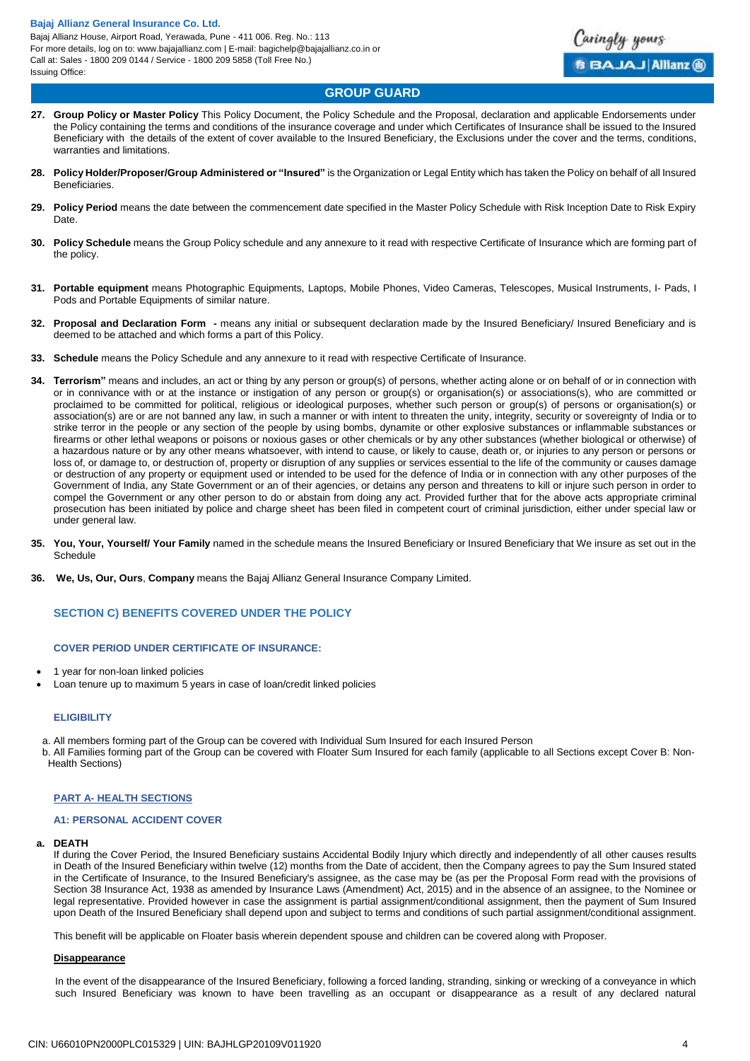

# **GROUP GUARD**

- **27. Group Policy or Master Policy** This Policy Document, the Policy Schedule and the Proposal, declaration and applicable Endorsements under the Policy containing the terms and conditions of the insurance coverage and under which Certificates of Insurance shall be issued to the Insured Beneficiary with the details of the extent of cover available to the Insured Beneficiary, the Exclusions under the cover and the terms, conditions, warranties and limitations.
- **28. Policy Holder/Proposer/Group Administered or "Insured"** is the Organization or Legal Entity which has taken the Policy on behalf of all Insured Beneficiaries.
- **29. Policy Period** means the date between the commencement date specified in the Master Policy Schedule with Risk Inception Date to Risk Expiry Date.
- **30. Policy Schedule** means the Group Policy schedule and any annexure to it read with respective Certificate of Insurance which are forming part of the policy.
- **31. Portable equipment** means Photographic Equipments, Laptops, Mobile Phones, Video Cameras, Telescopes, Musical Instruments, I- Pads, I Pods and Portable Equipments of similar nature.
- **32. Proposal and Declaration Form -** means any initial or subsequent declaration made by the Insured Beneficiary/ Insured Beneficiary and is deemed to be attached and which forms a part of this Policy.
- **33. Schedule** means the Policy Schedule and any annexure to it read with respective Certificate of Insurance.
- **34. Terrorism"** means and includes, an act or thing by any person or group(s) of persons, whether acting alone or on behalf of or in connection with or in connivance with or at the instance or instigation of any person or group(s) or organisation(s) or associations(s), who are committed or proclaimed to be committed for political, religious or ideological purposes, whether such person or group(s) of persons or organisation(s) or association(s) are or are not banned any law, in such a manner or with intent to threaten the unity, integrity, security or sovereignty of India or to strike terror in the people or any section of the people by using bombs, dynamite or other explosive substances or inflammable substances or firearms or other lethal weapons or poisons or noxious gases or other chemicals or by any other substances (whether biological or otherwise) of a hazardous nature or by any other means whatsoever, with intend to cause, or likely to cause, death or, or injuries to any person or persons or loss of, or damage to, or destruction of, property or disruption of any supplies or services essential to the life of the community or causes damage or destruction of any property or equipment used or intended to be used for the defence of India or in connection with any other purposes of the Government of India, any State Government or an of their agencies, or detains any person and threatens to kill or injure such person in order to compel the Government or any other person to do or abstain from doing any act. Provided further that for the above acts appropriate criminal prosecution has been initiated by police and charge sheet has been filed in competent court of criminal jurisdiction, either under special law or under general law.
- **35. You, Your, Yourself/ Your Family** named in the schedule means the Insured Beneficiary or Insured Beneficiary that We insure as set out in the Schedule
- **36. We, Us, Our, Ours**, **Company** means the Bajaj Allianz General Insurance Company Limited.

# **SECTION C) BENEFITS COVERED UNDER THE POLICY**

#### **COVER PERIOD UNDER CERTIFICATE OF INSURANCE:**

- 1 year for non-loan linked policies
- Loan tenure up to maximum 5 years in case of loan/credit linked policies

#### **ELIGIBILITY**

- a. All members forming part of the Group can be covered with Individual Sum Insured for each Insured Person
- b. All Families forming part of the Group can be covered with Floater Sum Insured for each family (applicable to all Sections except Cover B: Non-Health Sections)

#### **PART A- HEALTH SECTIONS**

#### **A1: PERSONAL ACCIDENT COVER**

#### **a. DEATH**

If during the Cover Period, the Insured Beneficiary sustains Accidental Bodily Injury which directly and independently of all other causes results in Death of the Insured Beneficiary within twelve (12) months from the Date of accident, then the Company agrees to pay the Sum Insured stated in the Certificate of Insurance, to the Insured Beneficiary's assignee, as the case may be (as per the Proposal Form read with the provisions of Section 38 Insurance Act, 1938 as amended by Insurance Laws (Amendment) Act, 2015) and in the absence of an assignee, to the Nominee or legal representative. Provided however in case the assignment is partial assignment/conditional assignment, then the payment of Sum Insured upon Death of the Insured Beneficiary shall depend upon and subject to terms and conditions of such partial assignment/conditional assignment.

This benefit will be applicable on Floater basis wherein dependent spouse and children can be covered along with Proposer.

#### **Disappearance**

In the event of the disappearance of the Insured Beneficiary, following a forced landing, stranding, sinking or wrecking of a conveyance in which such Insured Beneficiary was known to have been travelling as an occupant or disappearance as a result of any declared natural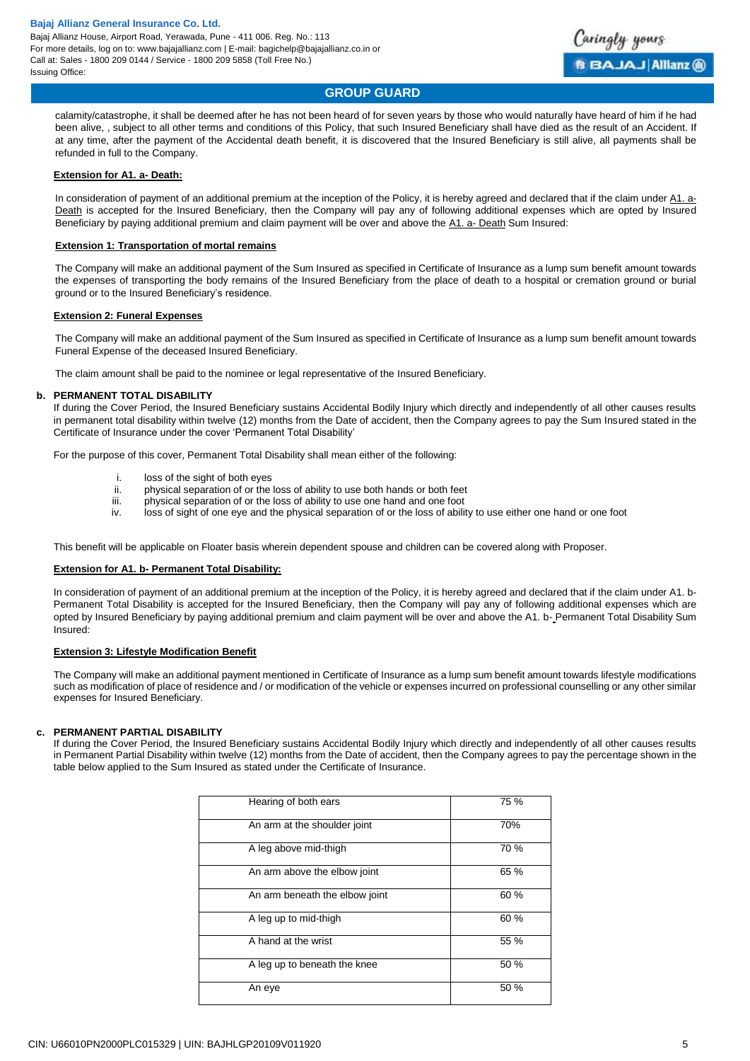

# **GROUP GUARD**

calamity/catastrophe, it shall be deemed after he has not been heard of for seven years by those who would naturally have heard of him if he had been alive, , subject to all other terms and conditions of this Policy, that such Insured Beneficiary shall have died as the result of an Accident. If at any time, after the payment of the Accidental death benefit, it is discovered that the Insured Beneficiary is still alive, all payments shall be refunded in full to the Company.

#### **Extension for A1. a- Death:**

In consideration of payment of an additional premium at the inception of the Policy, it is hereby agreed and declared that if the claim under A1. a-Death is accepted for the Insured Beneficiary, then the Company will pay any of following additional expenses which are opted by Insured Beneficiary by paying additional premium and claim payment will be over and above the A1. a- Death Sum Insured:

#### **Extension 1: Transportation of mortal remains**

The Company will make an additional payment of the Sum Insured as specified in Certificate of Insurance as a lump sum benefit amount towards the expenses of transporting the body remains of the Insured Beneficiary from the place of death to a hospital or cremation ground or burial ground or to the Insured Beneficiary's residence.

#### **Extension 2: Funeral Expenses**

The Company will make an additional payment of the Sum Insured as specified in Certificate of Insurance as a lump sum benefit amount towards Funeral Expense of the deceased Insured Beneficiary.

The claim amount shall be paid to the nominee or legal representative of the Insured Beneficiary.

#### **b. PERMANENT TOTAL DISABILITY**

If during the Cover Period, the Insured Beneficiary sustains Accidental Bodily Injury which directly and independently of all other causes results in permanent total disability within twelve (12) months from the Date of accident, then the Company agrees to pay the Sum Insured stated in the Certificate of Insurance under the cover 'Permanent Total Disability'

For the purpose of this cover, Permanent Total Disability shall mean either of the following:

- i. loss of the sight of both eyes
- ii. physical separation of or the loss of ability to use both hands or both feet<br>iii. physical separation of or the loss of ability to use one hand and one foot
- physical separation of or the loss of ability to use one hand and one foot
- iv. loss of sight of one eye and the physical separation of or the loss of ability to use either one hand or one foot

This benefit will be applicable on Floater basis wherein dependent spouse and children can be covered along with Proposer.

#### **Extension for A1. b- Permanent Total Disability:**

In consideration of payment of an additional premium at the inception of the Policy, it is hereby agreed and declared that if the claim under A1. b-Permanent Total Disability is accepted for the Insured Beneficiary, then the Company will pay any of following additional expenses which are opted by Insured Beneficiary by paying additional premium and claim payment will be over and above the A1. b- Permanent Total Disability Sum Insured:

#### **Extension 3: Lifestyle Modification Benefit**

The Company will make an additional payment mentioned in Certificate of Insurance as a lump sum benefit amount towards lifestyle modifications such as modification of place of residence and / or modification of the vehicle or expenses incurred on professional counselling or any other similar expenses for Insured Beneficiary.

#### **c. PERMANENT PARTIAL DISABILITY**

If during the Cover Period, the Insured Beneficiary sustains Accidental Bodily Injury which directly and independently of all other causes results in Permanent Partial Disability within twelve (12) months from the Date of accident, then the Company agrees to pay the percentage shown in the table below applied to the Sum Insured as stated under the Certificate of Insurance.

| Hearing of both ears           | 75 % |
|--------------------------------|------|
| An arm at the shoulder joint   | 70%  |
| A leg above mid-thigh          | 70 % |
| An arm above the elbow joint   | 65 % |
| An arm beneath the elbow joint | 60 % |
| A leg up to mid-thigh          | 60 % |
| A hand at the wrist            | 55 % |
| A leg up to beneath the knee   | 50 % |
| An eye                         | 50 % |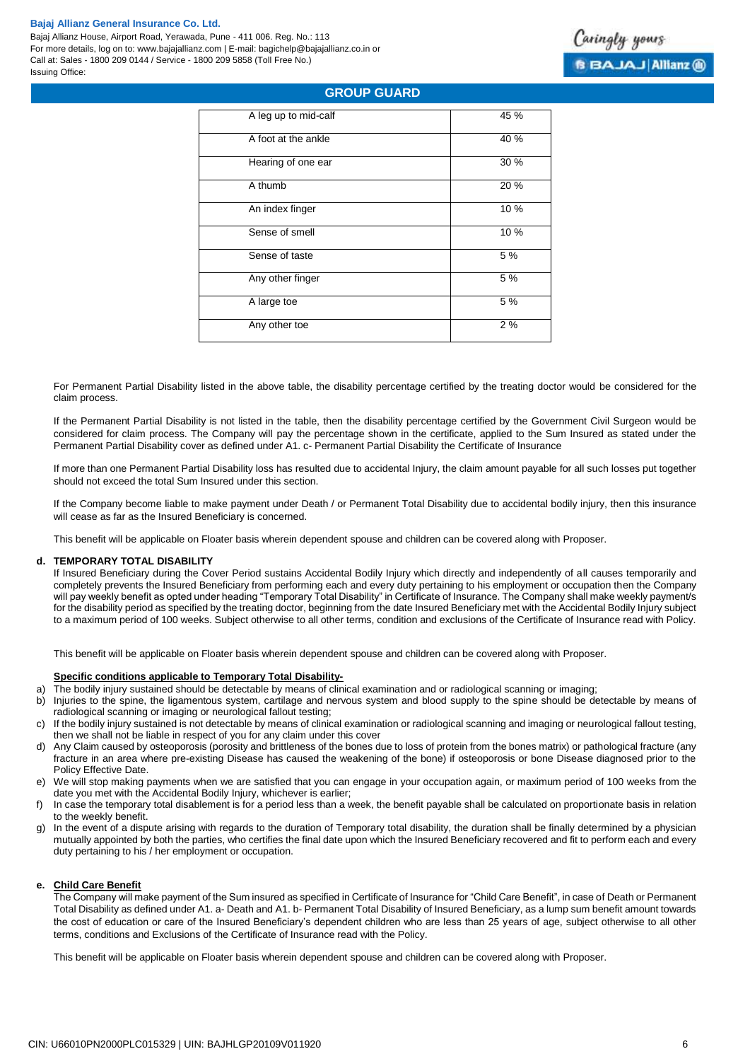Bajaj Allianz House, Airport Road, Yerawada, Pune - 411 006. Reg. No.: 113 For more details, log on to: www.bajajallianz.com | E-mail: bagichelp@bajajallianz.co.in or Call at: Sales - 1800 209 0144 / Service - 1800 209 5858 (Toll Free No.) Issuing Office:



# **GROUP GUARD**

| A leg up to mid-calf | 45 % |
|----------------------|------|
| A foot at the ankle  | 40 % |
| Hearing of one ear   | 30 % |
| A thumb              | 20 % |
| An index finger      | 10 % |
| Sense of smell       | 10 % |
| Sense of taste       | 5 %  |
| Any other finger     | 5 %  |
| A large toe          | 5 %  |
| Any other toe        | 2%   |
|                      |      |

For Permanent Partial Disability listed in the above table, the disability percentage certified by the treating doctor would be considered for the claim process.

If the Permanent Partial Disability is not listed in the table, then the disability percentage certified by the Government Civil Surgeon would be considered for claim process. The Company will pay the percentage shown in the certificate, applied to the Sum Insured as stated under the Permanent Partial Disability cover as defined under A1. c- Permanent Partial Disability the Certificate of Insurance

If more than one Permanent Partial Disability loss has resulted due to accidental Injury, the claim amount payable for all such losses put together should not exceed the total Sum Insured under this section.

If the Company become liable to make payment under Death / or Permanent Total Disability due to accidental bodily injury, then this insurance will cease as far as the Insured Beneficiary is concerned.

This benefit will be applicable on Floater basis wherein dependent spouse and children can be covered along with Proposer.

#### **d. TEMPORARY TOTAL DISABILITY**

If Insured Beneficiary during the Cover Period sustains Accidental Bodily Injury which directly and independently of all causes temporarily and completely prevents the Insured Beneficiary from performing each and every duty pertaining to his employment or occupation then the Company will pay weekly benefit as opted under heading "Temporary Total Disability" in Certificate of Insurance. The Company shall make weekly payment/s for the disability period as specified by the treating doctor, beginning from the date Insured Beneficiary met with the Accidental Bodily Injury subject to a maximum period of 100 weeks. Subject otherwise to all other terms, condition and exclusions of the Certificate of Insurance read with Policy.

This benefit will be applicable on Floater basis wherein dependent spouse and children can be covered along with Proposer.

#### **Specific conditions applicable to Temporary Total Disability-**

- a) The bodily injury sustained should be detectable by means of clinical examination and or radiological scanning or imaging;
- b) Injuries to the spine, the ligamentous system, cartilage and nervous system and blood supply to the spine should be detectable by means of radiological scanning or imaging or neurological fallout testing;
- c) If the bodily injury sustained is not detectable by means of clinical examination or radiological scanning and imaging or neurological fallout testing, then we shall not be liable in respect of you for any claim under this cover
- d) Any Claim caused by osteoporosis (porosity and brittleness of the bones due to loss of protein from the bones matrix) or pathological fracture (any fracture in an area where pre-existing Disease has caused the weakening of the bone) if osteoporosis or bone Disease diagnosed prior to the Policy Effective Date.
- e) We will stop making payments when we are satisfied that you can engage in your occupation again, or maximum period of 100 weeks from the date you met with the Accidental Bodily Injury, whichever is earlier;
- f) In case the temporary total disablement is for a period less than a week, the benefit payable shall be calculated on proportionate basis in relation to the weekly benefit.
- g) In the event of a dispute arising with regards to the duration of Temporary total disability, the duration shall be finally determined by a physician mutually appointed by both the parties, who certifies the final date upon which the Insured Beneficiary recovered and fit to perform each and every duty pertaining to his / her employment or occupation.

# **e. Child Care Benefit**

The Company will make payment of the Sum insured as specified in Certificate of Insurance for "Child Care Benefit", in case of Death or Permanent Total Disability as defined under A1. a- Death and A1. b- Permanent Total Disability of Insured Beneficiary, as a lump sum benefit amount towards the cost of education or care of the Insured Beneficiary's dependent children who are less than 25 years of age, subject otherwise to all other terms, conditions and Exclusions of the Certificate of Insurance read with the Policy.

This benefit will be applicable on Floater basis wherein dependent spouse and children can be covered along with Proposer.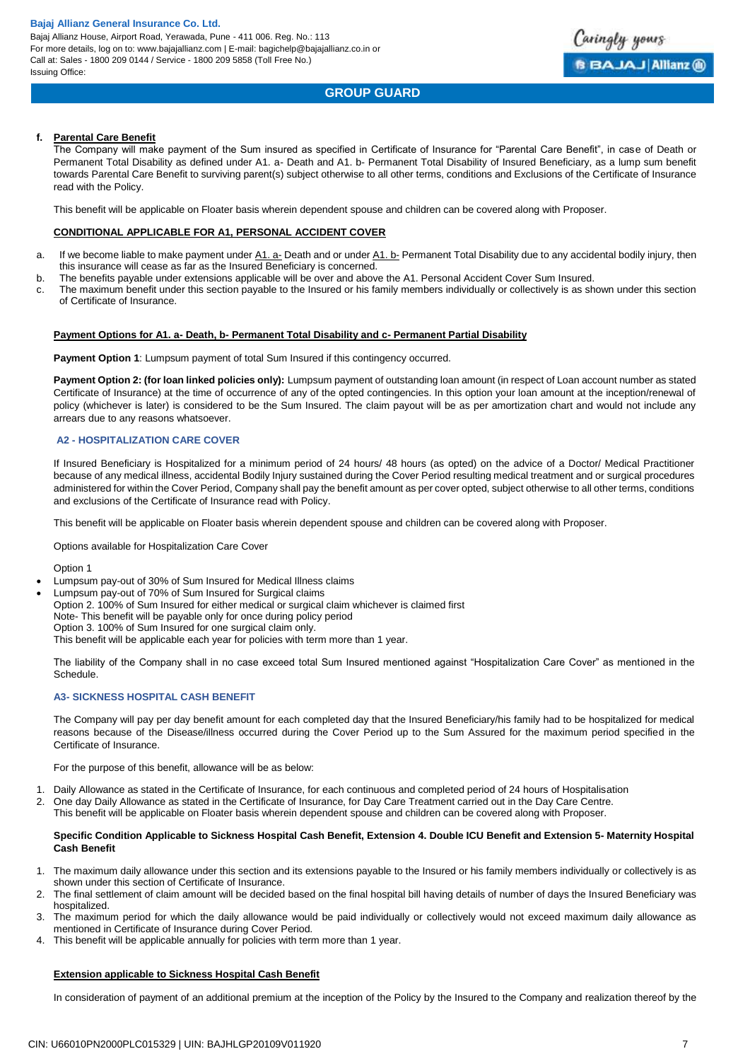# **GROUP GUARD**

aringly yours

**BBAJAJ Allianz @** 

#### **f. Parental Care Benefit**

The Company will make payment of the Sum insured as specified in Certificate of Insurance for "Parental Care Benefit", in case of Death or Permanent Total Disability as defined under A1. a- Death and A1. b- Permanent Total Disability of Insured Beneficiary, as a lump sum benefit towards Parental Care Benefit to surviving parent(s) subject otherwise to all other terms, conditions and Exclusions of the Certificate of Insurance read with the Policy.

This benefit will be applicable on Floater basis wherein dependent spouse and children can be covered along with Proposer.

#### **CONDITIONAL APPLICABLE FOR A1, PERSONAL ACCIDENT COVER**

- a. If we become liable to make payment under A1. a- Death and or under A1. b- Permanent Total Disability due to any accidental bodily injury, then this insurance will cease as far as the Insured Beneficiary is concerned.
- b. The benefits payable under extensions applicable will be over and above the A1. Personal Accident Cover Sum Insured.
- c. The maximum benefit under this section payable to the Insured or his family members individually or collectively is as shown under this section of Certificate of Insurance.

#### **Payment Options for A1. a- Death, b- Permanent Total Disability and c- Permanent Partial Disability**

Payment Option 1: Lumpsum payment of total Sum Insured if this contingency occurred.

**Payment Option 2: (for loan linked policies only):** Lumpsum payment of outstanding loan amount (in respect of Loan account number as stated Certificate of Insurance) at the time of occurrence of any of the opted contingencies. In this option your loan amount at the inception/renewal of policy (whichever is later) is considered to be the Sum Insured. The claim payout will be as per amortization chart and would not include any arrears due to any reasons whatsoever.

### **A2 - HOSPITALIZATION CARE COVER**

If Insured Beneficiary is Hospitalized for a minimum period of 24 hours/ 48 hours (as opted) on the advice of a Doctor/ Medical Practitioner because of any medical illness, accidental Bodily Injury sustained during the Cover Period resulting medical treatment and or surgical procedures administered for within the Cover Period, Company shall pay the benefit amount as per cover opted, subject otherwise to all other terms, conditions and exclusions of the Certificate of Insurance read with Policy.

This benefit will be applicable on Floater basis wherein dependent spouse and children can be covered along with Proposer.

Options available for Hospitalization Care Cover

Option 1

Lumpsum pay-out of 30% of Sum Insured for Medical Illness claims

Lumpsum pay-out of 70% of Sum Insured for Surgical claims

Option 2. 100% of Sum Insured for either medical or surgical claim whichever is claimed first

Note- This benefit will be payable only for once during policy period

Option 3. 100% of Sum Insured for one surgical claim only.

This benefit will be applicable each year for policies with term more than 1 year.

The liability of the Company shall in no case exceed total Sum Insured mentioned against "Hospitalization Care Cover" as mentioned in the Schedule.

### **A3- SICKNESS HOSPITAL CASH BENEFIT**

The Company will pay per day benefit amount for each completed day that the Insured Beneficiary/his family had to be hospitalized for medical reasons because of the Disease/illness occurred during the Cover Period up to the Sum Assured for the maximum period specified in the Certificate of Insurance.

For the purpose of this benefit, allowance will be as below:

- 1. Daily Allowance as stated in the Certificate of Insurance, for each continuous and completed period of 24 hours of Hospitalisation
- 2. One day Daily Allowance as stated in the Certificate of Insurance, for Day Care Treatment carried out in the Day Care Centre.
- This benefit will be applicable on Floater basis wherein dependent spouse and children can be covered along with Proposer.

#### **Specific Condition Applicable to Sickness Hospital Cash Benefit, Extension 4. Double ICU Benefit and Extension 5- Maternity Hospital Cash Benefit**

- 1. The maximum daily allowance under this section and its extensions payable to the Insured or his family members individually or collectively is as shown under this section of Certificate of Insurance.
- 2. The final settlement of claim amount will be decided based on the final hospital bill having details of number of days the Insured Beneficiary was hospitalized.
- 3. The maximum period for which the daily allowance would be paid individually or collectively would not exceed maximum daily allowance as mentioned in Certificate of Insurance during Cover Period.
- This benefit will be applicable annually for policies with term more than 1 year.

#### **Extension applicable to Sickness Hospital Cash Benefit**

In consideration of payment of an additional premium at the inception of the Policy by the Insured to the Company and realization thereof by the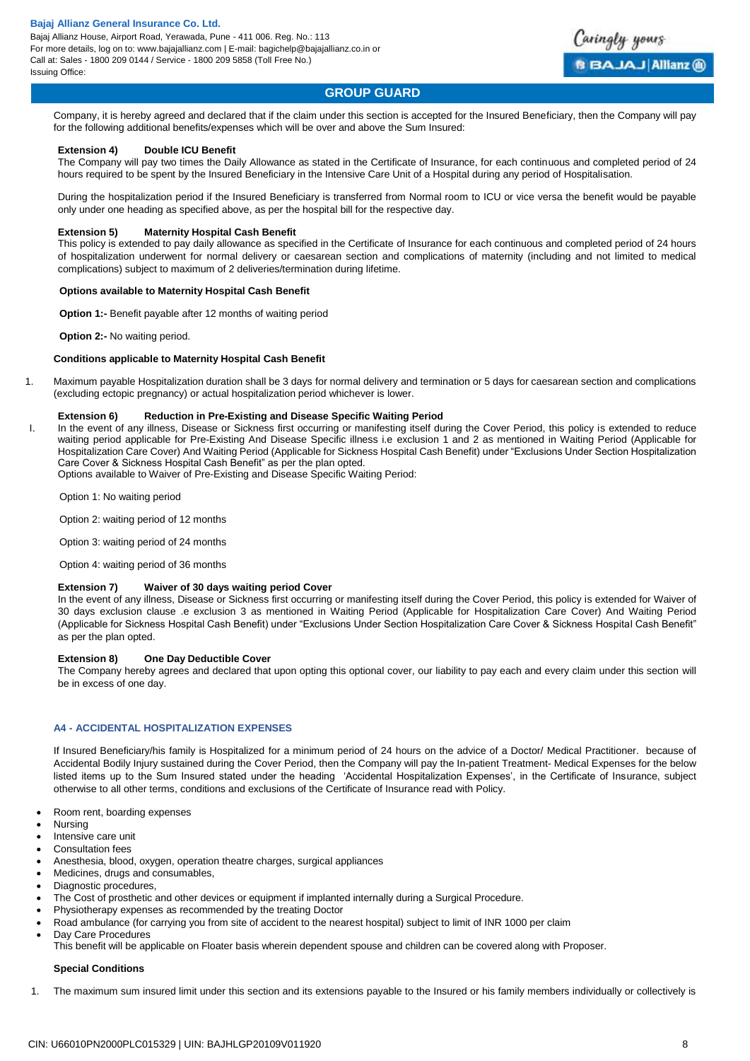Bajaj Allianz House, Airport Road, Yerawada, Pune - 411 006. Reg. No.: 113 For more details, log on to: www.bajajallianz.com | E-mail: bagichelp@bajajallianz.co.in or Call at: Sales - 1800 209 0144 / Service - 1800 209 5858 (Toll Free No.) Issuing Office:



# **GROUP GUARD**

Company, it is hereby agreed and declared that if the claim under this section is accepted for the Insured Beneficiary, then the Company will pay for the following additional benefits/expenses which will be over and above the Sum Insured:

### **Extension 4) Double ICU Benefit**

The Company will pay two times the Daily Allowance as stated in the Certificate of Insurance, for each continuous and completed period of 24 hours required to be spent by the Insured Beneficiary in the Intensive Care Unit of a Hospital during any period of Hospitalisation.

During the hospitalization period if the Insured Beneficiary is transferred from Normal room to ICU or vice versa the benefit would be payable only under one heading as specified above, as per the hospital bill for the respective day.

#### **Extension 5) Maternity Hospital Cash Benefit**

This policy is extended to pay daily allowance as specified in the Certificate of Insurance for each continuous and completed period of 24 hours of hospitalization underwent for normal delivery or caesarean section and complications of maternity (including and not limited to medical complications) subject to maximum of 2 deliveries/termination during lifetime.

#### **Options available to Maternity Hospital Cash Benefit**

**Option 1:-** Benefit payable after 12 months of waiting period

**Option 2:- No waiting period.** 

#### **Conditions applicable to Maternity Hospital Cash Benefit**

1. Maximum payable Hospitalization duration shall be 3 days for normal delivery and termination or 5 days for caesarean section and complications (excluding ectopic pregnancy) or actual hospitalization period whichever is lower.

#### **Extension 6) Reduction in Pre-Existing and Disease Specific Waiting Period**

I. In the event of any illness, Disease or Sickness first occurring or manifesting itself during the Cover Period, this policy is extended to reduce waiting period applicable for Pre-Existing And Disease Specific illness i.e exclusion 1 and 2 as mentioned in Waiting Period (Applicable for Hospitalization Care Cover) And Waiting Period (Applicable for Sickness Hospital Cash Benefit) under "Exclusions Under Section Hospitalization Care Cover & Sickness Hospital Cash Benefit" as per the plan opted.

Options available to Waiver of Pre-Existing and Disease Specific Waiting Period:

Option 1: No waiting period

Option 2: waiting period of 12 months

Option 3: waiting period of 24 months

Option 4: waiting period of 36 months

# **Extension 7) Waiver of 30 days waiting period Cover**

In the event of any illness, Disease or Sickness first occurring or manifesting itself during the Cover Period, this policy is extended for Waiver of 30 days exclusion clause .e exclusion 3 as mentioned in Waiting Period (Applicable for Hospitalization Care Cover) And Waiting Period (Applicable for Sickness Hospital Cash Benefit) under "Exclusions Under Section Hospitalization Care Cover & Sickness Hospital Cash Benefit" as per the plan opted.

#### **Extension 8) One Day Deductible Cover**

The Company hereby agrees and declared that upon opting this optional cover, our liability to pay each and every claim under this section will be in excess of one day.

### **A4 - ACCIDENTAL HOSPITALIZATION EXPENSES**

If Insured Beneficiary/his family is Hospitalized for a minimum period of 24 hours on the advice of a Doctor/ Medical Practitioner. because of Accidental Bodily Injury sustained during the Cover Period, then the Company will pay the In-patient Treatment- Medical Expenses for the below listed items up to the Sum Insured stated under the heading 'Accidental Hospitalization Expenses', in the Certificate of Insurance, subject otherwise to all other terms, conditions and exclusions of the Certificate of Insurance read with Policy.

- Room rent, boarding expenses
- Nursing
- Intensive care unit
- Consultation fees
- Anesthesia, blood, oxygen, operation theatre charges, surgical appliances
- Medicines, drugs and consumables,
- Diagnostic procedures.
- The Cost of prosthetic and other devices or equipment if implanted internally during a Surgical Procedure.
- Physiotherapy expenses as recommended by the treating Doctor
- Road ambulance (for carrying you from site of accident to the nearest hospital) subject to limit of INR 1000 per claim
- Day Care Procedures This benefit will be applicable on Floater basis wherein dependent spouse and children can be covered along with Proposer.

#### **Special Conditions**

1. The maximum sum insured limit under this section and its extensions payable to the Insured or his family members individually or collectively is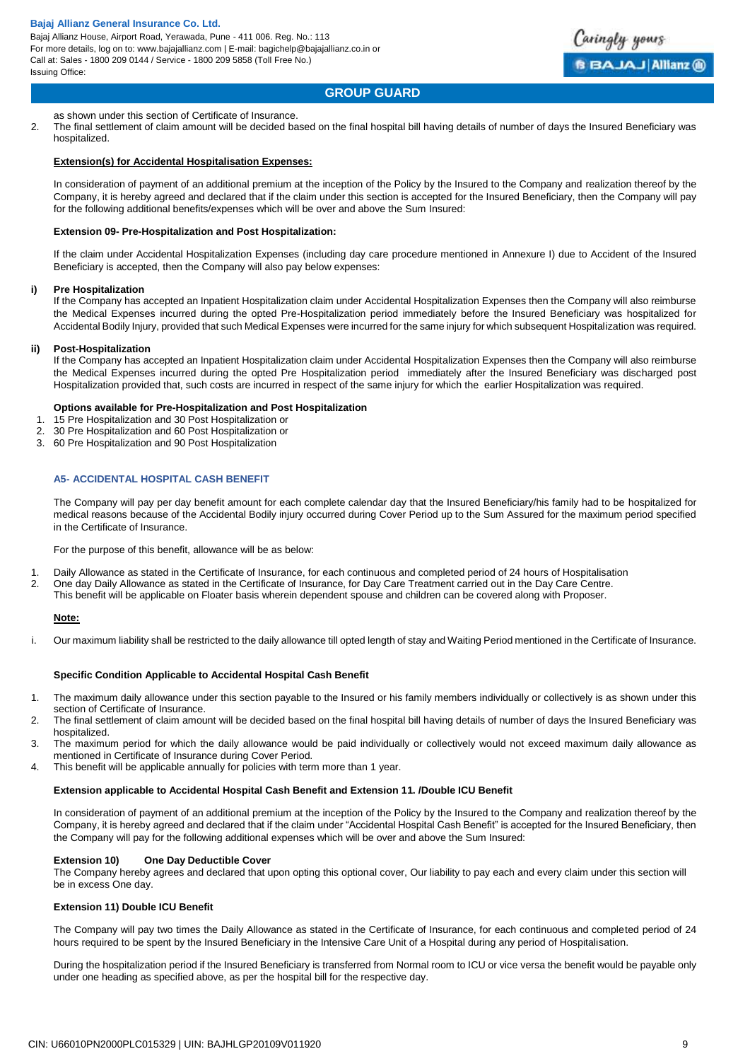Bajaj Allianz House, Airport Road, Yerawada, Pune - 411 006. Reg. No.: 113 For more details, log on to: www.bajajallianz.com | E-mail: bagichelp@bajajallianz.co.in or Call at: Sales - 1800 209 0144 / Service - 1800 209 5858 (Toll Free No.) Issuing Office:



# **GROUP GUARD**

as shown under this section of Certificate of Insurance.

2. The final settlement of claim amount will be decided based on the final hospital bill having details of number of days the Insured Beneficiary was hospitalized.

#### **Extension(s) for Accidental Hospitalisation Expenses:**

In consideration of payment of an additional premium at the inception of the Policy by the Insured to the Company and realization thereof by the Company, it is hereby agreed and declared that if the claim under this section is accepted for the Insured Beneficiary, then the Company will pay for the following additional benefits/expenses which will be over and above the Sum Insured:

#### **Extension 09- Pre-Hospitalization and Post Hospitalization:**

If the claim under Accidental Hospitalization Expenses (including day care procedure mentioned in Annexure I) due to Accident of the Insured Beneficiary is accepted, then the Company will also pay below expenses:

#### **i) Pre Hospitalization**

If the Company has accepted an Inpatient Hospitalization claim under Accidental Hospitalization Expenses then the Company will also reimburse the Medical Expenses incurred during the opted Pre-Hospitalization period immediately before the Insured Beneficiary was hospitalized for Accidental Bodily Injury, provided that such Medical Expenses were incurred for the same injury for which subsequent Hospitalization was required.

#### **ii) Post-Hospitalization**

If the Company has accepted an Inpatient Hospitalization claim under Accidental Hospitalization Expenses then the Company will also reimburse the Medical Expenses incurred during the opted Pre Hospitalization period immediately after the Insured Beneficiary was discharged post Hospitalization provided that, such costs are incurred in respect of the same injury for which the earlier Hospitalization was required.

#### **Options available for Pre-Hospitalization and Post Hospitalization**

- 1. 15 Pre Hospitalization and 30 Post Hospitalization or
- 2. 30 Pre Hospitalization and 60 Post Hospitalization or<br>3. 60 Pre Hospitalization and 90 Post Hospitalization
- 3. 60 Pre Hospitalization and 90 Post Hospitalization

#### **A5- ACCIDENTAL HOSPITAL CASH BENEFIT**

The Company will pay per day benefit amount for each complete calendar day that the Insured Beneficiary/his family had to be hospitalized for medical reasons because of the Accidental Bodily injury occurred during Cover Period up to the Sum Assured for the maximum period specified in the Certificate of Insurance.

For the purpose of this benefit, allowance will be as below:

- 1. Daily Allowance as stated in the Certificate of Insurance, for each continuous and completed period of 24 hours of Hospitalisation
- 2. One day Daily Allowance as stated in the Certificate of Insurance, for Day Care Treatment carried out in the Day Care Centre.
	- This benefit will be applicable on Floater basis wherein dependent spouse and children can be covered along with Proposer.

# **Note:**

i. Our maximum liability shall be restricted to the daily allowance till opted length of stay and Waiting Period mentioned in the Certificate of Insurance.

# **Specific Condition Applicable to Accidental Hospital Cash Benefit**

- 1. The maximum daily allowance under this section payable to the Insured or his family members individually or collectively is as shown under this section of Certificate of Insurance.
- 2. The final settlement of claim amount will be decided based on the final hospital bill having details of number of days the Insured Beneficiary was hospitalized.
- 3. The maximum period for which the daily allowance would be paid individually or collectively would not exceed maximum daily allowance as mentioned in Certificate of Insurance during Cover Period.
- 4. This benefit will be applicable annually for policies with term more than 1 year.

# **Extension applicable to Accidental Hospital Cash Benefit and Extension 11. /Double ICU Benefit**

In consideration of payment of an additional premium at the inception of the Policy by the Insured to the Company and realization thereof by the Company, it is hereby agreed and declared that if the claim under "Accidental Hospital Cash Benefit" is accepted for the Insured Beneficiary, then the Company will pay for the following additional expenses which will be over and above the Sum Insured:

# **Extension 10) One Day Deductible Cover**

The Company hereby agrees and declared that upon opting this optional cover, Our liability to pay each and every claim under this section will be in excess One day.

# **Extension 11) Double ICU Benefit**

The Company will pay two times the Daily Allowance as stated in the Certificate of Insurance, for each continuous and completed period of 24 hours required to be spent by the Insured Beneficiary in the Intensive Care Unit of a Hospital during any period of Hospitalisation.

During the hospitalization period if the Insured Beneficiary is transferred from Normal room to ICU or vice versa the benefit would be payable only under one heading as specified above, as per the hospital bill for the respective day.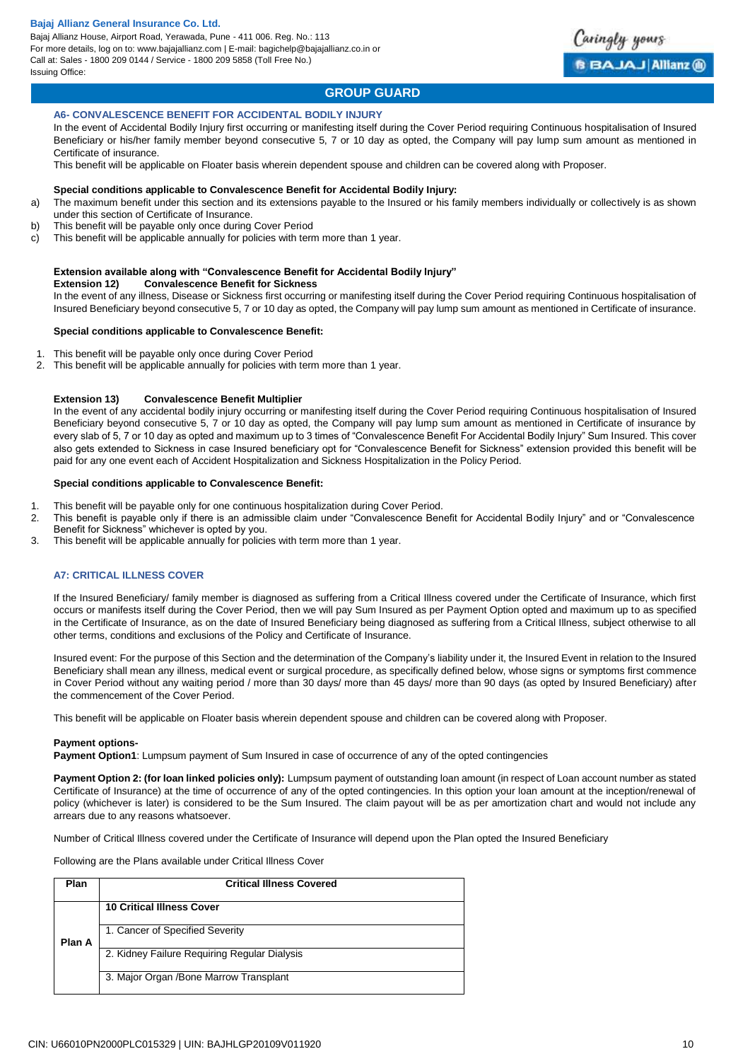

# **GROUP GUARD**

#### **A6- CONVALESCENCE BENEFIT FOR ACCIDENTAL BODILY INJURY**

In the event of Accidental Bodily Injury first occurring or manifesting itself during the Cover Period requiring Continuous hospitalisation of Insured Beneficiary or his/her family member beyond consecutive 5, 7 or 10 day as opted, the Company will pay lump sum amount as mentioned in Certificate of insurance.

This benefit will be applicable on Floater basis wherein dependent spouse and children can be covered along with Proposer.

#### **Special conditions applicable to Convalescence Benefit for Accidental Bodily Injury:**

- a) The maximum benefit under this section and its extensions payable to the Insured or his family members individually or collectively is as shown under this section of Certificate of Insurance.
- b) This benefit will be payable only once during Cover Period
- c) This benefit will be applicable annually for policies with term more than 1 year.

#### **Extension available along with "Convalescence Benefit for Accidental Bodily Injury"**

**Extension 12) Convalescence Benefit for Sickness** 

In the event of any illness, Disease or Sickness first occurring or manifesting itself during the Cover Period requiring Continuous hospitalisation of Insured Beneficiary beyond consecutive 5, 7 or 10 day as opted, the Company will pay lump sum amount as mentioned in Certificate of insurance.

#### **Special conditions applicable to Convalescence Benefit:**

- 1. This benefit will be payable only once during Cover Period
- 2. This benefit will be applicable annually for policies with term more than 1 year.

#### **Extension 13) Convalescence Benefit Multiplier**

In the event of any accidental bodily injury occurring or manifesting itself during the Cover Period requiring Continuous hospitalisation of Insured Beneficiary beyond consecutive 5, 7 or 10 day as opted, the Company will pay lump sum amount as mentioned in Certificate of insurance by every slab of 5, 7 or 10 day as opted and maximum up to 3 times of "Convalescence Benefit For Accidental Bodily Injury" Sum Insured. This cover also gets extended to Sickness in case Insured beneficiary opt for "Convalescence Benefit for Sickness" extension provided this benefit will be paid for any one event each of Accident Hospitalization and Sickness Hospitalization in the Policy Period.

#### **Special conditions applicable to Convalescence Benefit:**

- 1. This benefit will be payable only for one continuous hospitalization during Cover Period.
- 2. This benefit is payable only if there is an admissible claim under "Convalescence Benefit for Accidental Bodily Injury" and or "Convalescence Benefit for Sickness" whichever is opted by you.
- 3. This benefit will be applicable annually for policies with term more than 1 year.

#### **A7: CRITICAL ILLNESS COVER**

If the Insured Beneficiary/ family member is diagnosed as suffering from a Critical Illness covered under the Certificate of Insurance, which first occurs or manifests itself during the Cover Period, then we will pay Sum Insured as per Payment Option opted and maximum up to as specified in the Certificate of Insurance, as on the date of Insured Beneficiary being diagnosed as suffering from a Critical Illness, subject otherwise to all other terms, conditions and exclusions of the Policy and Certificate of Insurance.

Insured event: For the purpose of this Section and the determination of the Company's liability under it, the Insured Event in relation to the Insured Beneficiary shall mean any illness, medical event or surgical procedure, as specifically defined below, whose signs or symptoms first commence in Cover Period without any waiting period / more than 30 days/ more than 45 days/ more than 90 days (as opted by Insured Beneficiary) after the commencement of the Cover Period.

This benefit will be applicable on Floater basis wherein dependent spouse and children can be covered along with Proposer.

#### **Payment options-**

**Payment Option1**: Lumpsum payment of Sum Insured in case of occurrence of any of the opted contingencies

**Payment Option 2: (for loan linked policies only):** Lumpsum payment of outstanding loan amount (in respect of Loan account number as stated Certificate of Insurance) at the time of occurrence of any of the opted contingencies. In this option your loan amount at the inception/renewal of policy (whichever is later) is considered to be the Sum Insured. The claim payout will be as per amortization chart and would not include any arrears due to any reasons whatsoever.

Number of Critical Illness covered under the Certificate of Insurance will depend upon the Plan opted the Insured Beneficiary

Following are the Plans available under Critical Illness Cover

| Plan   | <b>Critical Illness Covered</b>              |
|--------|----------------------------------------------|
|        | <b>10 Critical Illness Cover</b>             |
| Plan A | 1. Cancer of Specified Severity              |
|        | 2. Kidney Failure Requiring Regular Dialysis |
|        | 3. Major Organ / Bone Marrow Transplant      |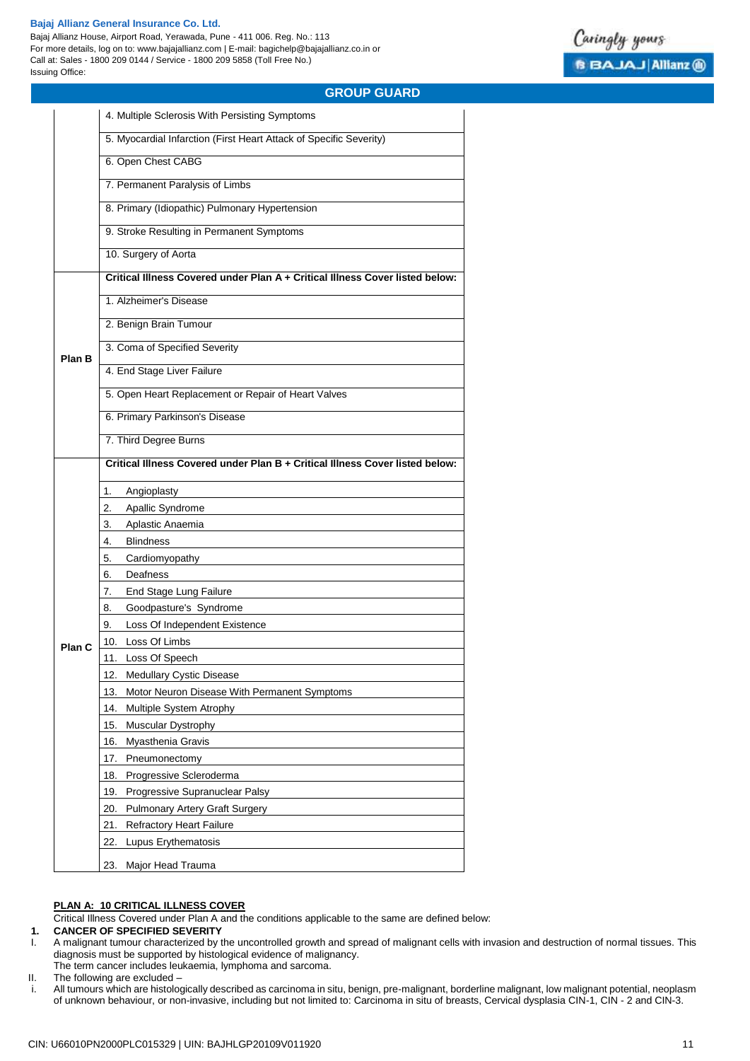Bajaj Allianz House, Airport Road, Yerawada, Pune - 411 006. Reg. No.: 113 For more details, log on to: www.bajajallianz.com | E-mail: bagichelp@bajajallianz.co.in or Call at: Sales - 1800 209 0144 / Service - 1800 209 5858 (Toll Free No.) Issuing Office:



# **GROUP GUARD**

|                                                                                                                                                                         | 4. Multiple Sclerosis With Persisting Symptoms                                                                                                                                                                                         |  |  |  |  |  |  |  |
|-------------------------------------------------------------------------------------------------------------------------------------------------------------------------|----------------------------------------------------------------------------------------------------------------------------------------------------------------------------------------------------------------------------------------|--|--|--|--|--|--|--|
|                                                                                                                                                                         | 5. Myocardial Infarction (First Heart Attack of Specific Severity)                                                                                                                                                                     |  |  |  |  |  |  |  |
|                                                                                                                                                                         | 6. Open Chest CABG                                                                                                                                                                                                                     |  |  |  |  |  |  |  |
|                                                                                                                                                                         | 7. Permanent Paralysis of Limbs                                                                                                                                                                                                        |  |  |  |  |  |  |  |
|                                                                                                                                                                         | 8. Primary (Idiopathic) Pulmonary Hypertension<br>9. Stroke Resulting in Permanent Symptoms<br>10. Surgery of Aorta<br>1. Alzheimer's Disease<br>2. Benign Brain Tumour<br>3. Coma of Specified Severity<br>4. End Stage Liver Failure |  |  |  |  |  |  |  |
| Plan B<br>5. Open Heart Replacement or Repair of Heart Valves<br>6. Primary Parkinson's Disease<br>7. Third Degree Burns<br>Angioplasty<br>1.<br>Apallic Syndrome<br>2. |                                                                                                                                                                                                                                        |  |  |  |  |  |  |  |
|                                                                                                                                                                         |                                                                                                                                                                                                                                        |  |  |  |  |  |  |  |
|                                                                                                                                                                         | Critical Illness Covered under Plan A + Critical Illness Cover listed below:                                                                                                                                                           |  |  |  |  |  |  |  |
|                                                                                                                                                                         |                                                                                                                                                                                                                                        |  |  |  |  |  |  |  |
|                                                                                                                                                                         |                                                                                                                                                                                                                                        |  |  |  |  |  |  |  |
|                                                                                                                                                                         |                                                                                                                                                                                                                                        |  |  |  |  |  |  |  |
|                                                                                                                                                                         |                                                                                                                                                                                                                                        |  |  |  |  |  |  |  |
|                                                                                                                                                                         |                                                                                                                                                                                                                                        |  |  |  |  |  |  |  |
|                                                                                                                                                                         |                                                                                                                                                                                                                                        |  |  |  |  |  |  |  |
|                                                                                                                                                                         |                                                                                                                                                                                                                                        |  |  |  |  |  |  |  |
|                                                                                                                                                                         | Critical Illness Covered under Plan B + Critical Illness Cover listed below:                                                                                                                                                           |  |  |  |  |  |  |  |
|                                                                                                                                                                         |                                                                                                                                                                                                                                        |  |  |  |  |  |  |  |
|                                                                                                                                                                         |                                                                                                                                                                                                                                        |  |  |  |  |  |  |  |
|                                                                                                                                                                         | Aplastic Anaemia<br>3.                                                                                                                                                                                                                 |  |  |  |  |  |  |  |
|                                                                                                                                                                         | <b>Blindness</b><br>4.                                                                                                                                                                                                                 |  |  |  |  |  |  |  |
|                                                                                                                                                                         | Cardiomyopathy<br>5.                                                                                                                                                                                                                   |  |  |  |  |  |  |  |
|                                                                                                                                                                         | Deafness                                                                                                                                                                                                                               |  |  |  |  |  |  |  |
|                                                                                                                                                                         | End Stage Lung Failure<br>7.                                                                                                                                                                                                           |  |  |  |  |  |  |  |
|                                                                                                                                                                         | Goodpasture's Syndrome<br>8.                                                                                                                                                                                                           |  |  |  |  |  |  |  |
|                                                                                                                                                                         | Loss Of Independent Existence<br>9.                                                                                                                                                                                                    |  |  |  |  |  |  |  |
|                                                                                                                                                                         | 10. Loss Of Limbs                                                                                                                                                                                                                      |  |  |  |  |  |  |  |
| Plan C                                                                                                                                                                  | 11. Loss Of Speech                                                                                                                                                                                                                     |  |  |  |  |  |  |  |
|                                                                                                                                                                         | 12. Medullary Cystic Disease                                                                                                                                                                                                           |  |  |  |  |  |  |  |
|                                                                                                                                                                         | 13.<br>Motor Neuron Disease With Permanent Symptoms                                                                                                                                                                                    |  |  |  |  |  |  |  |
|                                                                                                                                                                         | 14.<br>Multiple System Atrophy                                                                                                                                                                                                         |  |  |  |  |  |  |  |
|                                                                                                                                                                         | <b>Muscular Dystrophy</b><br>15.                                                                                                                                                                                                       |  |  |  |  |  |  |  |
|                                                                                                                                                                         | 16.<br>Myasthenia Gravis                                                                                                                                                                                                               |  |  |  |  |  |  |  |
|                                                                                                                                                                         | 17.<br>Pneumonectomy                                                                                                                                                                                                                   |  |  |  |  |  |  |  |
|                                                                                                                                                                         |                                                                                                                                                                                                                                        |  |  |  |  |  |  |  |
|                                                                                                                                                                         | Progressive Scleroderma<br>18.                                                                                                                                                                                                         |  |  |  |  |  |  |  |
|                                                                                                                                                                         | 19.<br>Progressive Supranuclear Palsy                                                                                                                                                                                                  |  |  |  |  |  |  |  |
|                                                                                                                                                                         | 20.<br><b>Pulmonary Artery Graft Surgery</b>                                                                                                                                                                                           |  |  |  |  |  |  |  |
|                                                                                                                                                                         | <b>Refractory Heart Failure</b><br>21.                                                                                                                                                                                                 |  |  |  |  |  |  |  |
|                                                                                                                                                                         | 22.<br>Lupus Erythematosis                                                                                                                                                                                                             |  |  |  |  |  |  |  |
|                                                                                                                                                                         | 23. Major Head Trauma                                                                                                                                                                                                                  |  |  |  |  |  |  |  |

#### **PLAN A: 10 CRITICAL ILLNESS COVER**

Critical Illness Covered under Plan A and the conditions applicable to the same are defined below:

# **1. CANCER OF SPECIFIED SEVERITY**

- I. A malignant tumour characterized by the uncontrolled growth and spread of malignant cells with invasion and destruction of normal tissues. This diagnosis must be supported by histological evidence of malignancy. The term cancer includes leukaemia, lymphoma and sarcoma.
- 
- II. The following are excluded –
- i. All tumours which are histologically described as carcinoma in situ, benign, pre-malignant, borderline malignant, low malignant potential, neoplasm of unknown behaviour, or non-invasive, including but not limited to: Carcinoma in situ of breasts, Cervical dysplasia CIN-1, CIN - 2 and CIN-3.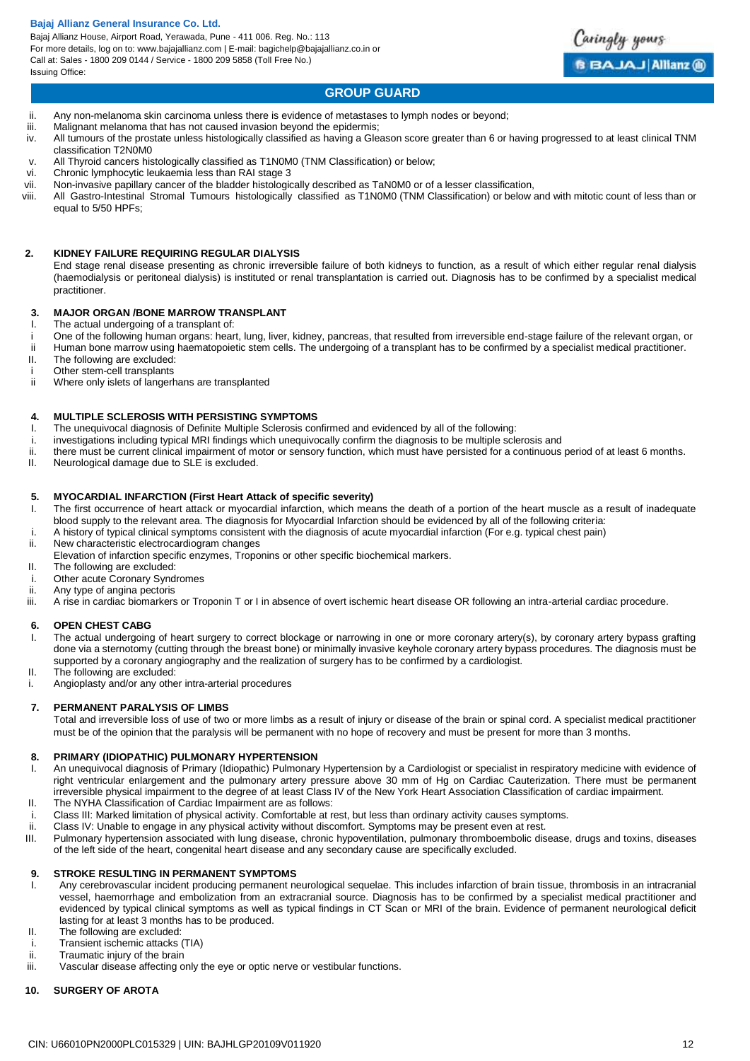Bajaj Allianz House, Airport Road, Yerawada, Pune - 411 006. Reg. No.: 113 For more details, log on to: www.bajajallianz.com | E-mail: bagichelp@bajajallianz.co.in or Call at: Sales - 1800 209 0144 / Service - 1800 209 5858 (Toll Free No.) Issuing Office:



# **GROUP GUARD**

- ii. Any non-melanoma skin carcinoma unless there is evidence of metastases to lymph nodes or beyond;
- iii. Malignant melanoma that has not caused invasion beyond the epidermis;
- iv. All tumours of the prostate unless histologically classified as having a Gleason score greater than 6 or having progressed to at least clinical TNM classification T2N0M0
- v. All Thyroid cancers histologically classified as T1N0M0 (TNM Classification) or below;<br>vi. Chronic lymphocytic leukaemia less than RAI stage 3
- vi. Chronic lymphocytic leukaemia less than RAI stage 3
- Non-invasive papillary cancer of the bladder histologically described as TaN0M0 or of a lesser classification,
- viii. All Gastro-Intestinal Stromal Tumours histologically classified as T1N0M0 (TNM Classification) or below and with mitotic count of less than or equal to 5/50 HPFs;

#### **2. KIDNEY FAILURE REQUIRING REGULAR DIALYSIS**

End stage renal disease presenting as chronic irreversible failure of both kidneys to function, as a result of which either regular renal dialysis (haemodialysis or peritoneal dialysis) is instituted or renal transplantation is carried out. Diagnosis has to be confirmed by a specialist medical practitioner.

#### **3. MAJOR ORGAN /BONE MARROW TRANSPLANT**

- I. The actual undergoing of a transplant of:
- i One of the following human organs: heart, lung, liver, kidney, pancreas, that resulted from irreversible end-stage failure of the relevant organ, or
- ii Human bone marrow using haematopoietic stem cells. The undergoing of a transplant has to be confirmed by a specialist medical practitioner. II. The following are excluded:
- 
- i Other stem-cell transplants<br>ii Where only islets of langerh Where only islets of langerhans are transplanted

#### **4. MULTIPLE SCLEROSIS WITH PERSISTING SYMPTOMS**

- I. The unequivocal diagnosis of Definite Multiple Sclerosis confirmed and evidenced by all of the following:
- i. investigations including typical MRI findings which unequivocally confirm the diagnosis to be multiple sclerosis and
- ii. there must be current clinical impairment of motor or sensory function, which must have persisted for a continuous period of at least 6 months.
- II. Neurological damage due to SLE is excluded.

### **5. MYOCARDIAL INFARCTION (First Heart Attack of specific severity)**

- I. The first occurrence of heart attack or myocardial infarction, which means the death of a portion of the heart muscle as a result of inadequate blood supply to the relevant area. The diagnosis for Myocardial Infarction should be evidenced by all of the following criteria:
- i. A history of typical clinical symptoms consistent with the diagnosis of acute myocardial infarction (For e.g. typical chest pain)
- New characteristic electrocardiogram changes
- Elevation of infarction specific enzymes, Troponins or other specific biochemical markers.
- II. The following are excluded:
- i. Other acute Coronary Syndromes<br>ii. Anv type of angina pectoris
- Any type of angina pectoris
- iii. A rise in cardiac biomarkers or Troponin T or I in absence of overt ischemic heart disease OR following an intra-arterial cardiac procedure.

#### **6. OPEN CHEST CABG**

- I. The actual undergoing of heart surgery to correct blockage or narrowing in one or more coronary artery(s), by coronary artery bypass grafting done via a sternotomy (cutting through the breast bone) or minimally invasive keyhole coronary artery bypass procedures. The diagnosis must be supported by a coronary angiography and the realization of surgery has to be confirmed by a cardiologist.
- II. The following are excluded:
- i. Angioplasty and/or any other intra-arterial procedures

### **7. PERMANENT PARALYSIS OF LIMBS**

Total and irreversible loss of use of two or more limbs as a result of injury or disease of the brain or spinal cord. A specialist medical practitioner must be of the opinion that the paralysis will be permanent with no hope of recovery and must be present for more than 3 months.

#### **8. PRIMARY (IDIOPATHIC) PULMONARY HYPERTENSION**

- I. An unequivocal diagnosis of Primary (Idiopathic) Pulmonary Hypertension by a Cardiologist or specialist in respiratory medicine with evidence of right ventricular enlargement and the pulmonary artery pressure above 30 mm of Hg on Cardiac Cauterization. There must be permanent irreversible physical impairment to the degree of at least Class IV of the New York Heart Association Classification of cardiac impairment.
- II. The NYHA Classification of Cardiac Impairment are as follows:
- i. Class III: Marked limitation of physical activity. Comfortable at rest, but less than ordinary activity causes symptoms.
- ii. Class IV: Unable to engage in any physical activity without discomfort. Symptoms may be present even at rest.
- III. Pulmonary hypertension associated with lung disease, chronic hypoventilation, pulmonary thromboembolic disease, drugs and toxins, diseases of the left side of the heart, congenital heart disease and any secondary cause are specifically excluded.

#### **9. STROKE RESULTING IN PERMANENT SYMPTOMS**

- I. Any cerebrovascular incident producing permanent neurological sequelae. This includes infarction of brain tissue, thrombosis in an intracranial vessel, haemorrhage and embolization from an extracranial source. Diagnosis has to be confirmed by a specialist medical practitioner and evidenced by typical clinical symptoms as well as typical findings in CT Scan or MRI of the brain. Evidence of permanent neurological deficit lasting for at least 3 months has to be produced.
- II. The following are excluded:
- i. Transient ischemic attacks (TIA)
- ii. Traumatic injury of the brain
- iii. Vascular disease affecting only the eye or optic nerve or vestibular functions.

#### **10. SURGERY OF AROTA**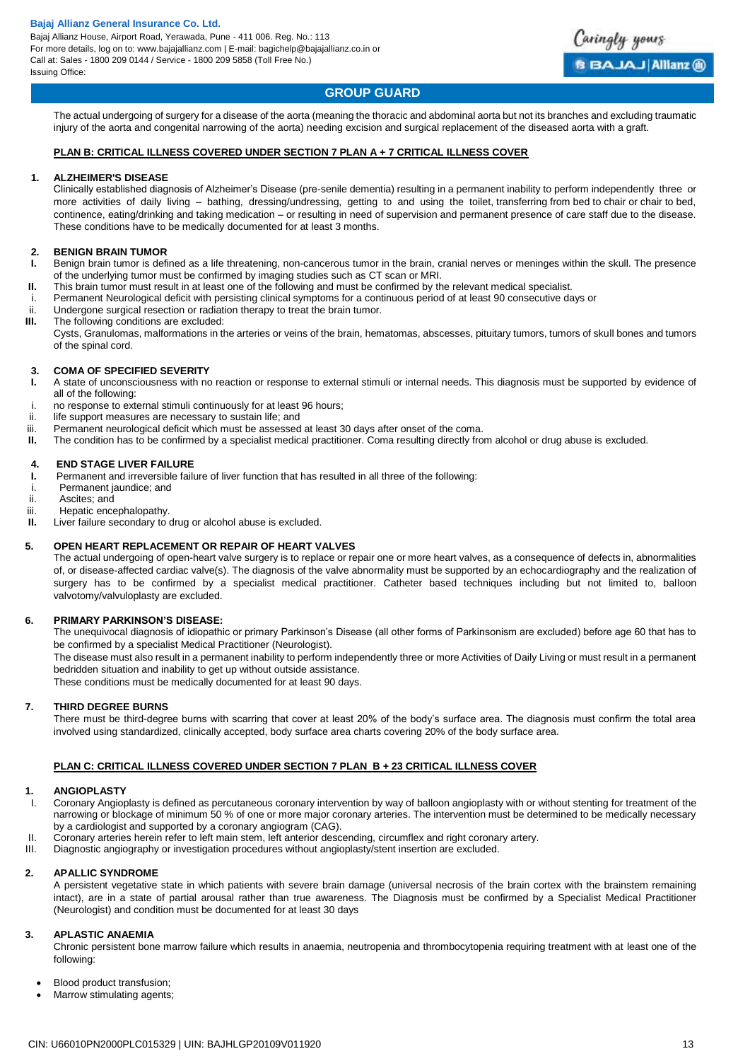

# **GROUP GUARD**

The actual undergoing of surgery for a disease of the aorta (meaning the thoracic and abdominal aorta but not its branches and excluding traumatic injury of the aorta and congenital narrowing of the aorta) needing excision and surgical replacement of the diseased aorta with a graft.

# **PLAN B: CRITICAL ILLNESS COVERED UNDER SECTION 7 PLAN A + 7 CRITICAL ILLNESS COVER**

#### **1. ALZHEIMER'S DISEASE**

Clinically established diagnosis of Alzheimer's Disease (pre-senile dementia) resulting in a permanent inability to perform independently three or more activities of daily living – bathing, dressing/undressing, getting to and using the toilet, transferring from bed to chair or chair to bed, continence, eating/drinking and taking medication – or resulting in need of supervision and permanent presence of care staff due to the disease. These conditions have to be medically documented for at least 3 months.

### **2. BENIGN BRAIN TUMOR**

- **I.** Benign brain tumor is defined as a life threatening, non-cancerous tumor in the brain, cranial nerves or meninges within the skull. The presence of the underlying tumor must be confirmed by imaging studies such as CT scan or MRI.
- **II.** This brain tumor must result in at least one of the following and must be confirmed by the relevant medical specialist.
- i. Permanent Neurological deficit with persisting clinical symptoms for a continuous period of at least 90 consecutive days or<br>ii Berteroone surgical resection or radiation therany to treat the brain tumor.
- Undergone surgical resection or radiation therapy to treat the brain tumor.
- **III.** The following conditions are excluded:

Cysts, Granulomas, malformations in the arteries or veins of the brain, hematomas, abscesses, pituitary tumors, tumors of skull bones and tumors of the spinal cord.

# **3. COMA OF SPECIFIED SEVERITY**

- **I.** A state of unconsciousness with no reaction or response to external stimuli or internal needs. This diagnosis must be supported by evidence of all of the following:
- i. no response to external stimuli continuously for at least 96 hours;
- ii. life support measures are necessary to sustain life; and
- iii. Permanent neurological deficit which must be assessed at least 30 days after onset of the coma.
- **II.** The condition has to be confirmed by a specialist medical practitioner. Coma resulting directly from alcohol or drug abuse is excluded.

#### **4. END STAGE LIVER FAILURE**

- **I.** Permanent and irreversible failure of liver function that has resulted in all three of the following:
- i. Permanent jaundice; and
- ii. Ascites; and
- iii. Hepatic encephalopathy.
- **II.** Liver failure secondary to drug or alcohol abuse is excluded.

#### **5. OPEN HEART REPLACEMENT OR REPAIR OF HEART VALVES**

The actual undergoing of open-heart valve surgery is to replace or repair one or more heart valves, as a consequence of defects in, abnormalities of, or disease-affected cardiac valve(s). The diagnosis of the valve abnormality must be supported by an echocardiography and the realization of surgery has to be confirmed by a specialist medical practitioner. Catheter based techniques including but not limited to, balloon valvotomy/valvuloplasty are excluded.

#### **6. PRIMARY PARKINSON'S DISEASE:**

The unequivocal diagnosis of idiopathic or primary Parkinson's Disease (all other forms of Parkinsonism are excluded) before age 60 that has to be confirmed by a specialist Medical Practitioner (Neurologist).

The disease must also result in a permanent inability to perform independently three or more Activities of Daily Living or must result in a permanent bedridden situation and inability to get up without outside assistance.

These conditions must be medically documented for at least 90 days.

#### **7. THIRD DEGREE BURNS**

There must be third-degree burns with scarring that cover at least 20% of the body's surface area. The diagnosis must confirm the total area involved using standardized, clinically accepted, body surface area charts covering 20% of the body surface area.

#### **PLAN C: CRITICAL ILLNESS COVERED UNDER SECTION 7 PLAN B + 23 CRITICAL ILLNESS COVER**

#### **1. ANGIOPLASTY**

- I. Coronary Angioplasty is defined as percutaneous coronary intervention by way of balloon angioplasty with or without stenting for treatment of the narrowing or blockage of minimum 50 % of one or more major coronary arteries. The intervention must be determined to be medically necessary by a cardiologist and supported by a coronary angiogram (CAG).
- II. Coronary arteries herein refer to left main stem, left anterior descending, circumflex and right coronary artery.
- III. Diagnostic angiography or investigation procedures without angioplasty/stent insertion are excluded.

#### **2. APALLIC SYNDROME**

A persistent vegetative state in which patients with severe brain damage (universal necrosis of the brain cortex with the brainstem remaining intact), are in a state of partial arousal rather than true awareness. The Diagnosis must be confirmed by a Specialist Medical Practitioner (Neurologist) and condition must be documented for at least 30 days

#### **3. APLASTIC ANAEMIA**

Chronic persistent bone marrow failure which results in anaemia, neutropenia and thrombocytopenia requiring treatment with at least one of the following:

- Blood product transfusion;
- Marrow stimulating agents;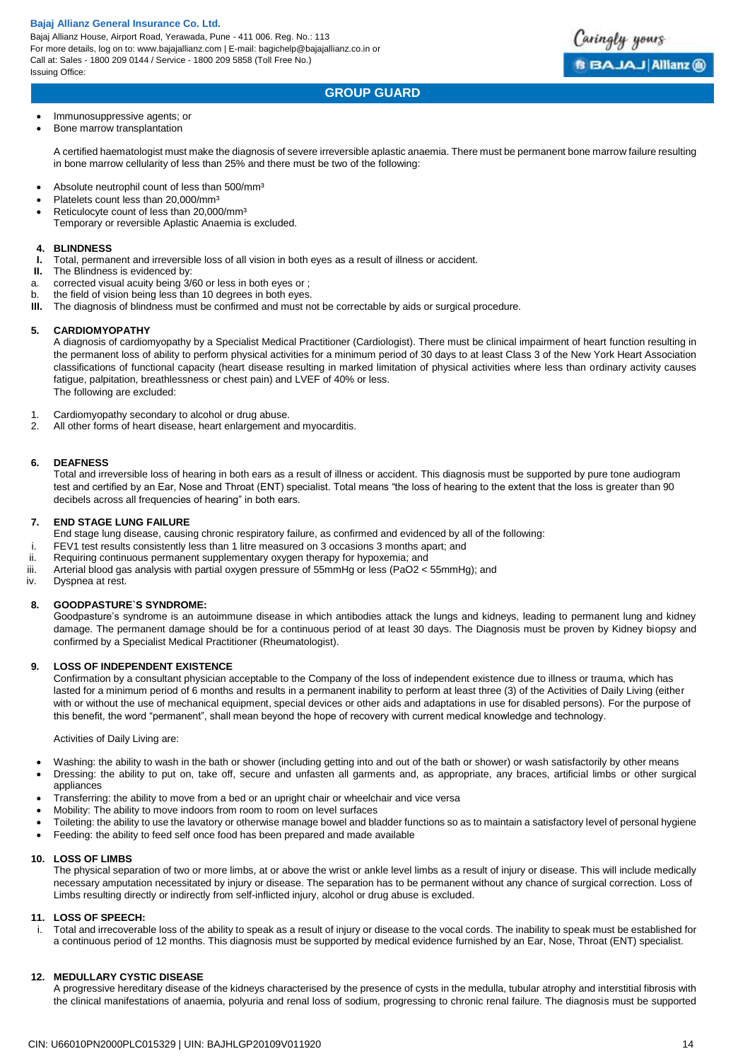Bajaj Allianz House, Airport Road, Yerawada, Pune - 411 006. Reg. No.: 113 For more details, log on to: www.bajajallianz.com | E-mail: bagichelp@bajajallianz.co.in or Call at: Sales - 1800 209 0144 / Service - 1800 209 5858 (Toll Free No.) Issuing Office:



# **GROUP GUARD**

#### Immunosuppressive agents; or

• Bone marrow transplantation

A certified haematologist must make the diagnosis of severe irreversible aplastic anaemia. There must be permanent bone marrow failure resulting in bone marrow cellularity of less than 25% and there must be two of the following:

- Absolute neutrophil count of less than 500/mm<sup>3</sup>
- Platelets count less than 20,000/mm<sup>3</sup>
- Reticulocyte count of less than 20,000/mm³ Temporary or reversible Aplastic Anaemia is excluded.

#### **4. BLINDNESS**

- **I.** Total, permanent and irreversible loss of all vision in both eyes as a result of illness or accident.
- **II.** The Blindness is evidenced by:
- a. corrected visual acuity being 3/60 or less in both eyes or ;
- b. the field of vision being less than 10 degrees in both eyes.
- **III.** The diagnosis of blindness must be confirmed and must not be correctable by aids or surgical procedure.

#### **5. CARDIOMYOPATHY**

A diagnosis of cardiomyopathy by a Specialist Medical Practitioner (Cardiologist). There must be clinical impairment of heart function resulting in the permanent loss of ability to perform physical activities for a minimum period of 30 days to at least Class 3 of the New York Heart Association classifications of functional capacity (heart disease resulting in marked limitation of physical activities where less than ordinary activity causes fatigue, palpitation, breathlessness or chest pain) and LVEF of 40% or less. The following are excluded:

- 1. Cardiomyopathy secondary to alcohol or drug abuse.
- 2. All other forms of heart disease, heart enlargement and myocarditis.

#### **6. DEAFNESS**

Total and irreversible loss of hearing in both ears as a result of illness or accident. This diagnosis must be supported by pure tone audiogram test and certified by an Ear, Nose and Throat (ENT) specialist. Total means "the loss of hearing to the extent that the loss is greater than 90 decibels across all frequencies of hearing" in both ears.

#### **7. END STAGE LUNG FAILURE**

- End stage lung disease, causing chronic respiratory failure, as confirmed and evidenced by all of the following:
- i. FEV1 test results consistently less than 1 litre measured on 3 occasions 3 months apart; and
- ii. Requiring continuous permanent supplementary oxygen therapy for hypoxemia; and<br>iii. Arterial blood gas analysis with partial oxygen pressure of 55mmHg or less (PaO2 <
- Arterial blood gas analysis with partial oxygen pressure of 55mmHg or less (PaO2 < 55mmHg); and
- iv. Dyspnea at rest.

#### **8. GOODPASTURE`S SYNDROME:**

Goodpasture's syndrome is an autoimmune disease in which antibodies attack the lungs and kidneys, leading to permanent lung and kidney damage. The permanent damage should be for a continuous period of at least 30 days. The Diagnosis must be proven by Kidney biopsy and confirmed by a Specialist Medical Practitioner (Rheumatologist).

#### **9. LOSS OF INDEPENDENT EXISTENCE**

Confirmation by a consultant physician acceptable to the Company of the loss of independent existence due to illness or trauma, which has lasted for a minimum period of 6 months and results in a permanent inability to perform at least three (3) of the Activities of Daily Living (either with or without the use of mechanical equipment, special devices or other aids and adaptations in use for disabled persons). For the purpose of this benefit, the word "permanent", shall mean beyond the hope of recovery with current medical knowledge and technology.

Activities of Daily Living are:

- Washing: the ability to wash in the bath or shower (including getting into and out of the bath or shower) or wash satisfactorily by other means
- Dressing: the ability to put on, take off, secure and unfasten all garments and, as appropriate, any braces, artificial limbs or other surgical appliances
- Transferring: the ability to move from a bed or an upright chair or wheelchair and vice versa
- Mobility: The ability to move indoors from room to room on level surfaces
- Toileting: the ability to use the lavatory or otherwise manage bowel and bladder functions so as to maintain a satisfactory level of personal hygiene
- Feeding: the ability to feed self once food has been prepared and made available

#### **10. LOSS OF LIMBS**

The physical separation of two or more limbs, at or above the wrist or ankle level limbs as a result of injury or disease. This will include medically necessary amputation necessitated by injury or disease. The separation has to be permanent without any chance of surgical correction. Loss of Limbs resulting directly or indirectly from self-inflicted injury, alcohol or drug abuse is excluded.

#### **11. LOSS OF SPEECH:**

i. Total and irrecoverable loss of the ability to speak as a result of injury or disease to the vocal cords. The inability to speak must be established for a continuous period of 12 months. This diagnosis must be supported by medical evidence furnished by an Ear, Nose, Throat (ENT) specialist.

#### **12. MEDULLARY CYSTIC DISEASE**

A progressive hereditary disease of the kidneys characterised by the presence of cysts in the medulla, tubular atrophy and interstitial fibrosis with the clinical manifestations of anaemia, polyuria and renal loss of sodium, progressing to chronic renal failure. The diagnosis must be supported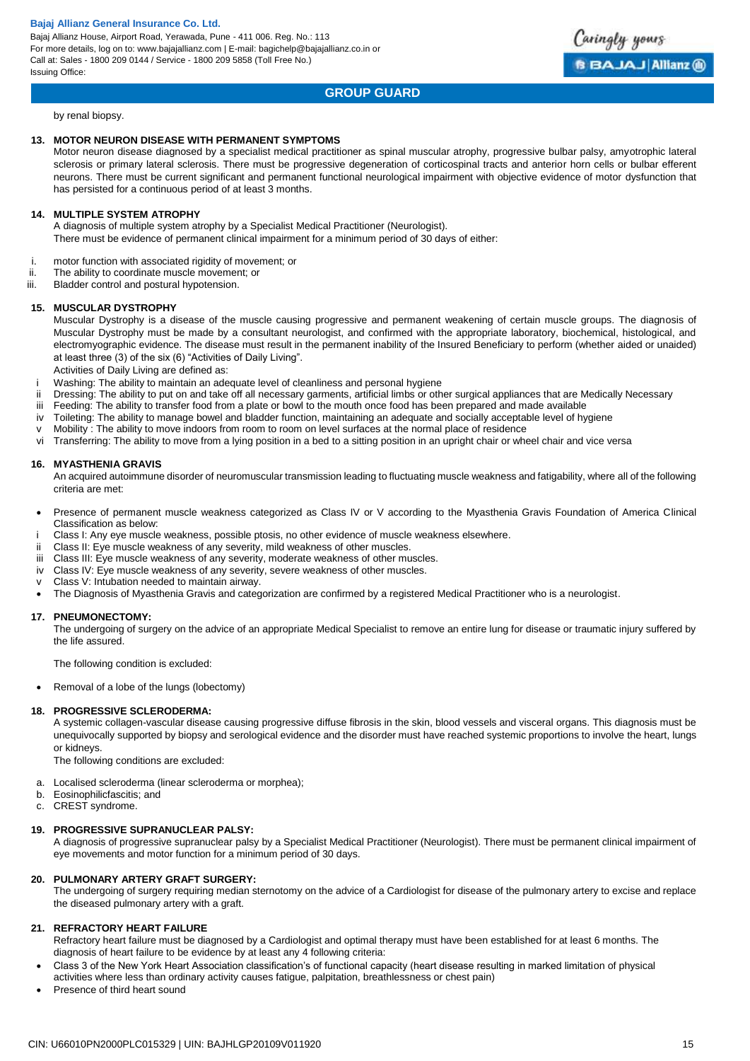Bajaj Allianz House, Airport Road, Yerawada, Pune - 411 006. Reg. No.: 113 For more details, log on to: www.bajajallianz.com | E-mail: bagichelp@bajajallianz.co.in or Call at: Sales - 1800 209 0144 / Service - 1800 209 5858 (Toll Free No.) Issuing Office:



# **GROUP GUARD**

by renal biopsy.

### **13. MOTOR NEURON DISEASE WITH PERMANENT SYMPTOMS**

Motor neuron disease diagnosed by a specialist medical practitioner as spinal muscular atrophy, progressive bulbar palsy, amyotrophic lateral sclerosis or primary lateral sclerosis. There must be progressive degeneration of corticospinal tracts and anterior horn cells or bulbar efferent neurons. There must be current significant and permanent functional neurological impairment with objective evidence of motor dysfunction that has persisted for a continuous period of at least 3 months.

#### **14. MULTIPLE SYSTEM ATROPHY**

A diagnosis of multiple system atrophy by a Specialist Medical Practitioner (Neurologist). There must be evidence of permanent clinical impairment for a minimum period of 30 days of either:

- i. motor function with associated rigidity of movement; or<br>ii The ability to coordinate muscle movement; or
- The ability to coordinate muscle movement; or
- iii. Bladder control and postural hypotension.

#### **15. MUSCULAR DYSTROPHY**

Muscular Dystrophy is a disease of the muscle causing progressive and permanent weakening of certain muscle groups. The diagnosis of Muscular Dystrophy must be made by a consultant neurologist, and confirmed with the appropriate laboratory, biochemical, histological, and electromyographic evidence. The disease must result in the permanent inability of the Insured Beneficiary to perform (whether aided or unaided) at least three (3) of the six (6) "Activities of Daily Living".

Activities of Daily Living are defined as:

- Washing: The ability to maintain an adequate level of cleanliness and personal hygiene
- ii Dressing: The ability to put on and take off all necessary garments, artificial limbs or other surgical appliances that are Medically Necessary
- iii Feeding: The ability to transfer food from a plate or bowl to the mouth once food has been prepared and made available
- iv Toileting: The ability to manage bowel and bladder function, maintaining an adequate and socially acceptable level of hygiene
- v Mobility : The ability to move indoors from room to room on level surfaces at the normal place of residence
- vi Transferring: The ability to move from a lying position in a bed to a sitting position in an upright chair or wheel chair and vice versa

#### **16. MYASTHENIA GRAVIS**

An acquired autoimmune disorder of neuromuscular transmission leading to fluctuating muscle weakness and fatigability, where all of the following criteria are met:

- Presence of permanent muscle weakness categorized as Class IV or V according to the Myasthenia Gravis Foundation of America Clinical Classification as below:
- i Class I: Any eye muscle weakness, possible ptosis, no other evidence of muscle weakness elsewhere.
- ii Class II: Eye muscle weakness of any severity, mild weakness of other muscles.
- iii Class III: Eye muscle weakness of any severity, moderate weakness of other muscles.
- iv Class IV: Eye muscle weakness of any severity, severe weakness of other muscles.
- v Class V: Intubation needed to maintain airway.
- The Diagnosis of Myasthenia Gravis and categorization are confirmed by a registered Medical Practitioner who is a neurologist.

#### **17. PNEUMONECTOMY:**

The undergoing of surgery on the advice of an appropriate Medical Specialist to remove an entire lung for disease or traumatic injury suffered by the life assured.

The following condition is excluded:

• Removal of a lobe of the lungs (lobectomy)

#### **18. PROGRESSIVE SCLERODERMA:**

A systemic collagen-vascular disease causing progressive diffuse fibrosis in the skin, blood vessels and visceral organs. This diagnosis must be unequivocally supported by biopsy and serological evidence and the disorder must have reached systemic proportions to involve the heart, lungs or kidneys.

The following conditions are excluded:

- a. Localised scleroderma (linear scleroderma or morphea);
- b. Eosinophilicfascitis; and
- c. CREST syndrome.

#### **19. PROGRESSIVE SUPRANUCLEAR PALSY:**

A diagnosis of progressive supranuclear palsy by a Specialist Medical Practitioner (Neurologist). There must be permanent clinical impairment of eye movements and motor function for a minimum period of 30 days.

#### **20. PULMONARY ARTERY GRAFT SURGERY:**

The undergoing of surgery requiring median sternotomy on the advice of a Cardiologist for disease of the pulmonary artery to excise and replace the diseased pulmonary artery with a graft.

#### **21. REFRACTORY HEART FAILURE**

Refractory heart failure must be diagnosed by a Cardiologist and optimal therapy must have been established for at least 6 months. The diagnosis of heart failure to be evidence by at least any 4 following criteria:

- Class 3 of the New York Heart Association classification's of functional capacity (heart disease resulting in marked limitation of physical
- activities where less than ordinary activity causes fatigue, palpitation, breathlessness or chest pain)
- Presence of third heart sound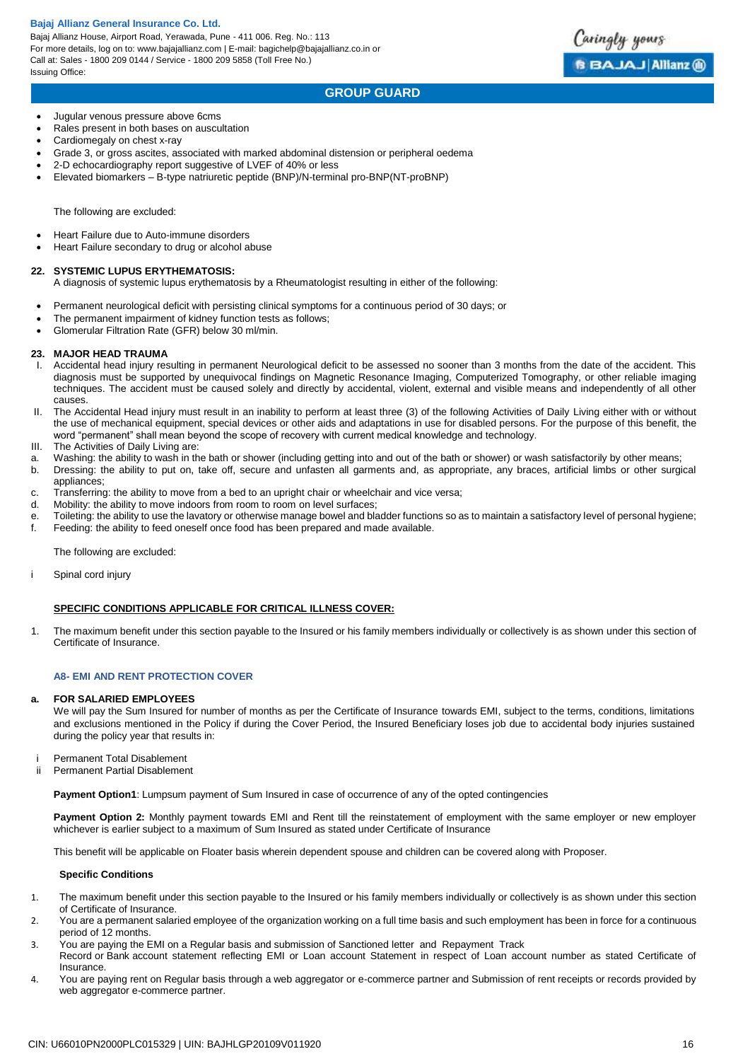Bajaj Allianz House, Airport Road, Yerawada, Pune - 411 006. Reg. No.: 113 For more details, log on to: www.bajajallianz.com | E-mail: bagichelp@bajajallianz.co.in or Call at: Sales - 1800 209 0144 / Service - 1800 209 5858 (Toll Free No.) Issuing Office:



# **GROUP GUARD**

Jugular venous pressure above 6cms

- Rales present in both bases on auscultation
- Cardiomegaly on chest x-ray
- Grade 3, or gross ascites, associated with marked abdominal distension or peripheral oedema
- 2-D echocardiography report suggestive of LVEF of 40% or less
- Elevated biomarkers B-type natriuretic peptide (BNP)/N-terminal pro-BNP(NT-proBNP)

The following are excluded:

- Heart Failure due to Auto-immune disorders
- Heart Failure secondary to drug or alcohol abuse

#### **22. SYSTEMIC LUPUS ERYTHEMATOSIS:**

- A diagnosis of systemic lupus erythematosis by a Rheumatologist resulting in either of the following:
- Permanent neurological deficit with persisting clinical symptoms for a continuous period of 30 days; or
- The permanent impairment of kidney function tests as follows;
- Glomerular Filtration Rate (GFR) below 30 ml/min.

#### **23. MAJOR HEAD TRAUMA**

- I. Accidental head injury resulting in permanent Neurological deficit to be assessed no sooner than 3 months from the date of the accident. This diagnosis must be supported by unequivocal findings on Magnetic Resonance Imaging, Computerized Tomography, or other reliable imaging techniques. The accident must be caused solely and directly by accidental, violent, external and visible means and independently of all other causes.
- II. The Accidental Head injury must result in an inability to perform at least three (3) of the following Activities of Daily Living either with or without the use of mechanical equipment, special devices or other aids and adaptations in use for disabled persons. For the purpose of this benefit, the word "permanent" shall mean beyond the scope of recovery with current medical knowledge and technology.
- III. The Activities of Daily Living are:
- a. Washing: the ability to wash in the bath or shower (including getting into and out of the bath or shower) or wash satisfactorily by other means;
- b. Dressing: the ability to put on, take off, secure and unfasten all garments and, as appropriate, any braces, artificial limbs or other surgical appliances;
- c. Transferring: the ability to move from a bed to an upright chair or wheelchair and vice versa;
- d. Mobility: the ability to move indoors from room to room on level surfaces;
- e. Toileting: the ability to use the lavatory or otherwise manage bowel and bladder functions so as to maintain a satisfactory level of personal hygiene; f. Feeding: the ability to feed oneself once food has been prepared and made available.

The following are excluded:

i Spinal cord injury

#### **SPECIFIC CONDITIONS APPLICABLE FOR CRITICAL ILLNESS COVER:**

1. The maximum benefit under this section payable to the Insured or his family members individually or collectively is as shown under this section of Certificate of Insurance.

### **A8- EMI AND RENT PROTECTION COVER**

#### **a. FOR SALARIED EMPLOYEES**

We will pay the Sum Insured for number of months as per the Certificate of Insurance towards EMI, subject to the terms, conditions, limitations and exclusions mentioned in the Policy if during the Cover Period, the Insured Beneficiary loses job due to accidental body injuries sustained during the policy year that results in:

- i Permanent Total Disablement<br>ii Permanent Partial Disablemer
- Permanent Partial Disablement

**Payment Option1**: Lumpsum payment of Sum Insured in case of occurrence of any of the opted contingencies

Payment Option 2: Monthly payment towards EMI and Rent till the reinstatement of employment with the same employer or new employer whichever is earlier subject to a maximum of Sum Insured as stated under Certificate of Insurance

This benefit will be applicable on Floater basis wherein dependent spouse and children can be covered along with Proposer.

#### **Specific Conditions**

- 1. The maximum benefit under this section payable to the Insured or his family members individually or collectively is as shown under this section of Certificate of Insurance.
- 2. You are a permanent salaried employee of the organization working on a full time basis and such employment has been in force for a continuous period of 12 months.
- 3. You are paying the EMI on a Regular basis and submission of Sanctioned letter and Repayment Track Record or Bank account statement reflecting EMI or Loan account Statement in respect of Loan account number as stated Certificate of **Insurance**
- 4. You are paying rent on Regular basis through a web aggregator or e-commerce partner and Submission of rent receipts or records provided by web aggregator e-commerce partner.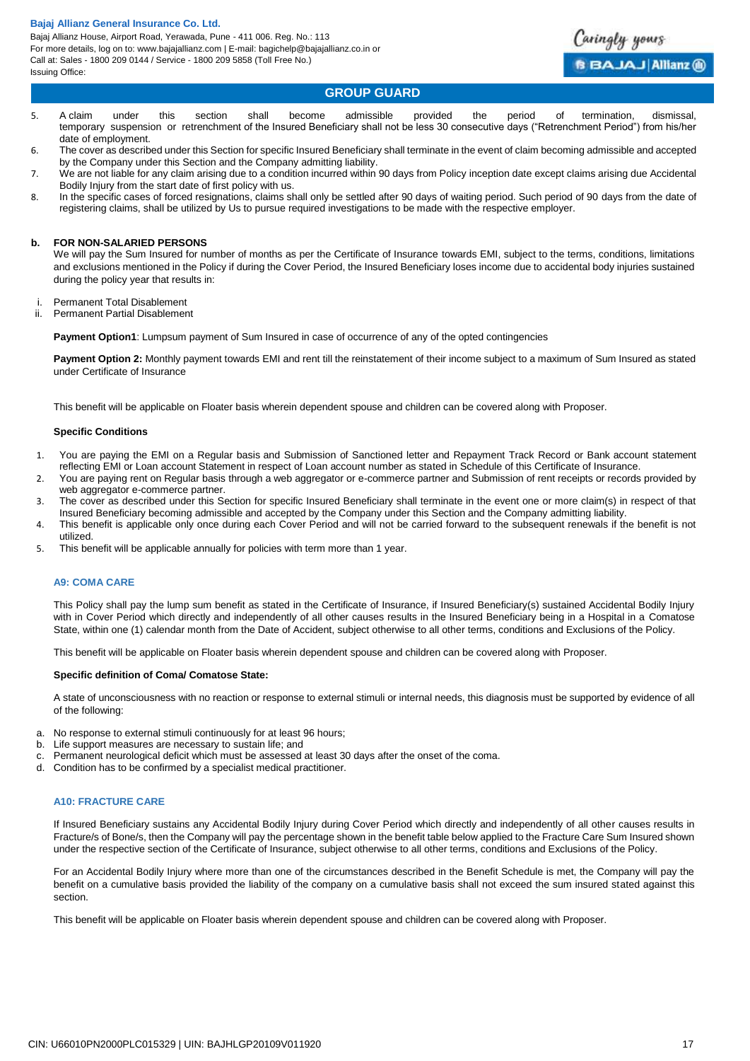Bajaj Allianz House, Airport Road, Yerawada, Pune - 411 006. Reg. No.: 113 For more details, log on to: www.bajajallianz.com | E-mail: bagichelp@bajajallianz.co.in or Call at: Sales - 1800 209 0144 / Service - 1800 209 5858 (Toll Free No.) Issuing Office:



# **GROUP GUARD**

- 5. A claim under this section shall become admissible provided the period of termination, dismissal, temporary suspension or retrenchment of the Insured Beneficiary shall not be less 30 consecutive days ("Retrenchment Period") from his/her date of employment.
- 6. The cover as described under this Section for specific Insured Beneficiary shall terminate in the event of claim becoming admissible and accepted by the Company under this Section and the Company admitting liability.
- 7. We are not liable for any claim arising due to a condition incurred within 90 days from Policy inception date except claims arising due Accidental Bodily Injury from the start date of first policy with us.
- 8. In the specific cases of forced resignations, claims shall only be settled after 90 days of waiting period. Such period of 90 days from the date of registering claims, shall be utilized by Us to pursue required investigations to be made with the respective employer.

#### **b. FOR NON-SALARIED PERSONS**

We will pay the Sum Insured for number of months as per the Certificate of Insurance towards EMI, subject to the terms, conditions, limitations and exclusions mentioned in the Policy if during the Cover Period, the Insured Beneficiary loses income due to accidental body injuries sustained during the policy year that results in:

- i. Permanent Total Disablement
- ii. Permanent Partial Disablement

**Payment Option1**: Lumpsum payment of Sum Insured in case of occurrence of any of the opted contingencies

**Payment Option 2:** Monthly payment towards EMI and rent till the reinstatement of their income subject to a maximum of Sum Insured as stated under Certificate of Insurance

This benefit will be applicable on Floater basis wherein dependent spouse and children can be covered along with Proposer.

#### **Specific Conditions**

- 1. You are paying the EMI on a Regular basis and Submission of Sanctioned letter and Repayment Track Record or Bank account statement reflecting EMI or Loan account Statement in respect of Loan account number as stated in Schedule of this Certificate of Insurance.
- 2. You are paying rent on Regular basis through a web aggregator or e-commerce partner and Submission of rent receipts or records provided by web aggregator e-commerce partner.
- 3. The cover as described under this Section for specific Insured Beneficiary shall terminate in the event one or more claim(s) in respect of that Insured Beneficiary becoming admissible and accepted by the Company under this Section and the Company admitting liability.
- 4. This benefit is applicable only once during each Cover Period and will not be carried forward to the subsequent renewals if the benefit is not utilized.
- 5. This benefit will be applicable annually for policies with term more than 1 year.

#### **A9: COMA CARE**

This Policy shall pay the lump sum benefit as stated in the Certificate of Insurance, if Insured Beneficiary(s) sustained Accidental Bodily Injury with in Cover Period which directly and independently of all other causes results in the Insured Beneficiary being in a Hospital in a Comatose State, within one (1) calendar month from the Date of Accident, subject otherwise to all other terms, conditions and Exclusions of the Policy.

This benefit will be applicable on Floater basis wherein dependent spouse and children can be covered along with Proposer.

#### **Specific definition of Coma/ Comatose State:**

A state of unconsciousness with no reaction or response to external stimuli or internal needs, this diagnosis must be supported by evidence of all of the following:

- a. No response to external stimuli continuously for at least 96 hours;
- b. Life support measures are necessary to sustain life; and
- c. Permanent neurological deficit which must be assessed at least 30 days after the onset of the coma.
- d. Condition has to be confirmed by a specialist medical practitioner.

#### **A10: FRACTURE CARE**

If Insured Beneficiary sustains any Accidental Bodily Injury during Cover Period which directly and independently of all other causes results in Fracture/s of Bone/s, then the Company will pay the percentage shown in the benefit table below applied to the Fracture Care Sum Insured shown under the respective section of the Certificate of Insurance, subject otherwise to all other terms, conditions and Exclusions of the Policy.

For an Accidental Bodily Injury where more than one of the circumstances described in the Benefit Schedule is met, the Company will pay the benefit on a cumulative basis provided the liability of the company on a cumulative basis shall not exceed the sum insured stated against this section.

This benefit will be applicable on Floater basis wherein dependent spouse and children can be covered along with Proposer.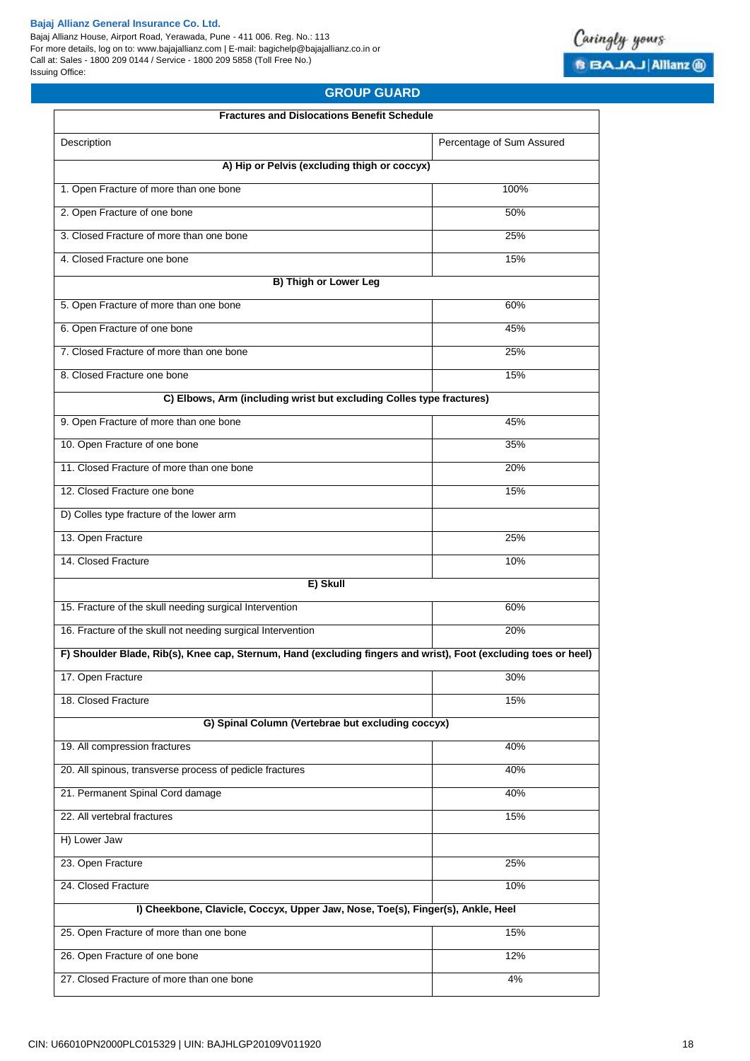Bajaj Allianz House, Airport Road, Yerawada, Pune - 411 006. Reg. No.: 113 For more details, log on to: www.bajajallianz.com | E-mail: bagichelp@bajajallianz.co.in or Call at: Sales - 1800 209 0144 / Service - 1800 209 5858 (Toll Free No.) Issuing Office:



# **GROUP GUARD**

| <b>Fractures and Dislocations Benefit Schedule</b>                                                              |                           |
|-----------------------------------------------------------------------------------------------------------------|---------------------------|
| Description                                                                                                     | Percentage of Sum Assured |
| A) Hip or Pelvis (excluding thigh or coccyx)                                                                    |                           |
| 1. Open Fracture of more than one bone                                                                          | 100%                      |
| 2. Open Fracture of one bone                                                                                    | 50%                       |
| 3. Closed Fracture of more than one bone                                                                        | 25%                       |
| 4. Closed Fracture one bone                                                                                     | 15%                       |
| <b>B) Thigh or Lower Leg</b>                                                                                    |                           |
| 5. Open Fracture of more than one bone                                                                          | 60%                       |
| 6. Open Fracture of one bone                                                                                    | 45%                       |
| 7. Closed Fracture of more than one bone                                                                        | 25%                       |
| 8. Closed Fracture one bone                                                                                     | 15%                       |
| C) Elbows, Arm (including wrist but excluding Colles type fractures)                                            |                           |
| 9. Open Fracture of more than one bone                                                                          | 45%                       |
| 10. Open Fracture of one bone                                                                                   | 35%                       |
| 11. Closed Fracture of more than one bone                                                                       | 20%                       |
| 12. Closed Fracture one bone                                                                                    | 15%                       |
| D) Colles type fracture of the lower arm                                                                        |                           |
| 13. Open Fracture                                                                                               | 25%                       |
| 14. Closed Fracture                                                                                             | 10%                       |
| E) Skull                                                                                                        |                           |
| 15. Fracture of the skull needing surgical Intervention                                                         | 60%                       |
| 16. Fracture of the skull not needing surgical Intervention                                                     | 20%                       |
| F) Shoulder Blade, Rib(s), Knee cap, Sternum, Hand (excluding fingers and wrist), Foot (excluding toes or heel) |                           |
| 17. Open Fracture                                                                                               | 30%                       |
| 18. Closed Fracture                                                                                             | 15%                       |
| G) Spinal Column (Vertebrae but excluding coccyx)                                                               |                           |
| 19. All compression fractures                                                                                   | 40%                       |
| 20. All spinous, transverse process of pedicle fractures                                                        | 40%                       |
| 21. Permanent Spinal Cord damage                                                                                | 40%                       |
| 22. All vertebral fractures                                                                                     | 15%                       |
| H) Lower Jaw                                                                                                    |                           |
| 23. Open Fracture                                                                                               | 25%                       |
| 24. Closed Fracture                                                                                             | 10%                       |
| I) Cheekbone, Clavicle, Coccyx, Upper Jaw, Nose, Toe(s), Finger(s), Ankle, Heel                                 |                           |
| 25. Open Fracture of more than one bone                                                                         | 15%                       |
| 26. Open Fracture of one bone                                                                                   | 12%                       |
| 27. Closed Fracture of more than one bone                                                                       | 4%                        |
|                                                                                                                 |                           |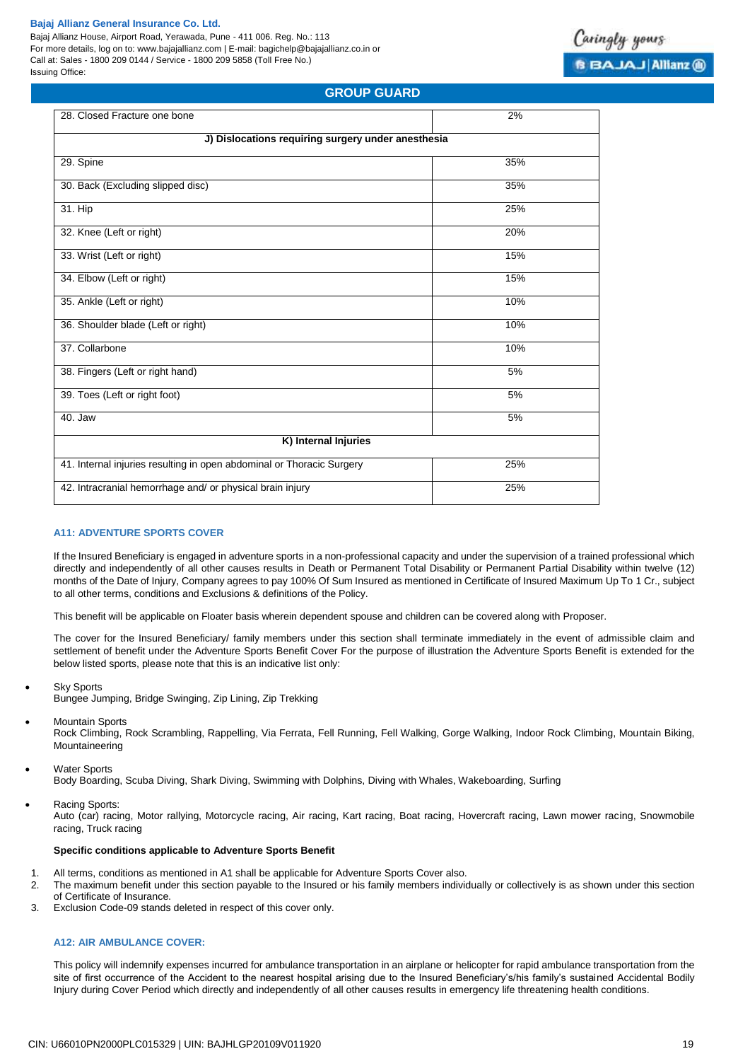Bajaj Allianz House, Airport Road, Yerawada, Pune - 411 006. Reg. No.: 113 For more details, log on to: www.bajajallianz.com | E-mail: bagichelp@bajajallianz.co.in or Call at: Sales - 1800 209 0144 / Service - 1800 209 5858 (Toll Free No.) Issuing Office:



# **GROUP GUARD**

| 28. Closed Fracture one bone                                          | 2%  |  |  |  |  |
|-----------------------------------------------------------------------|-----|--|--|--|--|
| J) Dislocations requiring surgery under anesthesia                    |     |  |  |  |  |
| 29. Spine                                                             | 35% |  |  |  |  |
| 30. Back (Excluding slipped disc)                                     | 35% |  |  |  |  |
| 31. Hip                                                               | 25% |  |  |  |  |
| 32. Knee (Left or right)                                              | 20% |  |  |  |  |
| 33. Wrist (Left or right)                                             | 15% |  |  |  |  |
| 34. Elbow (Left or right)                                             | 15% |  |  |  |  |
| 35. Ankle (Left or right)                                             | 10% |  |  |  |  |
| 36. Shoulder blade (Left or right)                                    | 10% |  |  |  |  |
| 37. Collarbone                                                        | 10% |  |  |  |  |
| 38. Fingers (Left or right hand)                                      | 5%  |  |  |  |  |
| 39. Toes (Left or right foot)                                         | 5%  |  |  |  |  |
| 40. Jaw                                                               | 5%  |  |  |  |  |
| K) Internal Injuries                                                  |     |  |  |  |  |
| 41. Internal injuries resulting in open abdominal or Thoracic Surgery | 25% |  |  |  |  |
| 42. Intracranial hemorrhage and/ or physical brain injury             | 25% |  |  |  |  |

#### **A11: ADVENTURE SPORTS COVER**

If the Insured Beneficiary is engaged in adventure sports in a non-professional capacity and under the supervision of a trained professional which directly and independently of all other causes results in Death or Permanent Total Disability or Permanent Partial Disability within twelve (12) months of the Date of Injury, Company agrees to pay 100% Of Sum Insured as mentioned in Certificate of Insured Maximum Up To 1 Cr., subject to all other terms, conditions and Exclusions & definitions of the Policy.

This benefit will be applicable on Floater basis wherein dependent spouse and children can be covered along with Proposer.

The cover for the Insured Beneficiary/ family members under this section shall terminate immediately in the event of admissible claim and settlement of benefit under the Adventure Sports Benefit Cover For the purpose of illustration the Adventure Sports Benefit is extended for the below listed sports, please note that this is an indicative list only:

- Sky Sports
- Bungee Jumping, Bridge Swinging, Zip Lining, Zip Trekking
- Mountain Sports

Rock Climbing, Rock Scrambling, Rappelling, Via Ferrata, Fell Running, Fell Walking, Gorge Walking, Indoor Rock Climbing, Mountain Biking, Mountaineering

Water Sports Body Boarding, Scuba Diving, Shark Diving, Swimming with Dolphins, Diving with Whales, Wakeboarding, Surfing

Racing Sports:

Auto (car) racing, Motor rallying, Motorcycle racing, Air racing, Kart racing, Boat racing, Hovercraft racing, Lawn mower racing, Snowmobile racing, Truck racing

#### **Specific conditions applicable to Adventure Sports Benefit**

- 1. All terms, conditions as mentioned in A1 shall be applicable for Adventure Sports Cover also.
- 2. The maximum benefit under this section payable to the Insured or his family members individually or collectively is as shown under this section of Certificate of Insurance.
- 3. Exclusion Code-09 stands deleted in respect of this cover only.

### **A12: AIR AMBULANCE COVER:**

This policy will indemnify expenses incurred for ambulance transportation in an airplane or helicopter for rapid ambulance transportation from the site of first occurrence of the Accident to the nearest hospital arising due to the Insured Beneficiary's/his family's sustained Accidental Bodily Injury during Cover Period which directly and independently of all other causes results in emergency life threatening health conditions.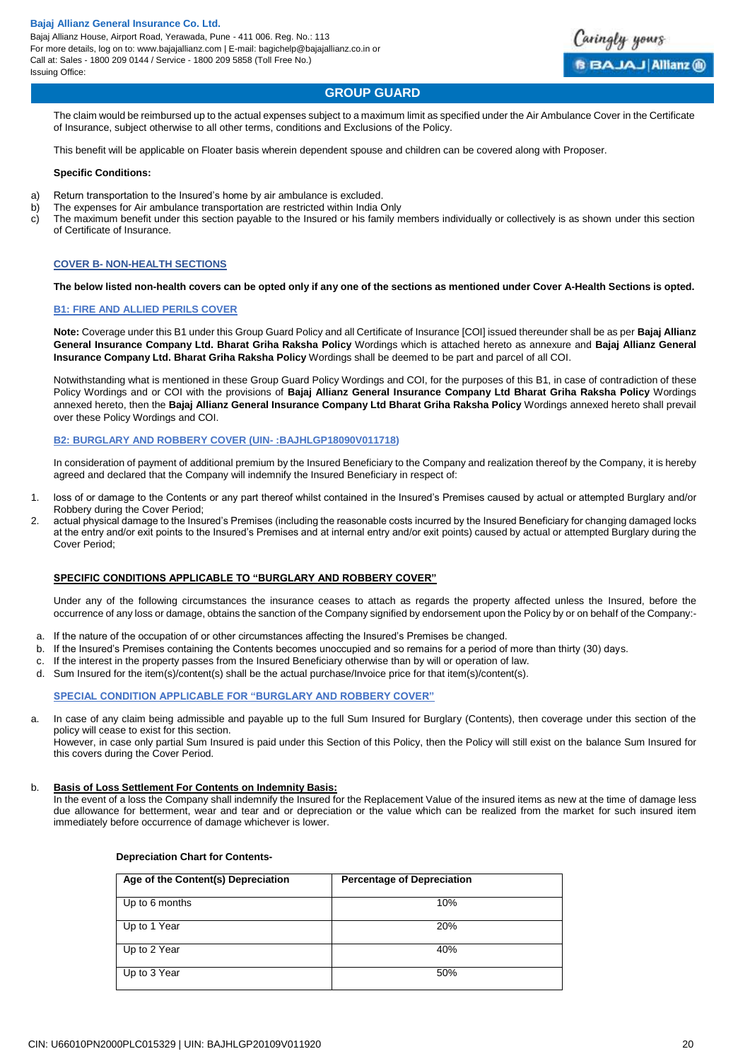

# **GROUP GUARD**

The claim would be reimbursed up to the actual expenses subject to a maximum limit as specified under the Air Ambulance Cover in the Certificate of Insurance, subject otherwise to all other terms, conditions and Exclusions of the Policy.

This benefit will be applicable on Floater basis wherein dependent spouse and children can be covered along with Proposer.

#### **Specific Conditions:**

- a) Return transportation to the Insured's home by air ambulance is excluded.
- b) The expenses for Air ambulance transportation are restricted within India Only
- c) The maximum benefit under this section payable to the Insured or his family members individually or collectively is as shown under this section of Certificate of Insurance.

#### **COVER B- NON-HEALTH SECTIONS**

#### **The below listed non-health covers can be opted only if any one of the sections as mentioned under Cover A-Health Sections is opted.**

#### **B1: FIRE AND ALLIED PERILS COVER**

**Note:** Coverage under this B1 under this Group Guard Policy and all Certificate of Insurance [COI] issued thereunder shall be as per **Bajaj Allianz General Insurance Company Ltd. Bharat Griha Raksha Policy** Wordings which is attached hereto as annexure and **Bajaj Allianz General Insurance Company Ltd. Bharat Griha Raksha Policy** Wordings shall be deemed to be part and parcel of all COI.

Notwithstanding what is mentioned in these Group Guard Policy Wordings and COI, for the purposes of this B1, in case of contradiction of these Policy Wordings and or COI with the provisions of **Bajaj Allianz General Insurance Company Ltd Bharat Griha Raksha Policy** Wordings annexed hereto, then the **Bajaj Allianz General Insurance Company Ltd Bharat Griha Raksha Policy** Wordings annexed hereto shall prevail over these Policy Wordings and COI.

#### **B2: BURGLARY AND ROBBERY COVER (UIN- :BAJHLGP18090V011718)**

In consideration of payment of additional premium by the Insured Beneficiary to the Company and realization thereof by the Company, it is hereby agreed and declared that the Company will indemnify the Insured Beneficiary in respect of:

- 1. loss of or damage to the Contents or any part thereof whilst contained in the Insured's Premises caused by actual or attempted Burglary and/or Robbery during the Cover Period;
- 2. actual physical damage to the Insured's Premises (including the reasonable costs incurred by the Insured Beneficiary for changing damaged locks at the entry and/or exit points to the Insured's Premises and at internal entry and/or exit points) caused by actual or attempted Burglary during the Cover Period;

#### **SPECIFIC CONDITIONS APPLICABLE TO "BURGLARY AND ROBBERY COVER"**

Under any of the following circumstances the insurance ceases to attach as regards the property affected unless the Insured, before the occurrence of any loss or damage, obtains the sanction of the Company signified by endorsement upon the Policy by or on behalf of the Company:-

- a. If the nature of the occupation of or other circumstances affecting the Insured's Premises be changed.
- b. If the Insured's Premises containing the Contents becomes unoccupied and so remains for a period of more than thirty (30) days.
- c. If the interest in the property passes from the Insured Beneficiary otherwise than by will or operation of law.
- d. Sum Insured for the item(s)/content(s) shall be the actual purchase/Invoice price for that item(s)/content(s).

#### **SPECIAL CONDITION APPLICABLE FOR "BURGLARY AND ROBBERY COVER"**

a. In case of any claim being admissible and payable up to the full Sum Insured for Burglary (Contents), then coverage under this section of the policy will cease to exist for this section.

However, in case only partial Sum Insured is paid under this Section of this Policy, then the Policy will still exist on the balance Sum Insured for this covers during the Cover Period.

#### b. **Basis of Loss Settlement For Contents on Indemnity Basis:**

In the event of a loss the Company shall indemnify the Insured for the Replacement Value of the insured items as new at the time of damage less due allowance for betterment, wear and tear and or depreciation or the value which can be realized from the market for such insured item immediately before occurrence of damage whichever is lower.

#### **Depreciation Chart for Contents-**

| Age of the Content(s) Depreciation | <b>Percentage of Depreciation</b> |
|------------------------------------|-----------------------------------|
| Up to 6 months                     | 10%                               |
| Up to 1 Year                       | 20%                               |
| Up to 2 Year                       | 40%                               |
| Up to 3 Year                       | 50%                               |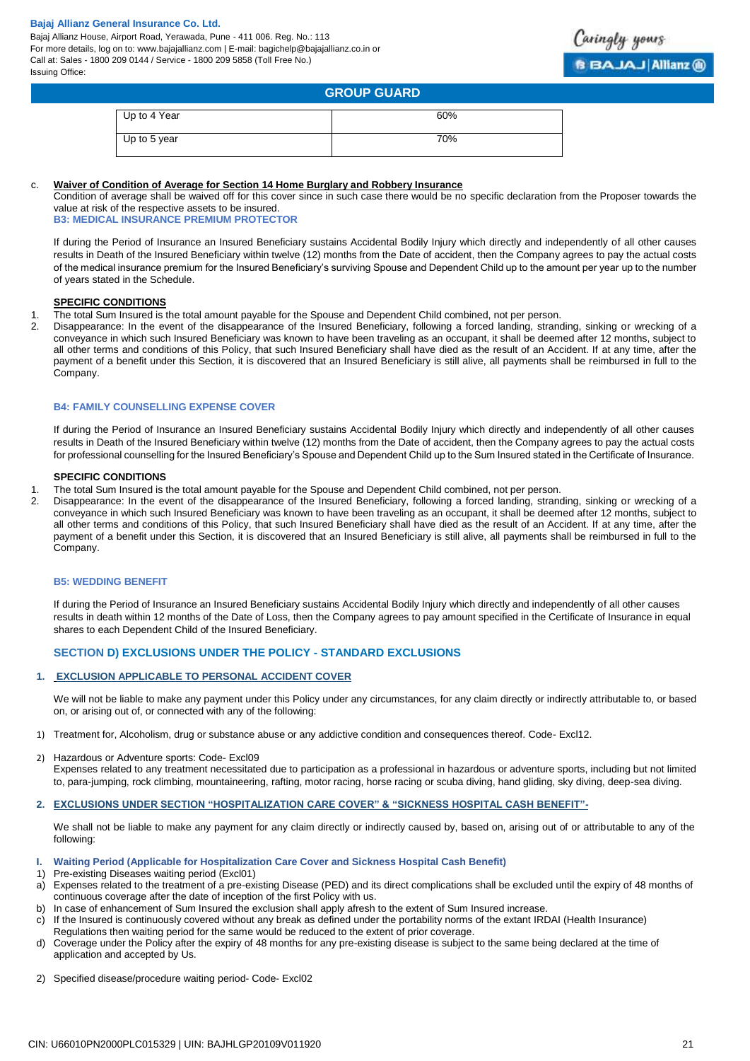Bajaj Allianz House, Airport Road, Yerawada, Pune - 411 006. Reg. No.: 113 For more details, log on to: www.bajajallianz.com | E-mail: bagichelp@bajajallianz.co.in or Call at: Sales - 1800 209 0144 / Service - 1800 209 5858 (Toll Free No.) Issuing Office:



# **GROUP GUARD** Up to 4 Year 60%

| . .          |     |
|--------------|-----|
| Up to 5 year | 70% |
|              |     |
|              |     |

### c. **Waiver of Condition of Average for Section 14 Home Burglary and Robbery Insurance**

Condition of average shall be waived off for this cover since in such case there would be no specific declaration from the Proposer towards the value at risk of the respective assets to be insured.

**B3: MEDICAL INSURANCE PREMIUM PROTECTOR**

If during the Period of Insurance an Insured Beneficiary sustains Accidental Bodily Injury which directly and independently of all other causes results in Death of the Insured Beneficiary within twelve (12) months from the Date of accident, then the Company agrees to pay the actual costs of the medical insurance premium for the Insured Beneficiary's surviving Spouse and Dependent Child up to the amount per year up to the number of years stated in the Schedule.

### **SPECIFIC CONDITIONS**

- 1. The total Sum Insured is the total amount payable for the Spouse and Dependent Child combined, not per person.<br>2. Disappearance: In the event of the disappearance of the Insured Beneficiary following a forced landing st
- 2. Disappearance: In the event of the disappearance of the Insured Beneficiary, following a forced landing, stranding, sinking or wrecking of a conveyance in which such Insured Beneficiary was known to have been traveling as an occupant, it shall be deemed after 12 months, subject to all other terms and conditions of this Policy, that such Insured Beneficiary shall have died as the result of an Accident. If at any time, after the payment of a benefit under this Section, it is discovered that an Insured Beneficiary is still alive, all payments shall be reimbursed in full to the Company.

#### **B4: FAMILY COUNSELLING EXPENSE COVER**

If during the Period of Insurance an Insured Beneficiary sustains Accidental Bodily Injury which directly and independently of all other causes results in Death of the Insured Beneficiary within twelve (12) months from the Date of accident, then the Company agrees to pay the actual costs for professional counselling for the Insured Beneficiary's Spouse and Dependent Child up to the Sum Insured stated in the Certificate of Insurance.

#### **SPECIFIC CONDITIONS**

- 1. The total Sum Insured is the total amount payable for the Spouse and Dependent Child combined, not per person.
- 2. Disappearance: In the event of the disappearance of the Insured Beneficiary, following a forced landing, stranding, sinking or wrecking of a conveyance in which such Insured Beneficiary was known to have been traveling as an occupant, it shall be deemed after 12 months, subject to all other terms and conditions of this Policy, that such Insured Beneficiary shall have died as the result of an Accident. If at any time, after the payment of a benefit under this Section, it is discovered that an Insured Beneficiary is still alive, all payments shall be reimbursed in full to the Company.

#### **B5: WEDDING BENEFIT**

If during the Period of Insurance an Insured Beneficiary sustains Accidental Bodily Injury which directly and independently of all other causes results in death within 12 months of the Date of Loss, then the Company agrees to pay amount specified in the Certificate of Insurance in equal shares to each Dependent Child of the Insured Beneficiary.

# **SECTION D) EXCLUSIONS UNDER THE POLICY - STANDARD EXCLUSIONS**

#### **1. EXCLUSION APPLICABLE TO PERSONAL ACCIDENT COVER**

We will not be liable to make any payment under this Policy under any circumstances, for any claim directly or indirectly attributable to, or based on, or arising out of, or connected with any of the following:

- 1) Treatment for, Alcoholism, drug or substance abuse or any addictive condition and consequences thereof. Code- Excl12.
- 2) Hazardous or Adventure sports: Code- Excl09

Expenses related to any treatment necessitated due to participation as a professional in hazardous or adventure sports, including but not limited to, para-jumping, rock climbing, mountaineering, rafting, motor racing, horse racing or scuba diving, hand gliding, sky diving, deep-sea diving.

**2. EXCLUSIONS UNDER SECTION "HOSPITALIZATION CARE COVER" & "SICKNESS HOSPITAL CASH BENEFIT"-**

We shall not be liable to make any payment for any claim directly or indirectly caused by, based on, arising out of or attributable to any of the following:

- **I. Waiting Period (Applicable for Hospitalization Care Cover and Sickness Hospital Cash Benefit)**
- 1) Pre-existing Diseases waiting period (Excl01)
- a) Expenses related to the treatment of a pre-existing Disease (PED) and its direct complications shall be excluded until the expiry of 48 months of continuous coverage after the date of inception of the first Policy with us.
- b) In case of enhancement of Sum Insured the exclusion shall apply afresh to the extent of Sum Insured increase.
- c) If the Insured is continuously covered without any break as defined under the portability norms of the extant IRDAI (Health Insurance) Regulations then waiting period for the same would be reduced to the extent of prior coverage.
- d) Coverage under the Policy after the expiry of 48 months for any pre-existing disease is subject to the same being declared at the time of application and accepted by Us.
- 2) Specified disease/procedure waiting period- Code- Excl02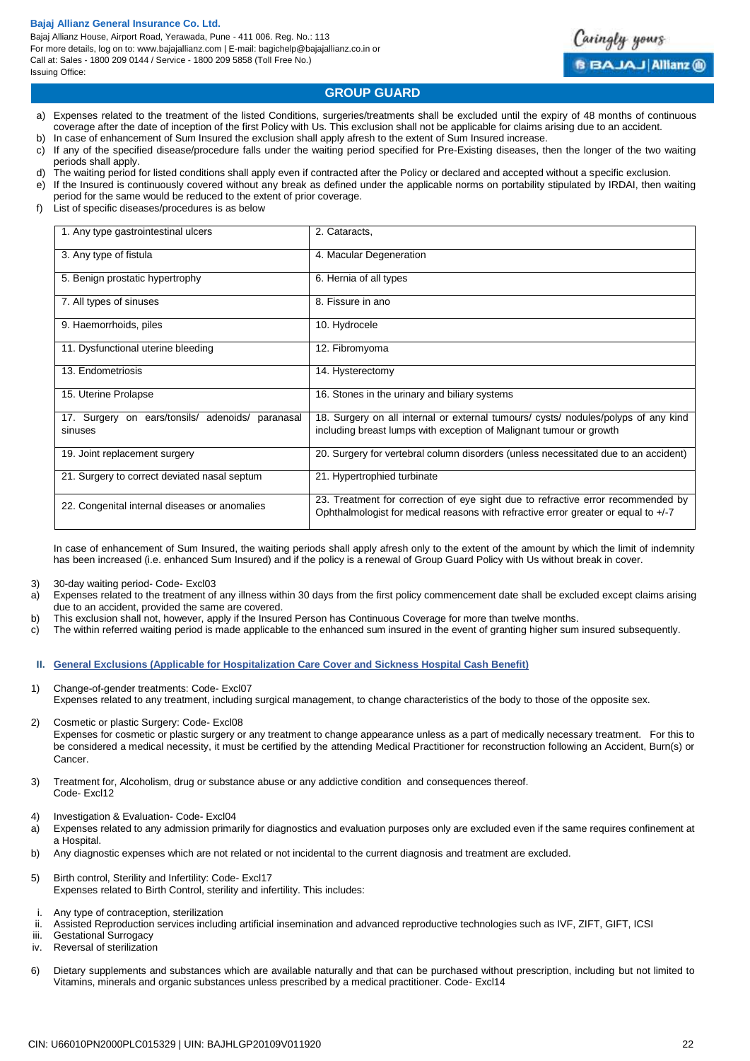Bajaj Allianz House, Airport Road, Yerawada, Pune - 411 006. Reg. No.: 113 For more details, log on to: www.bajajallianz.com | E-mail: bagichelp@bajajallianz.co.in or Call at: Sales - 1800 209 0144 / Service - 1800 209 5858 (Toll Free No.) Issuing Office:



# **GROUP GUARD**

- a) Expenses related to the treatment of the listed Conditions, surgeries/treatments shall be excluded until the expiry of 48 months of continuous coverage after the date of inception of the first Policy with Us. This exclusion shall not be applicable for claims arising due to an accident.
- b) In case of enhancement of Sum Insured the exclusion shall apply afresh to the extent of Sum Insured increase.
- c) If any of the specified disease/procedure falls under the waiting period specified for Pre-Existing diseases, then the longer of the two waiting periods shall apply.
- d) The waiting period for listed conditions shall apply even if contracted after the Policy or declared and accepted without a specific exclusion. e) If the Insured is continuously covered without any break as defined under the applicable norms on portability stipulated by IRDAI, then waiting
- period for the same would be reduced to the extent of prior coverage.
- f) List of specific diseases/procedures is as below

| 1. Any type gastrointestinal ulcers                            | 2. Cataracts,                                                                                                                                                          |
|----------------------------------------------------------------|------------------------------------------------------------------------------------------------------------------------------------------------------------------------|
| 3. Any type of fistula                                         | 4. Macular Degeneration                                                                                                                                                |
| 5. Benign prostatic hypertrophy                                | 6. Hernia of all types                                                                                                                                                 |
| 7. All types of sinuses                                        | 8. Fissure in ano                                                                                                                                                      |
| 9. Haemorrhoids, piles                                         | 10. Hydrocele                                                                                                                                                          |
| 11. Dysfunctional uterine bleeding                             | 12. Fibromyoma                                                                                                                                                         |
| 13. Endometriosis                                              | 14. Hysterectomy                                                                                                                                                       |
| 15. Uterine Prolapse                                           | 16. Stones in the urinary and biliary systems                                                                                                                          |
| 17. Surgery on ears/tonsils/ adenoids/<br>paranasal<br>sinuses | 18. Surgery on all internal or external tumours/ cysts/ nodules/polyps of any kind<br>including breast lumps with exception of Malignant tumour or growth              |
| 19. Joint replacement surgery                                  | 20. Surgery for vertebral column disorders (unless necessitated due to an accident)                                                                                    |
| 21. Surgery to correct deviated nasal septum                   | 21. Hypertrophied turbinate                                                                                                                                            |
| 22. Congenital internal diseases or anomalies                  | 23. Treatment for correction of eye sight due to refractive error recommended by<br>Ophthalmologist for medical reasons with refractive error greater or equal to +/-7 |

In case of enhancement of Sum Insured, the waiting periods shall apply afresh only to the extent of the amount by which the limit of indemnity has been increased (i.e. enhanced Sum Insured) and if the policy is a renewal of Group Guard Policy with Us without break in cover.

- 3) 30-day waiting period- Code- Excl03
- a) Expenses related to the treatment of any illness within 30 days from the first policy commencement date shall be excluded except claims arising due to an accident, provided the same are covered.
- b) This exclusion shall not, however, apply if the Insured Person has Continuous Coverage for more than twelve months.
- c) The within referred waiting period is made applicable to the enhanced sum insured in the event of granting higher sum insured subsequently.
- **II. General Exclusions (Applicable for Hospitalization Care Cover and Sickness Hospital Cash Benefit)**
- 1) Change-of-gender treatments: Code- Excl07 Expenses related to any treatment, including surgical management, to change characteristics of the body to those of the opposite sex.
- 2) Cosmetic or plastic Surgery: Code- Excl08 Expenses for cosmetic or plastic surgery or any treatment to change appearance unless as a part of medically necessary treatment. For this to be considered a medical necessity, it must be certified by the attending Medical Practitioner for reconstruction following an Accident, Burn(s) or Cancer.
- 3) Treatment for, Alcoholism, drug or substance abuse or any addictive condition and consequences thereof. Code- Excl12
- 4) Investigation & Evaluation- Code- Excl04
- a) Expenses related to any admission primarily for diagnostics and evaluation purposes only are excluded even if the same requires confinement at a Hospital.
- b) Any diagnostic expenses which are not related or not incidental to the current diagnosis and treatment are excluded.
- 5) Birth control, Sterility and Infertility: Code- Excl17 Expenses related to Birth Control, sterility and infertility. This includes:
- i. Any type of contraception, sterilization
- ii. Assisted Reproduction services including artificial insemination and advanced reproductive technologies such as IVF, ZIFT, GIFT, ICSI
- iii. Gestational Surrogacy
- iv. Reversal of sterilization
- 6) Dietary supplements and substances which are available naturally and that can be purchased without prescription, including but not limited to Vitamins, minerals and organic substances unless prescribed by a medical practitioner. Code- Excl14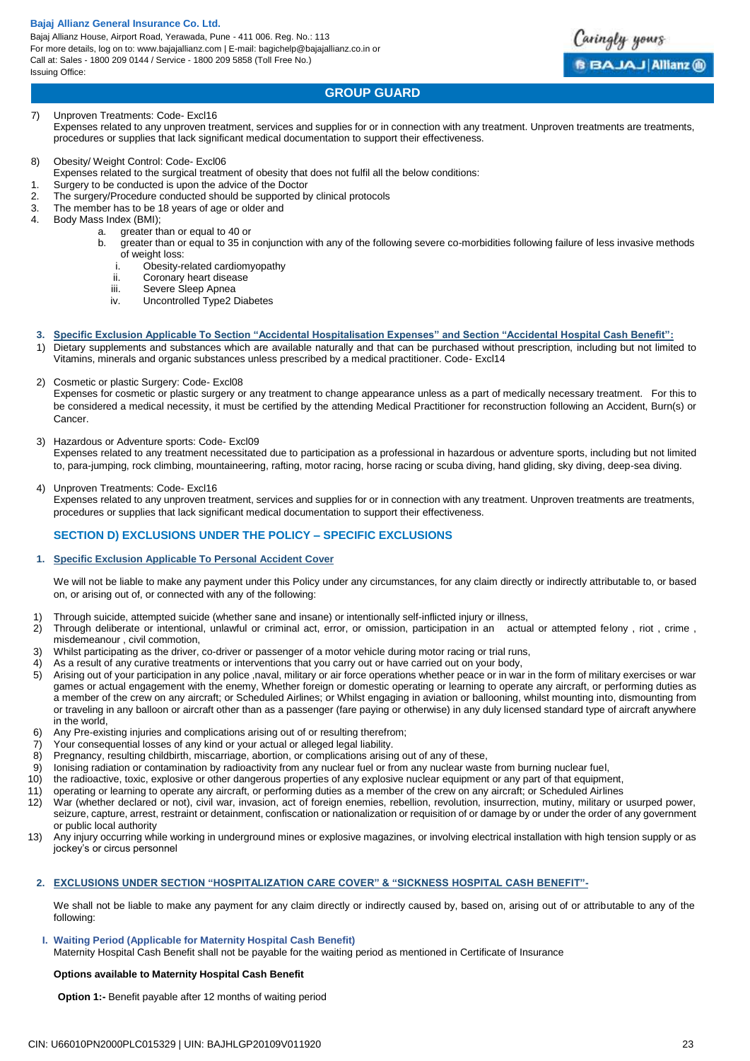Bajaj Allianz House, Airport Road, Yerawada, Pune - 411 006. Reg. No.: 113 For more details, log on to: www.bajajallianz.com | E-mail: bagichelp@bajajallianz.co.in or Call at: Sales - 1800 209 0144 / Service - 1800 209 5858 (Toll Free No.) Issuing Office:



# **GROUP GUARD**

#### 7) Unproven Treatments: Code- Excl16 Expenses related to any unproven treatment, services and supplies for or in connection with any treatment. Unproven treatments are treatments, procedures or supplies that lack significant medical documentation to support their effectiveness.

### 8) Obesity/ Weight Control: Code- Excl06

- Expenses related to the surgical treatment of obesity that does not fulfil all the below conditions:
- 1. Surgery to be conducted is upon the advice of the Doctor
- 2. The surgery/Procedure conducted should be supported by clinical protocols
- 3. The member has to be 18 years of age or older and  $\frac{4}{100}$  Body Mass Index (BMI):
- Body Mass Index (BMI);
	- a. greater than or equal to 40 or
	- b. greater than or equal to 35 in conjunction with any of the following severe co-morbidities following failure of less invasive methods of weight loss:
		- i. Obesity-related cardiomyopathy
		- ii. Coronary heart disease
		- iii. Severe Sleep Apnea
		- iv. Uncontrolled Type2 Diabetes
- **3. Specific Exclusion Applicable To Section "Accidental Hospitalisation Expenses" and Section "Accidental Hospital Cash Benefit":**
- 1) Dietary supplements and substances which are available naturally and that can be purchased without prescription, including but not limited to Vitamins, minerals and organic substances unless prescribed by a medical practitioner. Code- Excl14

#### 2) Cosmetic or plastic Surgery: Code- Excl08

Expenses for cosmetic or plastic surgery or any treatment to change appearance unless as a part of medically necessary treatment. For this to be considered a medical necessity, it must be certified by the attending Medical Practitioner for reconstruction following an Accident, Burn(s) or Cancer.

3) Hazardous or Adventure sports: Code- Excl09

Expenses related to any treatment necessitated due to participation as a professional in hazardous or adventure sports, including but not limited to, para-jumping, rock climbing, mountaineering, rafting, motor racing, horse racing or scuba diving, hand gliding, sky diving, deep-sea diving.

#### 4) Unproven Treatments: Code- Excl16

Expenses related to any unproven treatment, services and supplies for or in connection with any treatment. Unproven treatments are treatments, procedures or supplies that lack significant medical documentation to support their effectiveness.

# **SECTION D) EXCLUSIONS UNDER THE POLICY – SPECIFIC EXCLUSIONS**

#### **1. Specific Exclusion Applicable To Personal Accident Cover**

We will not be liable to make any payment under this Policy under any circumstances, for any claim directly or indirectly attributable to, or based on, or arising out of, or connected with any of the following:

- 1) Through suicide, attempted suicide (whether sane and insane) or intentionally self-inflicted injury or illness,
- 2) Through deliberate or intentional, unlawful or criminal act, error, or omission, participation in an actual or attempted felony , riot , crime , misdemeanour , civil commotion,
- 3) Whilst participating as the driver, co-driver or passenger of a motor vehicle during motor racing or trial runs,
- 4) As a result of any curative treatments or interventions that you carry out or have carried out on your body,
- 5) Arising out of your participation in any police ,naval, military or air force operations whether peace or in war in the form of military exercises or war games or actual engagement with the enemy, Whether foreign or domestic operating or learning to operate any aircraft, or performing duties as a member of the crew on any aircraft; or Scheduled Airlines; or Whilst engaging in aviation or ballooning, whilst mounting into, dismounting from or traveling in any balloon or aircraft other than as a passenger (fare paying or otherwise) in any duly licensed standard type of aircraft anywhere in the world,
- 6) Any Pre-existing injuries and complications arising out of or resulting therefrom;
- 7) Your consequential losses of any kind or your actual or alleged legal liability.
- 8) Pregnancy, resulting childbirth, miscarriage, abortion, or complications arising out of any of these,
- 9) Ionising radiation or contamination by radioactivity from any nuclear fuel or from any nuclear waste from burning nuclear fuel,
- 10) the radioactive, toxic, explosive or other dangerous properties of any explosive nuclear equipment or any part of that equipment,
- 11) operating or learning to operate any aircraft, or performing duties as a member of the crew on any aircraft; or Scheduled Airlines
- 12) War (whether declared or not), civil war, invasion, act of foreign enemies, rebellion, revolution, insurrection, mutiny, military or usurped power, seizure, capture, arrest, restraint or detainment, confiscation or nationalization or requisition of or damage by or under the order of any government or public local authority
- 13) Any injury occurring while working in underground mines or explosive magazines, or involving electrical installation with high tension supply or as jockey's or circus personnel

#### **2. EXCLUSIONS UNDER SECTION "HOSPITALIZATION CARE COVER" & "SICKNESS HOSPITAL CASH BENEFIT"-**

We shall not be liable to make any payment for any claim directly or indirectly caused by, based on, arising out of or attributable to any of the following:

# **I. Waiting Period (Applicable for Maternity Hospital Cash Benefit)**

Maternity Hospital Cash Benefit shall not be payable for the waiting period as mentioned in Certificate of Insurance

#### **Options available to Maternity Hospital Cash Benefit**

**Option 1:-** Benefit payable after 12 months of waiting period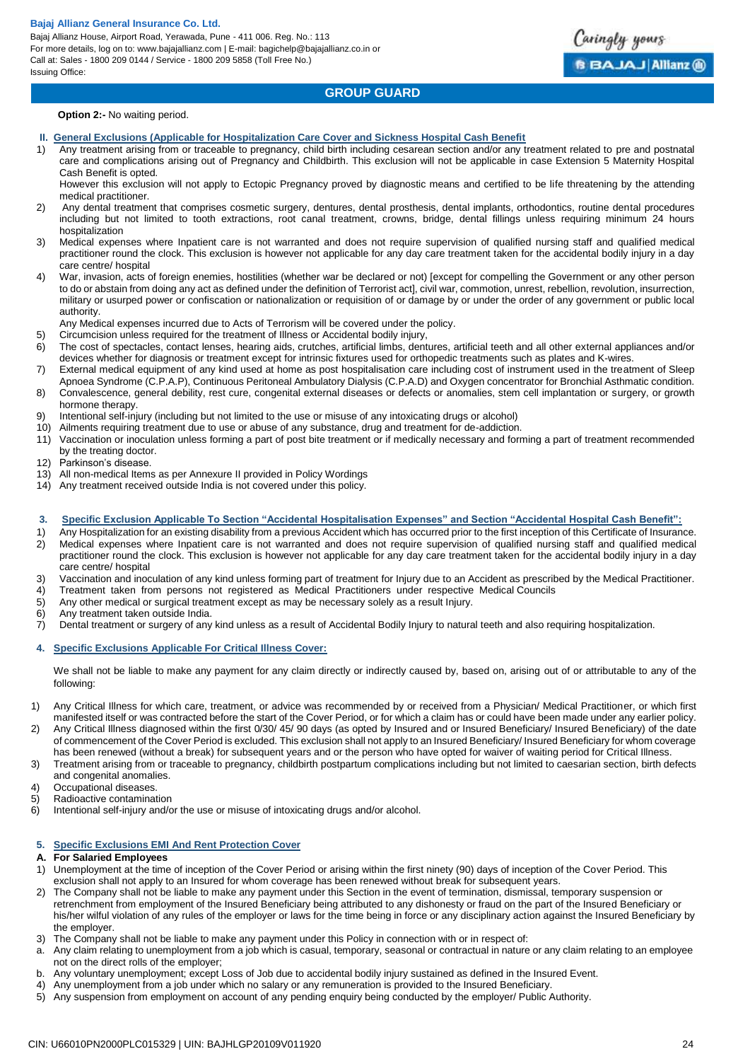Bajaj Allianz House, Airport Road, Yerawada, Pune - 411 006. Reg. No.: 113 For more details, log on to: www.bajajallianz.com | E-mail: bagichelp@bajajallianz.co.in or Call at: Sales - 1800 209 0144 / Service - 1800 209 5858 (Toll Free No.) Issuing Office:

# **GROUP GUARD**

aringly yours

**BBAJAJ Allianz @** 

**Option 2:-** No waiting period.

- **II. General Exclusions (Applicable for Hospitalization Care Cover and Sickness Hospital Cash Benefit**
- 1) Any treatment arising from or traceable to pregnancy, child birth including cesarean section and/or any treatment related to pre and postnatal care and complications arising out of Pregnancy and Childbirth. This exclusion will not be applicable in case Extension 5 Maternity Hospital Cash Benefit is opted.

However this exclusion will not apply to Ectopic Pregnancy proved by diagnostic means and certified to be life threatening by the attending medical practitioner.

- 2) Any dental treatment that comprises cosmetic surgery, dentures, dental prosthesis, dental implants, orthodontics, routine dental procedures including but not limited to tooth extractions, root canal treatment, crowns, bridge, dental fillings unless requiring minimum 24 hours hospitalization
- 3) Medical expenses where Inpatient care is not warranted and does not require supervision of qualified nursing staff and qualified medical practitioner round the clock. This exclusion is however not applicable for any day care treatment taken for the accidental bodily injury in a day care centre/ hospital
- 4) War, invasion, acts of foreign enemies, hostilities (whether war be declared or not) [except for compelling the Government or any other person to do or abstain from doing any act as defined under the definition of Terrorist act], civil war, commotion, unrest, rebellion, revolution, insurrection, military or usurped power or confiscation or nationalization or requisition of or damage by or under the order of any government or public local authority.
- Any Medical expenses incurred due to Acts of Terrorism will be covered under the policy.
- 5) Circumcision unless required for the treatment of Illness or Accidental bodily injury,
- 6) The cost of spectacles, contact lenses, hearing aids, crutches, artificial limbs, dentures, artificial teeth and all other external appliances and/or devices whether for diagnosis or treatment except for intrinsic fixtures used for orthopedic treatments such as plates and K-wires.
- 7) External medical equipment of any kind used at home as post hospitalisation care including cost of instrument used in the treatment of Sleep Apnoea Syndrome (C.P.A.P), Continuous Peritoneal Ambulatory Dialysis (C.P.A.D) and Oxygen concentrator for Bronchial Asthmatic condition.
- 8) Convalescence, general debility, rest cure, congenital external diseases or defects or anomalies, stem cell implantation or surgery, or growth hormone therapy.
- 9) Intentional self-injury (including but not limited to the use or misuse of any intoxicating drugs or alcohol)
- 10) Ailments requiring treatment due to use or abuse of any substance, drug and treatment for de-addiction.
- 11) Vaccination or inoculation unless forming a part of post bite treatment or if medically necessary and forming a part of treatment recommended by the treating doctor.
- 12) Parkinson's disease.
- 13) All non-medical Items as per Annexure II provided in Policy Wordings
- 14) Any treatment received outside India is not covered under this policy.

#### **3. Specific Exclusion Applicable To Section "Accidental Hospitalisation Expenses" and Section "Accidental Hospital Cash Benefit":**

- 1) Any Hospitalization for an existing disability from a previous Accident which has occurred prior to the first inception of this Certificate of Insurance. 2) Medical expenses where Inpatient care is not warranted and does not require supervision of qualified nursing staff and qualified medical practitioner round the clock. This exclusion is however not applicable for any day care treatment taken for the accidental bodily injury in a day
- care centre/ hospital 3) Vaccination and inoculation of any kind unless forming part of treatment for Injury due to an Accident as prescribed by the Medical Practitioner.
- 4) Treatment taken from persons not registered as Medical Practitioners under respective Medical Councils
- 5) Any other medical or surgical treatment except as may be necessary solely as a result Injury.
- 
- 6) Any treatment taken outside India.<br>7) Dental treatment or surgery of any 7) Dental treatment or surgery of any kind unless as a result of Accidental Bodily Injury to natural teeth and also requiring hospitalization.

# **4. Specific Exclusions Applicable For Critical Illness Cover:**

We shall not be liable to make any payment for any claim directly or indirectly caused by, based on, arising out of or attributable to any of the following:

- 1) Any Critical Illness for which care, treatment, or advice was recommended by or received from a Physician/ Medical Practitioner, or which first manifested itself or was contracted before the start of the Cover Period, or for which a claim has or could have been made under any earlier policy.
- 2) Any Critical Illness diagnosed within the first 0/30/ 45/ 90 days (as opted by Insured and or Insured Beneficiary/ Insured Beneficiary) of the date of commencement of the Cover Period is excluded. This exclusion shall not apply to an Insured Beneficiary/ Insured Beneficiary for whom coverage has been renewed (without a break) for subsequent years and or the person who have opted for waiver of waiting period for Critical Illness.
- 3) Treatment arising from or traceable to pregnancy, childbirth postpartum complications including but not limited to caesarian section, birth defects and congenital anomalies.
- 4) Occupational diseases.
- 5) Radioactive contamination
- 
- 6) Intentional self-injury and/or the use or misuse of intoxicating drugs and/or alcohol.

#### **5. Specific Exclusions EMI And Rent Protection Cover**

#### **A. For Salaried Employees**

- 1) Unemployment at the time of inception of the Cover Period or arising within the first ninety (90) days of inception of the Cover Period. This exclusion shall not apply to an Insured for whom coverage has been renewed without break for subsequent years.
- 2) The Company shall not be liable to make any payment under this Section in the event of termination, dismissal, temporary suspension or retrenchment from employment of the Insured Beneficiary being attributed to any dishonesty or fraud on the part of the Insured Beneficiary or his/her wilful violation of any rules of the employer or laws for the time being in force or any disciplinary action against the Insured Beneficiary by the employer.
- 3) The Company shall not be liable to make any payment under this Policy in connection with or in respect of:
- a. Any claim relating to unemployment from a job which is casual, temporary, seasonal or contractual in nature or any claim relating to an employee not on the direct rolls of the employer;
- b. Any voluntary unemployment; except Loss of Job due to accidental bodily injury sustained as defined in the Insured Event.
- 4) Any unemployment from a job under which no salary or any remuneration is provided to the Insured Beneficiary.
- 5) Any suspension from employment on account of any pending enquiry being conducted by the employer/ Public Authority.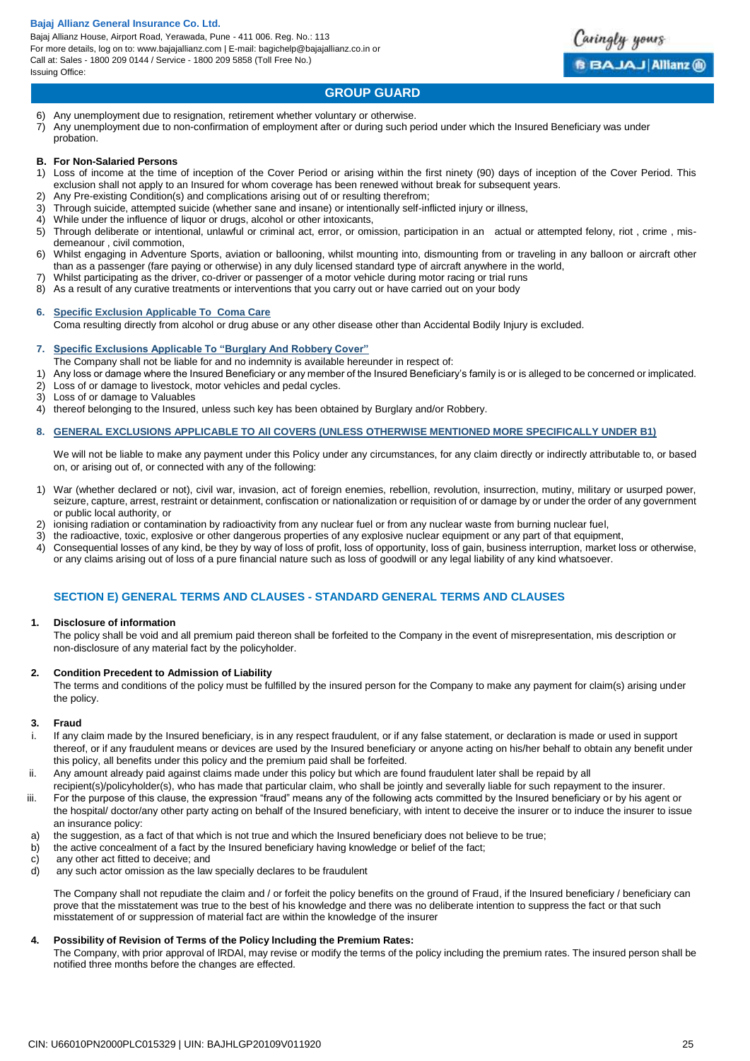Bajaj Allianz House, Airport Road, Yerawada, Pune - 411 006. Reg. No.: 113 For more details, log on to: www.bajajallianz.com | E-mail: bagichelp@bajajallianz.co.in or Call at: Sales - 1800 209 0144 / Service - 1800 209 5858 (Toll Free No.) Issuing Office:



# **GROUP GUARD**

- 6) Any unemployment due to resignation, retirement whether voluntary or otherwise.
- 7) Any unemployment due to non-confirmation of employment after or during such period under which the Insured Beneficiary was under probation.

#### **B. For Non-Salaried Persons**

- 1) Loss of income at the time of inception of the Cover Period or arising within the first ninety (90) days of inception of the Cover Period. This exclusion shall not apply to an Insured for whom coverage has been renewed without break for subsequent years.
- Any Pre-existing Condition(s) and complications arising out of or resulting therefrom;
- 3) Through suicide, attempted suicide (whether sane and insane) or intentionally self-inflicted injury or illness,<br>4) While under the influence of liquor or drugs, alcohol or other intoxicants
- While under the influence of liquor or drugs, alcohol or other intoxicants,
- 5) Through deliberate or intentional, unlawful or criminal act, error, or omission, participation in an actual or attempted felony, riot , crime , misdemeanour , civil commotion,
- 6) Whilst engaging in Adventure Sports, aviation or ballooning, whilst mounting into, dismounting from or traveling in any balloon or aircraft other than as a passenger (fare paying or otherwise) in any duly licensed standard type of aircraft anywhere in the world,
- 7) Whilst participating as the driver, co-driver or passenger of a motor vehicle during motor racing or trial runs
- 8) As a result of any curative treatments or interventions that you carry out or have carried out on your body

# **6. Specific Exclusion Applicable To Coma Care**

Coma resulting directly from alcohol or drug abuse or any other disease other than Accidental Bodily Injury is excluded.

#### **7. Specific Exclusions Applicable To "Burglary And Robbery Cover"**

- The Company shall not be liable for and no indemnity is available hereunder in respect of:
- 1) Any loss or damage where the Insured Beneficiary or any member of the Insured Beneficiary's family is or is alleged to be concerned or implicated.
- 2) Loss of or damage to livestock, motor vehicles and pedal cycles.
- 3) Loss of or damage to Valuables
- 4) thereof belonging to the Insured, unless such key has been obtained by Burglary and/or Robbery.

#### **8. GENERAL EXCLUSIONS APPLICABLE TO All COVERS (UNLESS OTHERWISE MENTIONED MORE SPECIFICALLY UNDER B1)**

We will not be liable to make any payment under this Policy under any circumstances, for any claim directly or indirectly attributable to, or based on, or arising out of, or connected with any of the following:

- 1) War (whether declared or not), civil war, invasion, act of foreign enemies, rebellion, revolution, insurrection, mutiny, military or usurped power, seizure, capture, arrest, restraint or detainment, confiscation or nationalization or requisition of or damage by or under the order of any government or public local authority, or
- 2) ionising radiation or contamination by radioactivity from any nuclear fuel or from any nuclear waste from burning nuclear fuel,
- 3) the radioactive, toxic, explosive or other dangerous properties of any explosive nuclear equipment or any part of that equipment,
- 4) Consequential losses of any kind, be they by way of loss of profit, loss of opportunity, loss of gain, business interruption, market loss or otherwise, or any claims arising out of loss of a pure financial nature such as loss of goodwill or any legal liability of any kind whatsoever.

### **SECTION E) GENERAL TERMS AND CLAUSES - STANDARD GENERAL TERMS AND CLAUSES**

#### **1. Disclosure of information**

The policy shall be void and all premium paid thereon shall be forfeited to the Company in the event of misrepresentation, mis description or non-disclosure of any material fact by the policyholder.

#### **2. Condition Precedent to Admission of Liability**

The terms and conditions of the policy must be fulfilled by the insured person for the Company to make any payment for claim(s) arising under the policy.

#### **3. Fraud**

- i. If any claim made by the Insured beneficiary, is in any respect fraudulent, or if any false statement, or declaration is made or used in support thereof, or if any fraudulent means or devices are used by the Insured beneficiary or anyone acting on his/her behalf to obtain any benefit under this policy, all benefits under this policy and the premium paid shall be forfeited.
- ii. Any amount already paid against claims made under this policy but which are found fraudulent later shall be repaid by all
- recipient(s)/policyholder(s), who has made that particular claim, who shall be jointly and severally liable for such repayment to the insurer.
- iii. For the purpose of this clause, the expression "fraud" means any of the following acts committed by the Insured beneficiary or by his agent or the hospital/ doctor/any other party acting on behalf of the Insured beneficiary, with intent to deceive the insurer or to induce the insurer to issue an insurance policy:
- a) the suggestion, as a fact of that which is not true and which the Insured beneficiary does not believe to be true;
- b) the active concealment of a fact by the Insured beneficiary having knowledge or belief of the fact;
- c) any other act fitted to deceive; and<br>d) any such actor omission as the law
- any such actor omission as the law specially declares to be fraudulent

The Company shall not repudiate the claim and / or forfeit the policy benefits on the ground of Fraud, if the Insured beneficiary / beneficiary can prove that the misstatement was true to the best of his knowledge and there was no deliberate intention to suppress the fact or that such misstatement of or suppression of material fact are within the knowledge of the insurer

#### **4. Possibility of Revision of Terms of the Policy lncluding the Premium Rates:**

The Company, with prior approval of lRDAl, may revise or modify the terms of the policy including the premium rates. The insured person shall be notified three months before the changes are effected.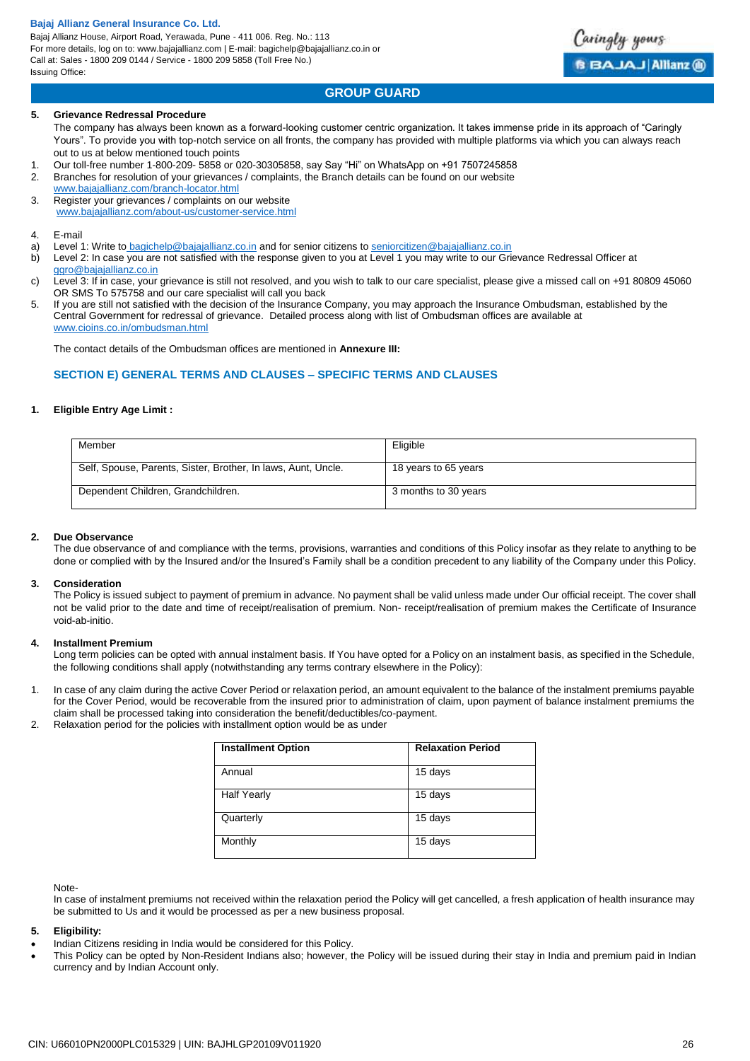Bajaj Allianz House, Airport Road, Yerawada, Pune - 411 006. Reg. No.: 113 For more details, log on to: www.bajajallianz.com | E-mail: bagichelp@bajajallianz.co.in or Call at: Sales - 1800 209 0144 / Service - 1800 209 5858 (Toll Free No.) Issuing Office:

# **GROUP GUARD**

#### **5. Grievance Redressal Procedure**

The company has always been known as a forward-looking customer centric organization. It takes immense pride in its approach of "Caringly Yours". To provide you with top-notch service on all fronts, the company has provided with multiple platforms via which you can always reach out to us at below mentioned touch points

- 1. Our toll-free number 1-800-209- 5858 or 020-30305858, say Say "Hi" on WhatsApp on +91 7507245858
- 2. Branches for resolution of your grievances / complaints, the Branch details can be found on our website [www.bajajallianz.com/branch-locator.html](http://www.bajajallianz.com/branch-locator.html)
- 3. Register your grievances / complaints on our website [www.bajajallianz.com/about-us/customer-service.html](http://www.bajajallianz.com/about-us/customer-service.html)
- 4. E-mail
- a) Level 1: Write to [bagichelp@bajajallianz.co.in](mailto:bagichelp@bajajallianz.co.in) and for senior citizens to [seniorcitizen@bajajallianz.co.in](mailto:seniorcitizen@bajajallianz.co.in)
- b) Level 2: In case you are not satisfied with the response given to you at Level 1 you may write to our Grievance Redressal Officer at [ggro@bajajallianz.co.in](mailto:ggro@bajajallianz.co.in)
- c) Level 3: If in case, your grievance is still not resolved, and you wish to talk to our care specialist, please give a missed call on +91 80809 45060 OR SMS To 575758 and our care specialist will call you back
- 5. If you are still not satisfied with the decision of the Insurance Company, you may approach the Insurance Ombudsman, established by the Central Government for redressal of grievance. Detailed process along with list of Ombudsman offices are available at [www.cioins.co.in/ombudsman.html](http://www.cioins.co.in/ombudsman.html)

The contact details of the Ombudsman offices are mentioned in **Annexure III:**

# **SECTION E) GENERAL TERMS AND CLAUSES – SPECIFIC TERMS AND CLAUSES**

#### **1. Eligible Entry Age Limit :**

| Member                                                        | Eligible             |
|---------------------------------------------------------------|----------------------|
| Self, Spouse, Parents, Sister, Brother, In laws, Aunt, Uncle. | 18 years to 65 years |
| Dependent Children, Grandchildren.                            | 3 months to 30 years |

#### **2. Due Observance**

The due observance of and compliance with the terms, provisions, warranties and conditions of this Policy insofar as they relate to anything to be done or complied with by the Insured and/or the Insured's Family shall be a condition precedent to any liability of the Company under this Policy.

#### **3. Consideration**

The Policy is issued subject to payment of premium in advance. No payment shall be valid unless made under Our official receipt. The cover shall not be valid prior to the date and time of receipt/realisation of premium. Non- receipt/realisation of premium makes the Certificate of Insurance void-ab-initio.

#### **4. Installment Premium**

Long term policies can be opted with annual instalment basis. If You have opted for a Policy on an instalment basis, as specified in the Schedule, the following conditions shall apply (notwithstanding any terms contrary elsewhere in the Policy):

- 1. In case of any claim during the active Cover Period or relaxation period, an amount equivalent to the balance of the instalment premiums payable for the Cover Period, would be recoverable from the insured prior to administration of claim, upon payment of balance instalment premiums the claim shall be processed taking into consideration the benefit/deductibles/co-payment.
- 2. Relaxation period for the policies with installment option would be as under

| <b>Installment Option</b> | <b>Relaxation Period</b> |
|---------------------------|--------------------------|
| Annual                    | 15 days                  |
| <b>Half Yearly</b>        | 15 days                  |
| Quarterly                 | 15 days                  |
| Monthly                   | 15 days                  |

#### Note-

In case of instalment premiums not received within the relaxation period the Policy will get cancelled, a fresh application of health insurance may be submitted to Us and it would be processed as per a new business proposal.

#### **5. Eligibility:**

- Indian Citizens residing in India would be considered for this Policy.
- This Policy can be opted by Non-Resident Indians also; however, the Policy will be issued during their stay in India and premium paid in Indian currency and by Indian Account only.

aringly yours

**BAJAJ Allianz ®**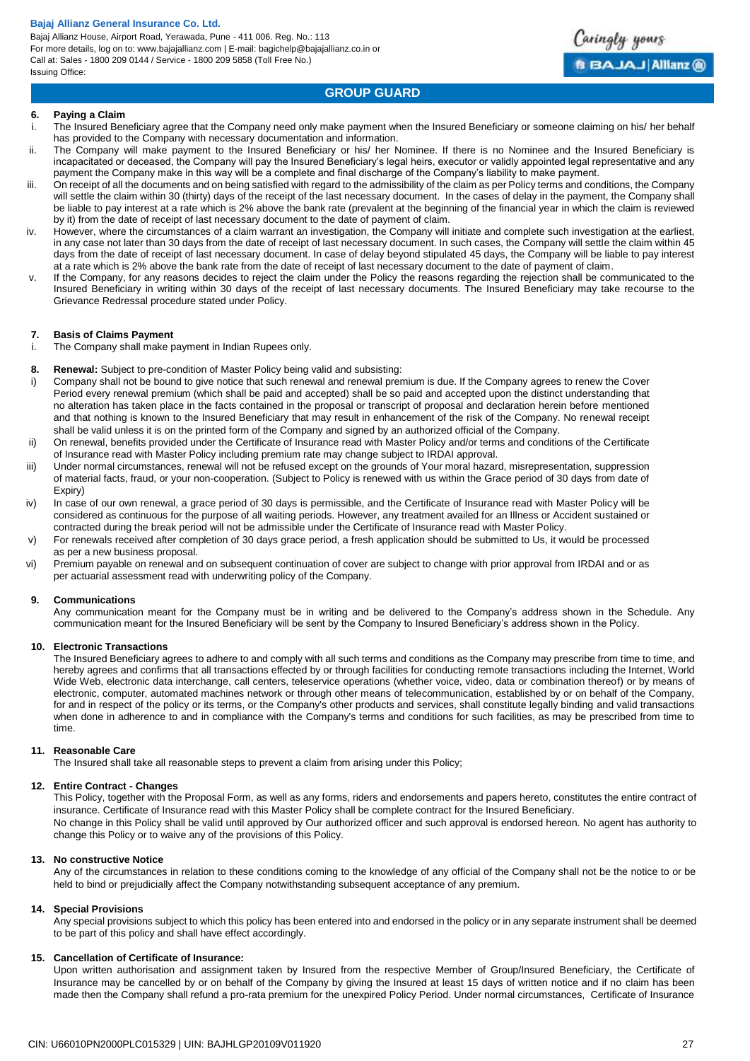Bajaj Allianz House, Airport Road, Yerawada, Pune - 411 006. Reg. No.: 113 For more details, log on to: www.bajajallianz.com | E-mail: bagichelp@bajajallianz.co.in or Call at: Sales - 1800 209 0144 / Service - 1800 209 5858 (Toll Free No.) Issuing Office:



# **GROUP GUARD**

#### **6. Paying a Claim**

- i. The Insured Beneficiary agree that the Company need only make payment when the Insured Beneficiary or someone claiming on his/ her behalf has provided to the Company with necessary documentation and information.
- ii. The Company will make payment to the Insured Beneficiary or his/ her Nominee. If there is no Nominee and the Insured Beneficiary is incapacitated or deceased, the Company will pay the Insured Beneficiary's legal heirs, executor or validly appointed legal representative and any payment the Company make in this way will be a complete and final discharge of the Company's liability to make payment.
- iii. On receipt of all the documents and on being satisfied with regard to the admissibility of the claim as per Policy terms and conditions, the Company will settle the claim within 30 (thirty) days of the receipt of the last necessary document. In the cases of delay in the payment, the Company shall be liable to pay interest at a rate which is 2% above the bank rate (prevalent at the beginning of the financial year in which the claim is reviewed by it) from the date of receipt of last necessary document to the date of payment of claim.
- iv. However, where the circumstances of a claim warrant an investigation, the Company will initiate and complete such investigation at the earliest, in any case not later than 30 days from the date of receipt of last necessary document. In such cases, the Company will settle the claim within 45 days from the date of receipt of last necessary document. In case of delay beyond stipulated 45 days, the Company will be liable to pay interest at a rate which is 2% above the bank rate from the date of receipt of last necessary document to the date of payment of claim.
- v. If the Company, for any reasons decides to reject the claim under the Policy the reasons regarding the rejection shall be communicated to the Insured Beneficiary in writing within 30 days of the receipt of last necessary documents. The Insured Beneficiary may take recourse to the Grievance Redressal procedure stated under Policy.

#### **7. Basis of Claims Payment**

- i. The Company shall make payment in Indian Rupees only.
- **8. Renewal:** Subject to pre-condition of Master Policy being valid and subsisting:
- i) Company shall not be bound to give notice that such renewal and renewal premium is due. If the Company agrees to renew the Cover Period every renewal premium (which shall be paid and accepted) shall be so paid and accepted upon the distinct understanding that no alteration has taken place in the facts contained in the proposal or transcript of proposal and declaration herein before mentioned and that nothing is known to the Insured Beneficiary that may result in enhancement of the risk of the Company. No renewal receipt shall be valid unless it is on the printed form of the Company and signed by an authorized official of the Company.
- ii) On renewal, benefits provided under the Certificate of Insurance read with Master Policy and/or terms and conditions of the Certificate of Insurance read with Master Policy including premium rate may change subject to IRDAI approval.
- iii) Under normal circumstances, renewal will not be refused except on the grounds of Your moral hazard, misrepresentation, suppression of material facts, fraud, or your non-cooperation. (Subject to Policy is renewed with us within the Grace period of 30 days from date of Expiry)
- iv) In case of our own renewal, a grace period of 30 days is permissible, and the Certificate of Insurance read with Master Policy will be considered as continuous for the purpose of all waiting periods. However, any treatment availed for an Illness or Accident sustained or contracted during the break period will not be admissible under the Certificate of Insurance read with Master Policy.
- v) For renewals received after completion of 30 days grace period, a fresh application should be submitted to Us, it would be processed as per a new business proposal.
- vi) Premium payable on renewal and on subsequent continuation of cover are subject to change with prior approval from IRDAI and or as per actuarial assessment read with underwriting policy of the Company.

#### **9. Communications**

Any communication meant for the Company must be in writing and be delivered to the Company's address shown in the Schedule. Any communication meant for the Insured Beneficiary will be sent by the Company to Insured Beneficiary's address shown in the Policy.

#### **10. Electronic Transactions**

The Insured Beneficiary agrees to adhere to and comply with all such terms and conditions as the Company may prescribe from time to time, and hereby agrees and confirms that all transactions effected by or through facilities for conducting remote transactions including the Internet, World Wide Web, electronic data interchange, call centers, teleservice operations (whether voice, video, data or combination thereof) or by means of electronic, computer, automated machines network or through other means of telecommunication, established by or on behalf of the Company, for and in respect of the policy or its terms, or the Company's other products and services, shall constitute legally binding and valid transactions when done in adherence to and in compliance with the Company's terms and conditions for such facilities, as may be prescribed from time to time.

#### **11. Reasonable Care**

The Insured shall take all reasonable steps to prevent a claim from arising under this Policy;

#### **12. Entire Contract - Changes**

This Policy, together with the Proposal Form, as well as any forms, riders and endorsements and papers hereto, constitutes the entire contract of insurance. Certificate of Insurance read with this Master Policy shall be complete contract for the Insured Beneficiary. No change in this Policy shall be valid until approved by Our authorized officer and such approval is endorsed hereon. No agent has authority to change this Policy or to waive any of the provisions of this Policy.

#### **13. No constructive Notice**

Any of the circumstances in relation to these conditions coming to the knowledge of any official of the Company shall not be the notice to or be held to bind or prejudicially affect the Company notwithstanding subsequent acceptance of any premium.

#### **14. Special Provisions**

Any special provisions subject to which this policy has been entered into and endorsed in the policy or in any separate instrument shall be deemed to be part of this policy and shall have effect accordingly.

#### **15. Cancellation of Certificate of Insurance:**

Upon written authorisation and assignment taken by Insured from the respective Member of Group/Insured Beneficiary, the Certificate of Insurance may be cancelled by or on behalf of the Company by giving the Insured at least 15 days of written notice and if no claim has been made then the Company shall refund a pro-rata premium for the unexpired Policy Period. Under normal circumstances, Certificate of Insurance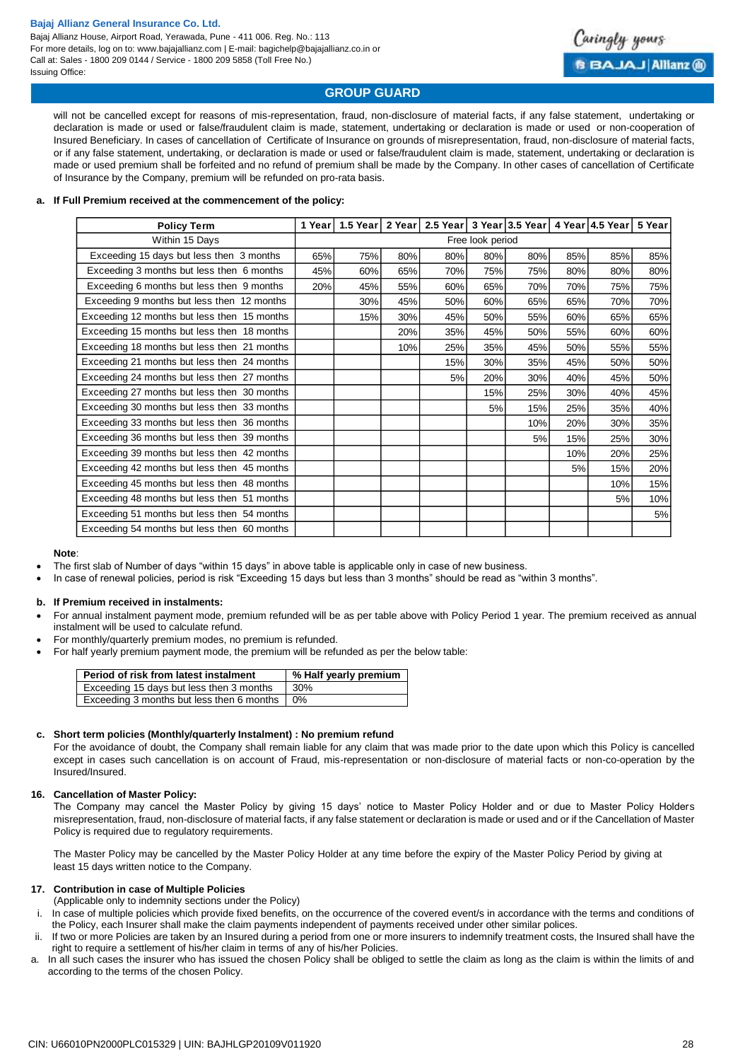Bajaj Allianz House, Airport Road, Yerawada, Pune - 411 006. Reg. No.: 113 For more details, log on to: www.bajajallianz.com | E-mail: bagichelp@bajajallianz.co.in or Call at: Sales - 1800 209 0144 / Service - 1800 209 5858 (Toll Free No.) Issuing Office:



# **GROUP GUARD**

will not be cancelled except for reasons of mis-representation, fraud, non-disclosure of material facts, if any false statement, undertaking or declaration is made or used or false/fraudulent claim is made, statement, undertaking or declaration is made or used or non-cooperation of Insured Beneficiary. In cases of cancellation of Certificate of Insurance on grounds of misrepresentation, fraud, non-disclosure of material facts, or if any false statement, undertaking, or declaration is made or used or false/fraudulent claim is made, statement, undertaking or declaration is made or used premium shall be forfeited and no refund of premium shall be made by the Company. In other cases of cancellation of Certificate of Insurance by the Company, premium will be refunded on pro-rata basis.

#### **a. If Full Premium received at the commencement of the policy:**

|                                                                                                                                                                                                                                                                                                                                                                                  | <b>Policy Term</b>                                                                                                                                                                                                                                                                                                                                                                                                                                                                                                                                                                                                                                                                                                                                                                                                               | 1 Year           |                       |     | 1.5 Year   2 Year   2.5 Year   3 Year   3.5 Year   4 Year   4.5 Year |     |     |     |     | 5 Year |
|----------------------------------------------------------------------------------------------------------------------------------------------------------------------------------------------------------------------------------------------------------------------------------------------------------------------------------------------------------------------------------|----------------------------------------------------------------------------------------------------------------------------------------------------------------------------------------------------------------------------------------------------------------------------------------------------------------------------------------------------------------------------------------------------------------------------------------------------------------------------------------------------------------------------------------------------------------------------------------------------------------------------------------------------------------------------------------------------------------------------------------------------------------------------------------------------------------------------------|------------------|-----------------------|-----|----------------------------------------------------------------------|-----|-----|-----|-----|--------|
|                                                                                                                                                                                                                                                                                                                                                                                  | Within 15 Days                                                                                                                                                                                                                                                                                                                                                                                                                                                                                                                                                                                                                                                                                                                                                                                                                   | Free look period |                       |     |                                                                      |     |     |     |     |        |
|                                                                                                                                                                                                                                                                                                                                                                                  | Exceeding 15 days but less then 3 months                                                                                                                                                                                                                                                                                                                                                                                                                                                                                                                                                                                                                                                                                                                                                                                         | 65%              | 75%                   | 80% | 80%                                                                  | 80% | 80% | 85% | 85% | 85%    |
|                                                                                                                                                                                                                                                                                                                                                                                  | Exceeding 3 months but less then 6 months                                                                                                                                                                                                                                                                                                                                                                                                                                                                                                                                                                                                                                                                                                                                                                                        | 45%              | 60%                   | 65% | 70%                                                                  | 75% | 75% | 80% | 80% | 80%    |
|                                                                                                                                                                                                                                                                                                                                                                                  | Exceeding 6 months but less then 9 months                                                                                                                                                                                                                                                                                                                                                                                                                                                                                                                                                                                                                                                                                                                                                                                        | 20%              | 45%                   | 55% | 60%                                                                  | 65% | 70% | 70% | 75% | 75%    |
|                                                                                                                                                                                                                                                                                                                                                                                  | Exceeding 9 months but less then 12 months                                                                                                                                                                                                                                                                                                                                                                                                                                                                                                                                                                                                                                                                                                                                                                                       |                  | 30%                   | 45% | 50%                                                                  | 60% | 65% | 65% | 70% | 70%    |
|                                                                                                                                                                                                                                                                                                                                                                                  | Exceeding 12 months but less then 15 months                                                                                                                                                                                                                                                                                                                                                                                                                                                                                                                                                                                                                                                                                                                                                                                      |                  | 15%                   | 30% | 45%                                                                  | 50% | 55% | 60% | 65% | 65%    |
|                                                                                                                                                                                                                                                                                                                                                                                  | Exceeding 15 months but less then 18 months                                                                                                                                                                                                                                                                                                                                                                                                                                                                                                                                                                                                                                                                                                                                                                                      |                  |                       | 20% | 35%                                                                  | 45% | 50% | 55% | 60% | 60%    |
|                                                                                                                                                                                                                                                                                                                                                                                  | Exceeding 18 months but less then 21 months                                                                                                                                                                                                                                                                                                                                                                                                                                                                                                                                                                                                                                                                                                                                                                                      |                  |                       | 10% | 25%                                                                  | 35% | 45% | 50% | 55% | 55%    |
|                                                                                                                                                                                                                                                                                                                                                                                  | Exceeding 21 months but less then 24 months                                                                                                                                                                                                                                                                                                                                                                                                                                                                                                                                                                                                                                                                                                                                                                                      |                  |                       |     | 15%                                                                  | 30% | 35% | 45% | 50% | 50%    |
|                                                                                                                                                                                                                                                                                                                                                                                  | Exceeding 24 months but less then 27 months                                                                                                                                                                                                                                                                                                                                                                                                                                                                                                                                                                                                                                                                                                                                                                                      |                  |                       |     | 5%                                                                   | 20% | 30% | 40% | 45% | 50%    |
|                                                                                                                                                                                                                                                                                                                                                                                  | Exceeding 27 months but less then 30 months                                                                                                                                                                                                                                                                                                                                                                                                                                                                                                                                                                                                                                                                                                                                                                                      |                  |                       |     |                                                                      | 15% | 25% | 30% | 40% | 45%    |
|                                                                                                                                                                                                                                                                                                                                                                                  | Exceeding 30 months but less then 33 months                                                                                                                                                                                                                                                                                                                                                                                                                                                                                                                                                                                                                                                                                                                                                                                      |                  |                       |     |                                                                      | 5%  | 15% | 25% | 35% | 40%    |
|                                                                                                                                                                                                                                                                                                                                                                                  | Exceeding 33 months but less then 36 months                                                                                                                                                                                                                                                                                                                                                                                                                                                                                                                                                                                                                                                                                                                                                                                      |                  |                       |     |                                                                      |     | 10% | 20% | 30% | 35%    |
|                                                                                                                                                                                                                                                                                                                                                                                  | Exceeding 36 months but less then 39 months                                                                                                                                                                                                                                                                                                                                                                                                                                                                                                                                                                                                                                                                                                                                                                                      |                  |                       |     |                                                                      |     | 5%  | 15% | 25% | 30%    |
|                                                                                                                                                                                                                                                                                                                                                                                  | Exceeding 39 months but less then 42 months                                                                                                                                                                                                                                                                                                                                                                                                                                                                                                                                                                                                                                                                                                                                                                                      |                  |                       |     |                                                                      |     |     | 10% | 20% | 25%    |
|                                                                                                                                                                                                                                                                                                                                                                                  | Exceeding 42 months but less then 45 months                                                                                                                                                                                                                                                                                                                                                                                                                                                                                                                                                                                                                                                                                                                                                                                      |                  |                       |     |                                                                      |     |     | 5%  | 15% | 20%    |
|                                                                                                                                                                                                                                                                                                                                                                                  | Exceeding 45 months but less then 48 months                                                                                                                                                                                                                                                                                                                                                                                                                                                                                                                                                                                                                                                                                                                                                                                      |                  |                       |     |                                                                      |     |     |     | 10% | 15%    |
|                                                                                                                                                                                                                                                                                                                                                                                  | Exceeding 48 months but less then 51 months                                                                                                                                                                                                                                                                                                                                                                                                                                                                                                                                                                                                                                                                                                                                                                                      |                  |                       |     |                                                                      |     |     |     | 5%  | 10%    |
|                                                                                                                                                                                                                                                                                                                                                                                  | Exceeding 51 months but less then 54 months                                                                                                                                                                                                                                                                                                                                                                                                                                                                                                                                                                                                                                                                                                                                                                                      |                  |                       |     |                                                                      |     |     |     |     | 5%     |
|                                                                                                                                                                                                                                                                                                                                                                                  | Exceeding 54 months but less then 60 months                                                                                                                                                                                                                                                                                                                                                                                                                                                                                                                                                                                                                                                                                                                                                                                      |                  |                       |     |                                                                      |     |     |     |     |        |
|                                                                                                                                                                                                                                                                                                                                                                                  | instalment will be used to calculate refund.<br>For monthly/quarterly premium modes, no premium is refunded.<br>For half yearly premium payment mode, the premium will be refunded as per the below table:                                                                                                                                                                                                                                                                                                                                                                                                                                                                                                                                                                                                                       |                  |                       |     |                                                                      |     |     |     |     |        |
|                                                                                                                                                                                                                                                                                                                                                                                  | Period of risk from latest instalment                                                                                                                                                                                                                                                                                                                                                                                                                                                                                                                                                                                                                                                                                                                                                                                            |                  | % Half yearly premium |     |                                                                      |     |     |     |     |        |
|                                                                                                                                                                                                                                                                                                                                                                                  | Exceeding 15 days but less then 3 months                                                                                                                                                                                                                                                                                                                                                                                                                                                                                                                                                                                                                                                                                                                                                                                         | 30%              |                       |     |                                                                      |     |     |     |     |        |
|                                                                                                                                                                                                                                                                                                                                                                                  | Exceeding 3 months but less then 6 months                                                                                                                                                                                                                                                                                                                                                                                                                                                                                                                                                                                                                                                                                                                                                                                        | 0%               |                       |     |                                                                      |     |     |     |     |        |
| Short term policies (Monthly/quarterly Instalment) : No premium refund<br>For the avoidance of doubt, the Company shall remain liable for any claim that was made prior to the date upon which this Policy is cand<br>except in cases such cancellation is on account of Fraud, mis-representation or non-disclosure of material facts or non-co-operation b<br>Insured/Insured. |                                                                                                                                                                                                                                                                                                                                                                                                                                                                                                                                                                                                                                                                                                                                                                                                                                  |                  |                       |     |                                                                      |     |     |     |     |        |
| <b>Cancellation of Master Policy:</b><br>The Company may cancel the Master Policy by giving 15 days' notice to Master Policy Holder and or due to Master Policy Ho<br>misrepresentation, fraud, non-disclosure of material facts, if any false statement or declaration is made or used and or if the Cancellation of M<br>Policy is required due to regulatory requirements.    |                                                                                                                                                                                                                                                                                                                                                                                                                                                                                                                                                                                                                                                                                                                                                                                                                                  |                  |                       |     |                                                                      |     |     |     |     |        |
|                                                                                                                                                                                                                                                                                                                                                                                  | The Master Policy may be cancelled by the Master Policy Holder at any time before the expiry of the Master Policy Period by giving at<br>least 15 days written notice to the Company.                                                                                                                                                                                                                                                                                                                                                                                                                                                                                                                                                                                                                                            |                  |                       |     |                                                                      |     |     |     |     |        |
|                                                                                                                                                                                                                                                                                                                                                                                  | <b>Contribution in case of Multiple Policies</b><br>(Applicable only to indemnity sections under the Policy)<br>In case of multiple policies which provide fixed benefits, on the occurrence of the covered event/s in accordance with the terms and conditio<br>the Policy, each Insurer shall make the claim payments independent of payments received under other similar polices.<br>If two or more Policies are taken by an Insured during a period from one or more insurers to indemnify treatment costs, the Insured shall hav<br>right to require a settlement of his/her claim in terms of any of his/her Policies.<br>In all such cases the insurer who has issued the chosen Policy shall be obliged to settle the claim as long as the claim is within the limits o<br>according to the terms of the chosen Policy. |                  |                       |     |                                                                      |     |     |     |     |        |

#### **Note**:

- The first slab of Number of days "within 15 days" in above table is applicable only in case of new business.
- In case of renewal policies, period is risk "Exceeding 15 days but less than 3 months" should be read as "within 3 months".

#### **b. If Premium received in instalments:**

- For annual instalment payment mode, premium refunded will be as per table above with Policy Period 1 year. The premium received as annual instalment will be used to calculate refund.
- For monthly/quarterly premium modes, no premium is refunded.
- For half yearly premium payment mode, the premium will be refunded as per the below table:

| Period of risk from latest instalment     | % Half yearly premium |
|-------------------------------------------|-----------------------|
| Exceeding 15 days but less then 3 months  | 30%                   |
| Exceeding 3 months but less then 6 months | . 0%                  |

#### **c. Short term policies (Monthly/quarterly Instalment) : No premium refund**

#### **16. Cancellation of Master Policy:**

# **17. Contribution in case of Multiple Policies**

- (Applicable only to indemnity sections under the Policy)
- i. In case of multiple policies which provide fixed benefits, on the occurrence of the covered event/s in accordance with the terms and conditions of the Policy, each Insurer shall make the claim payments independent of payments received under other similar polices.
- ii. If two or more Policies are taken by an Insured during a period from one or more insurers to indemnify treatment costs, the Insured shall have the right to require a settlement of his/her claim in terms of any of his/her Policies.
- a. In all such cases the insurer who has issued the chosen Policy shall be obliged to settle the claim as long as the claim is within the limits of and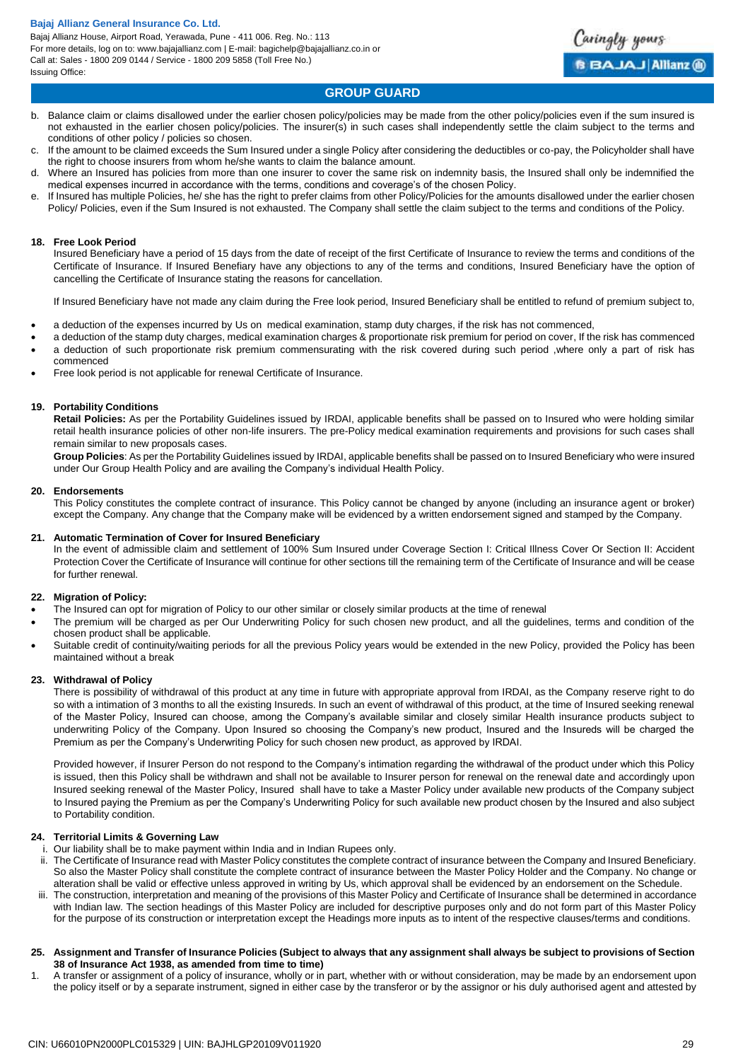# **GROUP GUARD**

aringly yours

**BBAJAJ Allianz @** 

- b. Balance claim or claims disallowed under the earlier chosen policy/policies may be made from the other policy/policies even if the sum insured is not exhausted in the earlier chosen policy/policies. The insurer(s) in such cases shall independently settle the claim subject to the terms and conditions of other policy / policies so chosen.
- c. If the amount to be claimed exceeds the Sum Insured under a single Policy after considering the deductibles or co-pay, the Policyholder shall have the right to choose insurers from whom he/she wants to claim the balance amount.
- d. Where an Insured has policies from more than one insurer to cover the same risk on indemnity basis, the Insured shall only be indemnified the medical expenses incurred in accordance with the terms, conditions and coverage's of the chosen Policy.
- If Insured has multiple Policies, he/ she has the right to prefer claims from other Policy/Policies for the amounts disallowed under the earlier chosen Policy/ Policies, even if the Sum Insured is not exhausted. The Company shall settle the claim subject to the terms and conditions of the Policy.

# **18. Free Look Period**

Insured Beneficiary have a period of 15 days from the date of receipt of the first Certificate of Insurance to review the terms and conditions of the Certificate of Insurance. If Insured Benefiary have any objections to any of the terms and conditions, Insured Beneficiary have the option of cancelling the Certificate of Insurance stating the reasons for cancellation.

If Insured Beneficiary have not made any claim during the Free look period, Insured Beneficiary shall be entitled to refund of premium subject to,

- a deduction of the expenses incurred by Us on medical examination, stamp duty charges, if the risk has not commenced,
- a deduction of the stamp duty charges, medical examination charges & proportionate risk premium for period on cover, If the risk has commenced a deduction of such proportionate risk premium commensurating with the risk covered during such period ,where only a part of risk has
- commenced
- Free look period is not applicable for renewal Certificate of Insurance.

# **19. Portability Conditions**

**Retail Policies:** As per the Portability Guidelines issued by IRDAI, applicable benefits shall be passed on to Insured who were holding similar retail health insurance policies of other non-life insurers. The pre-Policy medical examination requirements and provisions for such cases shall remain similar to new proposals cases.

**Group Policies**: As per the Portability Guidelines issued by IRDAI, applicable benefits shall be passed on to Insured Beneficiary who were insured under Our Group Health Policy and are availing the Company's individual Health Policy.

### **20. Endorsements**

This Policy constitutes the complete contract of insurance. This Policy cannot be changed by anyone (including an insurance agent or broker) except the Company. Any change that the Company make will be evidenced by a written endorsement signed and stamped by the Company.

# **21. Automatic Termination of Cover for Insured Beneficiary**

In the event of admissible claim and settlement of 100% Sum Insured under Coverage Section I: Critical Illness Cover Or Section II: Accident Protection Cover the Certificate of Insurance will continue for other sections till the remaining term of the Certificate of Insurance and will be cease for further renewal.

# **22. Migration of Policy:**

- The Insured can opt for migration of Policy to our other similar or closely similar products at the time of renewal
- The premium will be charged as per Our Underwriting Policy for such chosen new product, and all the guidelines, terms and condition of the chosen product shall be applicable.
- Suitable credit of continuity/waiting periods for all the previous Policy years would be extended in the new Policy, provided the Policy has been maintained without a break

#### **23. Withdrawal of Policy**

There is possibility of withdrawal of this product at any time in future with appropriate approval from IRDAI, as the Company reserve right to do so with a intimation of 3 months to all the existing Insureds. In such an event of withdrawal of this product, at the time of Insured seeking renewal of the Master Policy, Insured can choose, among the Company's available similar and closely similar Health insurance products subject to underwriting Policy of the Company. Upon Insured so choosing the Company's new product, Insured and the Insureds will be charged the Premium as per the Company's Underwriting Policy for such chosen new product, as approved by IRDAI.

Provided however, if Insurer Person do not respond to the Company's intimation regarding the withdrawal of the product under which this Policy is issued, then this Policy shall be withdrawn and shall not be available to Insurer person for renewal on the renewal date and accordingly upon Insured seeking renewal of the Master Policy, Insured shall have to take a Master Policy under available new products of the Company subject to Insured paying the Premium as per the Company's Underwriting Policy for such available new product chosen by the Insured and also subject to Portability condition.

# **24. Territorial Limits & Governing Law**

- i. Our liability shall be to make payment within India and in Indian Rupees only.
- ii. The Certificate of Insurance read with Master Policy constitutes the complete contract of insurance between the Company and Insured Beneficiary. So also the Master Policy shall constitute the complete contract of insurance between the Master Policy Holder and the Company. No change or alteration shall be valid or effective unless approved in writing by Us, which approval shall be evidenced by an endorsement on the Schedule.
- iii. The construction, interpretation and meaning of the provisions of this Master Policy and Certificate of Insurance shall be determined in accordance with Indian law. The section headings of this Master Policy are included for descriptive purposes only and do not form part of this Master Policy for the purpose of its construction or interpretation except the Headings more inputs as to intent of the respective clauses/terms and conditions.
- **25. Assignment and Transfer of Insurance Policies (Subject to always that any assignment shall always be subject to provisions of Section 38 of Insurance Act 1938, as amended from time to time)**
- 1. A transfer or assignment of a policy of insurance, wholly or in part, whether with or without consideration, may be made by an endorsement upon the policy itself or by a separate instrument, signed in either case by the transferor or by the assignor or his duly authorised agent and attested by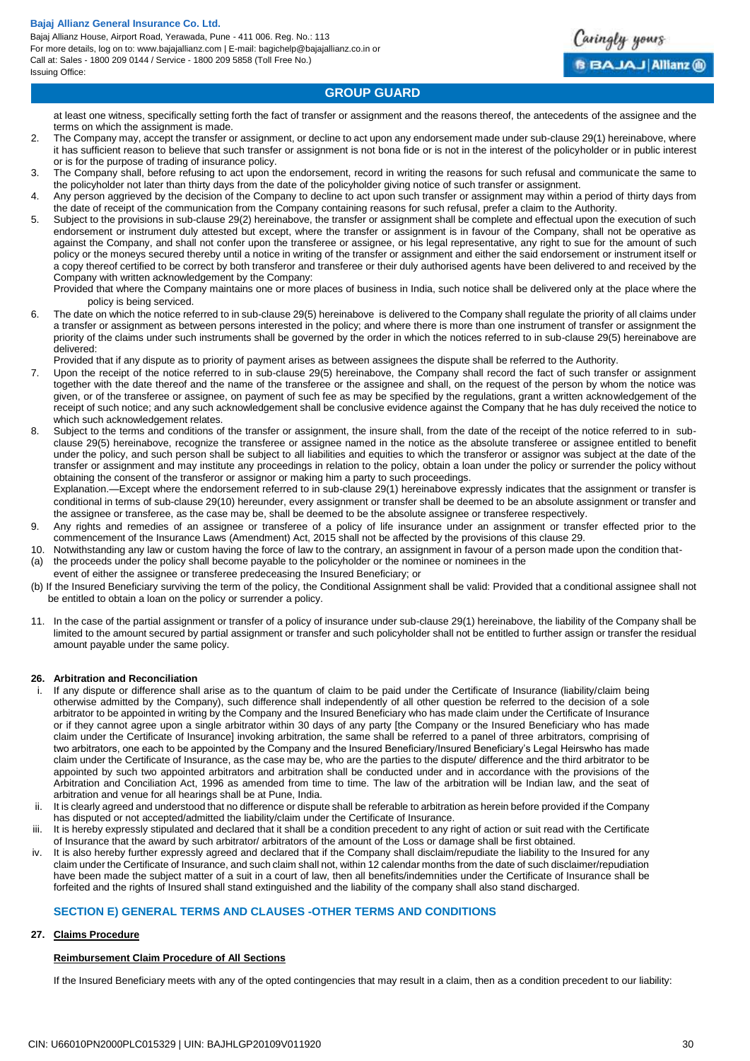Bajaj Allianz House, Airport Road, Yerawada, Pune - 411 006. Reg. No.: 113 For more details, log on to: www.bajajallianz.com | E-mail: bagichelp@bajajallianz.co.in or Call at: Sales - 1800 209 0144 / Service - 1800 209 5858 (Toll Free No.) Issuing Office:



## **GROUP GUARD**

at least one witness, specifically setting forth the fact of transfer or assignment and the reasons thereof, the antecedents of the assignee and the terms on which the assignment is made.

- 2. The Company may, accept the transfer or assignment, or decline to act upon any endorsement made under sub-clause 29(1) hereinabove, where it has sufficient reason to believe that such transfer or assignment is not bona fide or is not in the interest of the policyholder or in public interest or is for the purpose of trading of insurance policy.
- 3. The Company shall, before refusing to act upon the endorsement, record in writing the reasons for such refusal and communicate the same to the policyholder not later than thirty days from the date of the policyholder giving notice of such transfer or assignment.
- 4. Any person aggrieved by the decision of the Company to decline to act upon such transfer or assignment may within a period of thirty days from the date of receipt of the communication from the Company containing reasons for such refusal, prefer a claim to the Authority.
- 5. Subject to the provisions in sub-clause 29(2) hereinabove, the transfer or assignment shall be complete and effectual upon the execution of such endorsement or instrument duly attested but except, where the transfer or assignment is in favour of the Company, shall not be operative as against the Company, and shall not confer upon the transferee or assignee, or his legal representative, any right to sue for the amount of such policy or the moneys secured thereby until a notice in writing of the transfer or assignment and either the said endorsement or instrument itself or a copy thereof certified to be correct by both transferor and transferee or their duly authorised agents have been delivered to and received by the Company with written acknowledgement by the Company:

Provided that where the Company maintains one or more places of business in India, such notice shall be delivered only at the place where the policy is being serviced.

6. The date on which the notice referred to in sub-clause 29(5) hereinabove is delivered to the Company shall regulate the priority of all claims under a transfer or assignment as between persons interested in the policy; and where there is more than one instrument of transfer or assignment the priority of the claims under such instruments shall be governed by the order in which the notices referred to in sub-clause 29(5) hereinabove are delivered:

Provided that if any dispute as to priority of payment arises as between assignees the dispute shall be referred to the Authority.

- Upon the receipt of the notice referred to in sub-clause 29(5) hereinabove, the Company shall record the fact of such transfer or assignment together with the date thereof and the name of the transferee or the assignee and shall, on the request of the person by whom the notice was given, or of the transferee or assignee, on payment of such fee as may be specified by the regulations, grant a written acknowledgement of the receipt of such notice; and any such acknowledgement shall be conclusive evidence against the Company that he has duly received the notice to which such acknowledgement relates.
- Subject to the terms and conditions of the transfer or assignment, the insure shall, from the date of the receipt of the notice referred to in subclause 29(5) hereinabove, recognize the transferee or assignee named in the notice as the absolute transferee or assignee entitled to benefit under the policy, and such person shall be subject to all liabilities and equities to which the transferor or assignor was subject at the date of the transfer or assignment and may institute any proceedings in relation to the policy, obtain a loan under the policy or surrender the policy without obtaining the consent of the transferor or assignor or making him a party to such proceedings.

Explanation.—Except where the endorsement referred to in sub-clause 29(1) hereinabove expressly indicates that the assignment or transfer is conditional in terms of sub-clause 29(10) hereunder, every assignment or transfer shall be deemed to be an absolute assignment or transfer and the assignee or transferee, as the case may be, shall be deemed to be the absolute assignee or transferee respectively.

- 9. Any rights and remedies of an assignee or transferee of a policy of life insurance under an assignment or transfer effected prior to the commencement of the Insurance Laws (Amendment) Act, 2015 shall not be affected by the provisions of this clause 29.
- 10. Notwithstanding any law or custom having the force of law to the contrary, an assignment in favour of a person made upon the condition that- (a) the proceeds under the policy shall become payable to the policyholder or the nominee or nominees in the
- event of either the assignee or transferee predeceasing the Insured Beneficiary; or
- (b) If the Insured Beneficiary surviving the term of the policy, the Conditional Assignment shall be valid: Provided that a conditional assignee shall not be entitled to obtain a loan on the policy or surrender a policy.
- 11. In the case of the partial assignment or transfer of a policy of insurance under sub-clause 29(1) hereinabove, the liability of the Company shall be limited to the amount secured by partial assignment or transfer and such policyholder shall not be entitled to further assign or transfer the residual amount payable under the same policy.

#### **26. Arbitration and Reconciliation**

- If any dispute or difference shall arise as to the quantum of claim to be paid under the Certificate of Insurance (liability/claim being otherwise admitted by the Company), such difference shall independently of all other question be referred to the decision of a sole arbitrator to be appointed in writing by the Company and the Insured Beneficiary who has made claim under the Certificate of Insurance or if they cannot agree upon a single arbitrator within 30 days of any party [the Company or the Insured Beneficiary who has made claim under the Certificate of Insurance] invoking arbitration, the same shall be referred to a panel of three arbitrators, comprising of two arbitrators, one each to be appointed by the Company and the Insured Beneficiary/Insured Beneficiary's Legal Heirswho has made claim under the Certificate of Insurance, as the case may be, who are the parties to the dispute/ difference and the third arbitrator to be appointed by such two appointed arbitrators and arbitration shall be conducted under and in accordance with the provisions of the Arbitration and Conciliation Act, 1996 as amended from time to time. The law of the arbitration will be Indian law, and the seat of arbitration and venue for all hearings shall be at Pune, India.
- It is clearly agreed and understood that no difference or dispute shall be referable to arbitration as herein before provided if the Company has disputed or not accepted/admitted the liability/claim under the Certificate of Insurance.
- iii. It is hereby expressly stipulated and declared that it shall be a condition precedent to any right of action or suit read with the Certificate of Insurance that the award by such arbitrator/ arbitrators of the amount of the Loss or damage shall be first obtained.
- iv. It is also hereby further expressly agreed and declared that if the Company shall disclaim/repudiate the liability to the Insured for any claim under the Certificate of Insurance, and such claim shall not, within 12 calendar months from the date of such disclaimer/repudiation have been made the subject matter of a suit in a court of law, then all benefits/indemnities under the Certificate of Insurance shall be forfeited and the rights of Insured shall stand extinguished and the liability of the company shall also stand discharged.

# **SECTION E) GENERAL TERMS AND CLAUSES -OTHER TERMS AND CONDITIONS**

#### **27. Claims Procedure**

#### **Reimbursement Claim Procedure of All Sections**

If the Insured Beneficiary meets with any of the opted contingencies that may result in a claim, then as a condition precedent to our liability: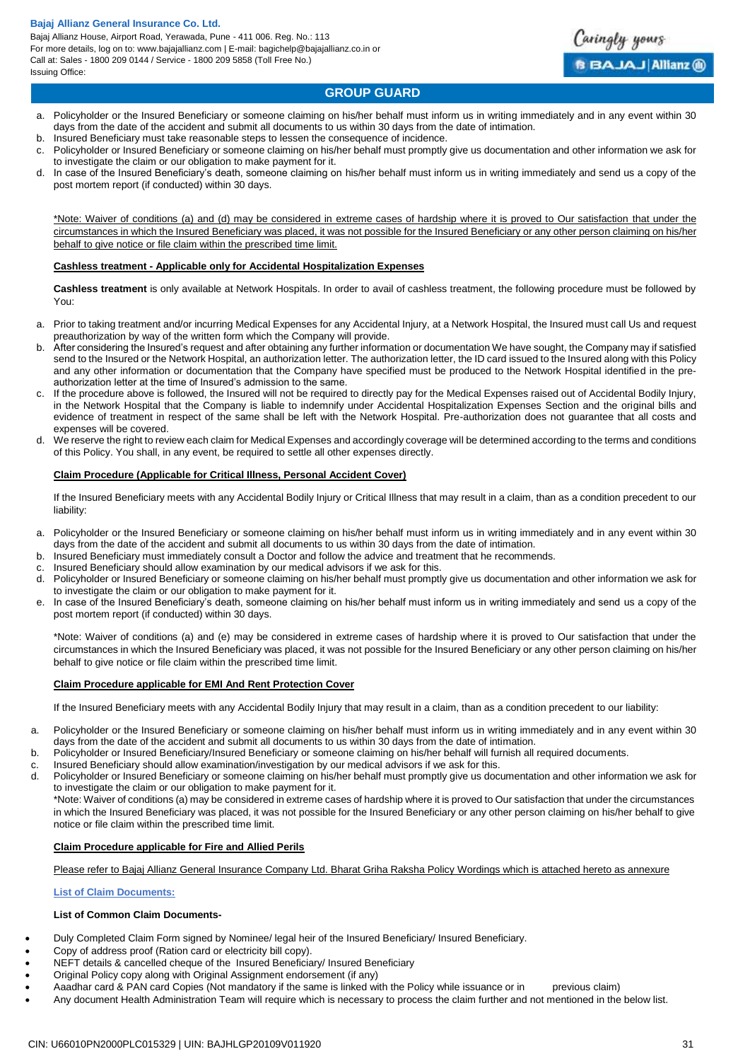Bajaj Allianz House, Airport Road, Yerawada, Pune - 411 006. Reg. No.: 113 For more details, log on to: www.bajajallianz.com | E-mail: bagichelp@bajajallianz.co.in or Call at: Sales - 1800 209 0144 / Service - 1800 209 5858 (Toll Free No.) Issuing Office:



aringly yours

**BBAJAJ Allianz @** 

- a. Policyholder or the Insured Beneficiary or someone claiming on his/her behalf must inform us in writing immediately and in any event within 30 days from the date of the accident and submit all documents to us within 30 days from the date of intimation.
- b. Insured Beneficiary must take reasonable steps to lessen the consequence of incidence.
- c. Policyholder or Insured Beneficiary or someone claiming on his/her behalf must promptly give us documentation and other information we ask for to investigate the claim or our obligation to make payment for it.
- In case of the Insured Beneficiary's death, someone claiming on his/her behalf must inform us in writing immediately and send us a copy of the post mortem report (if conducted) within 30 days.

\*Note: Waiver of conditions (a) and (d) may be considered in extreme cases of hardship where it is proved to Our satisfaction that under the circumstances in which the Insured Beneficiary was placed, it was not possible for the Insured Beneficiary or any other person claiming on his/her behalf to give notice or file claim within the prescribed time limit.

#### **Cashless treatment - Applicable only for Accidental Hospitalization Expenses**

**Cashless treatment** is only available at Network Hospitals. In order to avail of cashless treatment, the following procedure must be followed by You:

- a. Prior to taking treatment and/or incurring Medical Expenses for any Accidental Injury, at a Network Hospital, the Insured must call Us and request preauthorization by way of the written form which the Company will provide.
- b. After considering the Insured's request and after obtaining any further information or documentation We have sought, the Company may if satisfied send to the Insured or the Network Hospital, an authorization letter. The authorization letter, the ID card issued to the Insured along with this Policy and any other information or documentation that the Company have specified must be produced to the Network Hospital identified in the preauthorization letter at the time of Insured's admission to the same.
- c. If the procedure above is followed, the Insured will not be required to directly pay for the Medical Expenses raised out of Accidental Bodily Injury, in the Network Hospital that the Company is liable to indemnify under Accidental Hospitalization Expenses Section and the original bills and evidence of treatment in respect of the same shall be left with the Network Hospital. Pre-authorization does not guarantee that all costs and expenses will be covered.
- d. We reserve the right to review each claim for Medical Expenses and accordingly coverage will be determined according to the terms and conditions of this Policy. You shall, in any event, be required to settle all other expenses directly.

### **Claim Procedure (Applicable for Critical Illness, Personal Accident Cover)**

If the Insured Beneficiary meets with any Accidental Bodily Injury or Critical Illness that may result in a claim, than as a condition precedent to our liability:

- a. Policyholder or the Insured Beneficiary or someone claiming on his/her behalf must inform us in writing immediately and in any event within 30 days from the date of the accident and submit all documents to us within 30 days from the date of intimation.
- b. Insured Beneficiary must immediately consult a Doctor and follow the advice and treatment that he recommends.
- c. Insured Beneficiary should allow examination by our medical advisors if we ask for this.
- d. Policyholder or Insured Beneficiary or someone claiming on his/her behalf must promptly give us documentation and other information we ask for to investigate the claim or our obligation to make payment for it.
- e. In case of the Insured Beneficiary's death, someone claiming on his/her behalf must inform us in writing immediately and send us a copy of the post mortem report (if conducted) within 30 days.

\*Note: Waiver of conditions (a) and (e) may be considered in extreme cases of hardship where it is proved to Our satisfaction that under the circumstances in which the Insured Beneficiary was placed, it was not possible for the Insured Beneficiary or any other person claiming on his/her behalf to give notice or file claim within the prescribed time limit.

#### **Claim Procedure applicable for EMI And Rent Protection Cover**

If the Insured Beneficiary meets with any Accidental Bodily Injury that may result in a claim, than as a condition precedent to our liability:

- a. Policyholder or the Insured Beneficiary or someone claiming on his/her behalf must inform us in writing immediately and in any event within 30 days from the date of the accident and submit all documents to us within 30 days from the date of intimation.
- b. Policyholder or Insured Beneficiary/Insured Beneficiary or someone claiming on his/her behalf will furnish all required documents.
- c. Insured Beneficiary should allow examination/investigation by our medical advisors if we ask for this.
- d. Policyholder or Insured Beneficiary or someone claiming on his/her behalf must promptly give us documentation and other information we ask for to investigate the claim or our obligation to make payment for it.

\*Note: Waiver of conditions (a) may be considered in extreme cases of hardship where it is proved to Our satisfaction that under the circumstances in which the Insured Beneficiary was placed, it was not possible for the Insured Beneficiary or any other person claiming on his/her behalf to give notice or file claim within the prescribed time limit.

# **Claim Procedure applicable for Fire and Allied Perils**

Please refer to Bajaj Allianz General Insurance Company Ltd. Bharat Griha Raksha Policy Wordings which is attached hereto as annexure

# **List of Claim Documents:**

# **List of Common Claim Documents-**

- Duly Completed Claim Form signed by Nominee/ legal heir of the Insured Beneficiary/ Insured Beneficiary.
- Copy of address proof (Ration card or electricity bill copy).
- NEFT details & cancelled cheque of the Insured Beneficiary/ Insured Beneficiary
- Original Policy copy along with Original Assignment endorsement (if any)
- Aaadhar card & PAN card Copies (Not mandatory if the same is linked with the Policy while issuance or in previous claim)
- Any document Health Administration Team will require which is necessary to process the claim further and not mentioned in the below list.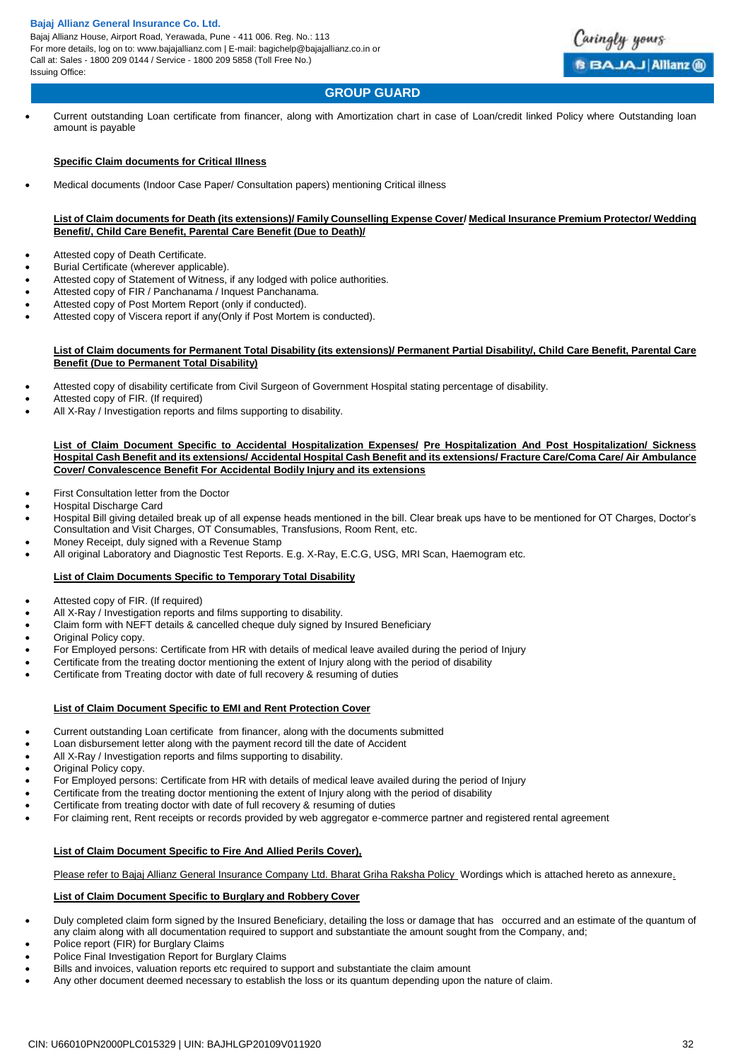Bajaj Allianz House, Airport Road, Yerawada, Pune - 411 006. Reg. No.: 113 For more details, log on to: www.bajajallianz.com | E-mail: bagichelp@bajajallianz.co.in or Call at: Sales - 1800 209 0144 / Service - 1800 209 5858 (Toll Free No.) Issuing Office:



# **GROUP GUARD**

 Current outstanding Loan certificate from financer, along with Amortization chart in case of Loan/credit linked Policy where Outstanding loan amount is payable

### **Specific Claim documents for Critical Illness**

Medical documents (Indoor Case Paper/ Consultation papers) mentioning Critical illness

#### **List of Claim documents for Death (its extensions)/ Family Counselling Expense Cover/ Medical Insurance Premium Protector/ Wedding Benefit/, Child Care Benefit, Parental Care Benefit (Due to Death)/**

- Attested copy of Death Certificate.
- Burial Certificate (wherever applicable).
- Attested copy of Statement of Witness, if any lodged with police authorities.
- Attested copy of FIR / Panchanama / Inquest Panchanama.
- Attested copy of Post Mortem Report (only if conducted).
- Attested copy of Viscera report if any(Only if Post Mortem is conducted).

#### **List of Claim documents for Permanent Total Disability (its extensions)/ Permanent Partial Disability/, Child Care Benefit, Parental Care Benefit (Due to Permanent Total Disability)**

- Attested copy of disability certificate from Civil Surgeon of Government Hospital stating percentage of disability.
- Attested copy of FIR. (If required)
- All X-Ray / Investigation reports and films supporting to disability.

#### **List of Claim Document Specific to Accidental Hospitalization Expenses/ Pre Hospitalization And Post Hospitalization/ Sickness Hospital Cash Benefit and its extensions/ Accidental Hospital Cash Benefit and its extensions/ Fracture Care/Coma Care/ Air Ambulance Cover/ Convalescence Benefit For Accidental Bodily Injury and its extensions**

- First Consultation letter from the Doctor
- Hospital Discharge Card
- Hospital Bill giving detailed break up of all expense heads mentioned in the bill. Clear break ups have to be mentioned for OT Charges, Doctor's Consultation and Visit Charges, OT Consumables, Transfusions, Room Rent, etc.
- Money Receipt, duly signed with a Revenue Stamp
- All original Laboratory and Diagnostic Test Reports. E.g. X-Ray, E.C.G, USG, MRI Scan, Haemogram etc.

# **List of Claim Documents Specific to Temporary Total Disability**

- Attested copy of FIR. (If required)
- All X-Ray / Investigation reports and films supporting to disability.
- Claim form with NEFT details & cancelled cheque duly signed by Insured Beneficiary
- Original Policy copy.
- For Employed persons: Certificate from HR with details of medical leave availed during the period of Injury
- Certificate from the treating doctor mentioning the extent of Injury along with the period of disability
- Certificate from Treating doctor with date of full recovery & resuming of duties

# **List of Claim Document Specific to EMI and Rent Protection Cover**

- Current outstanding Loan certificate from financer, along with the documents submitted
- Loan disbursement letter along with the payment record till the date of Accident
- All X-Ray / Investigation reports and films supporting to disability.
- Original Policy copy.
- For Employed persons: Certificate from HR with details of medical leave availed during the period of Injury
- Certificate from the treating doctor mentioning the extent of Injury along with the period of disability
- Certificate from treating doctor with date of full recovery & resuming of duties
- For claiming rent, Rent receipts or records provided by web aggregator e-commerce partner and registered rental agreement

#### **List of Claim Document Specific to Fire And Allied Perils Cover),**

Please refer to Bajaj Allianz General Insurance Company Ltd. Bharat Griha Raksha Policy Wordings which is attached hereto as annexure.

#### **List of Claim Document Specific to Burglary and Robbery Cover**

- Duly completed claim form signed by the Insured Beneficiary, detailing the loss or damage that has occurred and an estimate of the quantum of any claim along with all documentation required to support and substantiate the amount sought from the Company, and;
- Police report (FIR) for Burglary Claims
- Police Final Investigation Report for Burglary Claims
- Bills and invoices, valuation reports etc required to support and substantiate the claim amount
- Any other document deemed necessary to establish the loss or its quantum depending upon the nature of claim.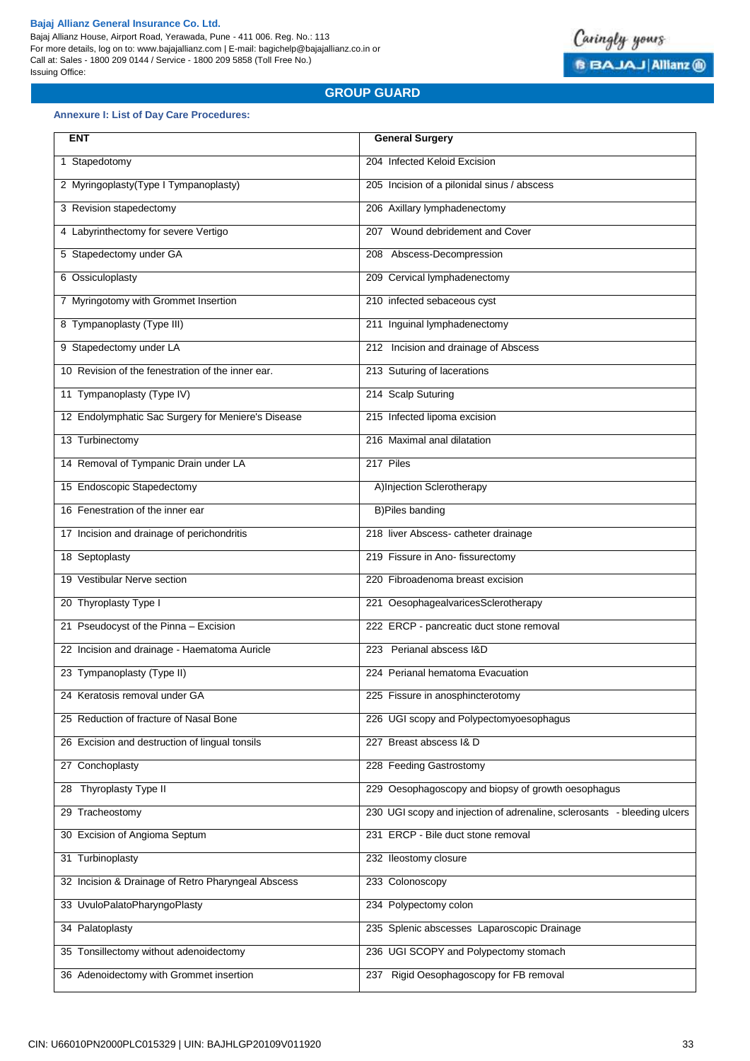Bajaj Allianz House, Airport Road, Yerawada, Pune - 411 006. Reg. No.: 113 For more details, log on to: www.bajajallianz.com | E-mail: bagichelp@bajajallianz.co.in or Call at: Sales - 1800 209 0144 / Service - 1800 209 5858 (Toll Free No.) Issuing Office:



# **GROUP GUARD**

# **Annexure I: List of Day Care Procedures:**

| <b>ENT</b>                                         | <b>General Surgery</b>                                                   |
|----------------------------------------------------|--------------------------------------------------------------------------|
| 1 Stapedotomy                                      | 204 Infected Keloid Excision                                             |
| 2 Myringoplasty(Type I Tympanoplasty)              | 205 Incision of a pilonidal sinus / abscess                              |
| 3 Revision stapedectomy                            | 206 Axillary lymphadenectomy                                             |
| 4 Labyrinthectomy for severe Vertigo               | 207 Wound debridement and Cover                                          |
| 5 Stapedectomy under GA                            | 208 Abscess-Decompression                                                |
| 6 Ossiculoplasty                                   | 209 Cervical lymphadenectomy                                             |
| 7 Myringotomy with Grommet Insertion               | 210 infected sebaceous cyst                                              |
| 8 Tympanoplasty (Type III)                         | 211 Inguinal lymphadenectomy                                             |
| 9 Stapedectomy under LA                            | 212 Incision and drainage of Abscess                                     |
| 10 Revision of the fenestration of the inner ear.  | 213 Suturing of lacerations                                              |
| 11 Tympanoplasty (Type IV)                         | 214 Scalp Suturing                                                       |
| 12 Endolymphatic Sac Surgery for Meniere's Disease | 215 Infected lipoma excision                                             |
| 13 Turbinectomy                                    | 216 Maximal anal dilatation                                              |
| 14 Removal of Tympanic Drain under LA              | 217 Piles                                                                |
| 15 Endoscopic Stapedectomy                         | A)Injection Sclerotherapy                                                |
| 16 Fenestration of the inner ear                   | <b>B)Piles banding</b>                                                   |
| 17 Incision and drainage of perichondritis         | 218 liver Abscess- catheter drainage                                     |
| 18 Septoplasty                                     | 219 Fissure in Ano- fissurectomy                                         |
| 19 Vestibular Nerve section                        | 220 Fibroadenoma breast excision                                         |
| 20 Thyroplasty Type I                              | 221 OesophagealvaricesSclerotherapy                                      |
| 21 Pseudocyst of the Pinna - Excision              | 222 ERCP - pancreatic duct stone removal                                 |
| 22 Incision and drainage - Haematoma Auricle       | 223 Perianal abscess I&D                                                 |
| 23 Tympanoplasty (Type II)                         | 224 Perianal hematoma Evacuation                                         |
| 24 Keratosis removal under GA                      | 225 Fissure in anosphincterotomy                                         |
| 25 Reduction of fracture of Nasal Bone             | 226 UGI scopy and Polypectomyoesophagus                                  |
| 26 Excision and destruction of lingual tonsils     | 227 Breast abscess I& D                                                  |
| 27 Conchoplasty                                    | 228 Feeding Gastrostomy                                                  |
| 28 Thyroplasty Type II                             | 229 Oesophagoscopy and biopsy of growth oesophagus                       |
| 29 Tracheostomy                                    | 230 UGI scopy and injection of adrenaline, sclerosants - bleeding ulcers |
| 30 Excision of Angioma Septum                      | 231 ERCP - Bile duct stone removal                                       |
| 31 Turbinoplasty                                   | 232 Ileostomy closure                                                    |
| 32 Incision & Drainage of Retro Pharyngeal Abscess | 233 Colonoscopy                                                          |
| 33 UvuloPalatoPharyngoPlasty                       | 234 Polypectomy colon                                                    |
| 34 Palatoplasty                                    | 235 Splenic abscesses Laparoscopic Drainage                              |
| 35 Tonsillectomy without adenoidectomy             | 236 UGI SCOPY and Polypectomy stomach                                    |
| 36 Adenoidectomy with Grommet insertion            | 237 Rigid Oesophagoscopy for FB removal                                  |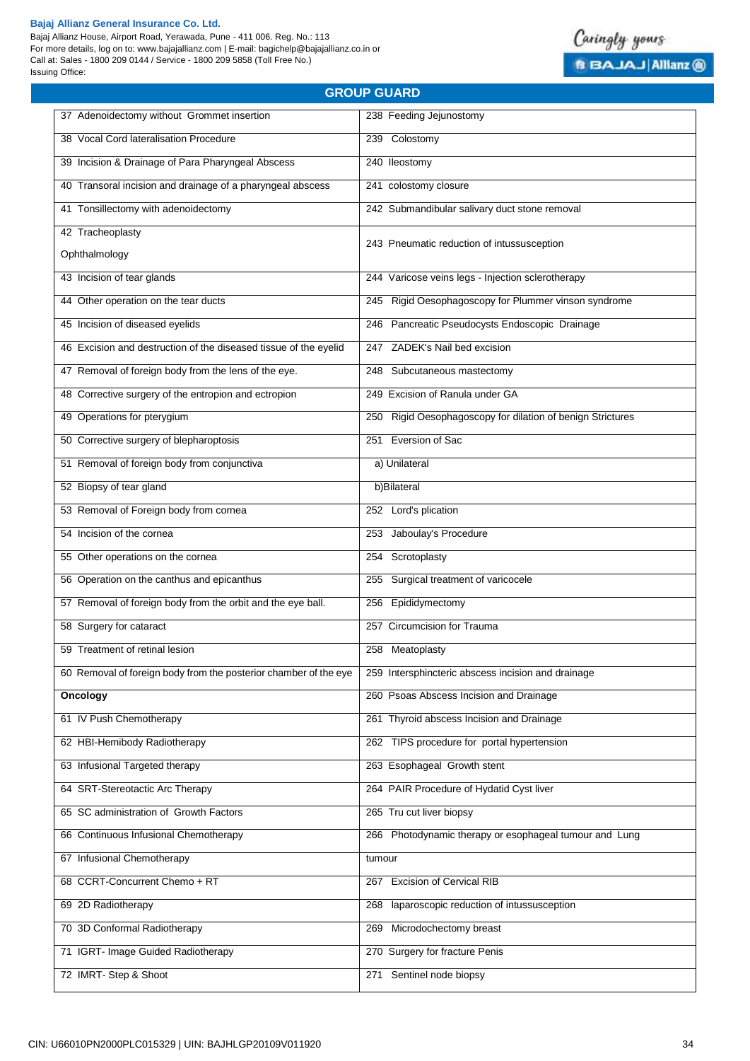Bajaj Allianz House, Airport Road, Yerawada, Pune - 411 006. Reg. No.: 113 For more details, log on to: www.bajajallianz.com | E-mail: bagichelp@bajajallianz.co.in or Call at: Sales - 1800 209 0144 / Service - 1800 209 5858 (Toll Free No.) Issuing Office:



Caringly yours

**B BAJAJ Allianz @** 

| 37 Adenoidectomy without Grommet insertion                       | 238 Feeding Jejunostomy                                    |
|------------------------------------------------------------------|------------------------------------------------------------|
| 38 Vocal Cord lateralisation Procedure                           | 239 Colostomy                                              |
| 39 Incision & Drainage of Para Pharyngeal Abscess                | 240 Ileostomy                                              |
| 40 Transoral incision and drainage of a pharyngeal abscess       | 241 colostomy closure                                      |
| 41 Tonsillectomy with adenoidectomy                              | 242 Submandibular salivary duct stone removal              |
| 42 Tracheoplasty                                                 |                                                            |
| Ophthalmology                                                    | 243 Pneumatic reduction of intussusception                 |
| 43 Incision of tear glands                                       | 244 Varicose veins legs - Injection sclerotherapy          |
| 44 Other operation on the tear ducts                             | 245 Rigid Oesophagoscopy for Plummer vinson syndrome       |
| 45 Incision of diseased eyelids                                  | 246 Pancreatic Pseudocysts Endoscopic Drainage             |
| 46 Excision and destruction of the diseased tissue of the eyelid | 247 ZADEK's Nail bed excision                              |
| 47 Removal of foreign body from the lens of the eye.             | 248 Subcutaneous mastectomy                                |
| 48 Corrective surgery of the entropion and ectropion             | 249 Excision of Ranula under GA                            |
| 49 Operations for pterygium                                      | 250 Rigid Oesophagoscopy for dilation of benign Strictures |
| 50 Corrective surgery of blepharoptosis                          | 251 Eversion of Sac                                        |
| 51 Removal of foreign body from conjunctiva                      | a) Unilateral                                              |
| 52 Biopsy of tear gland                                          | b)Bilateral                                                |
| 53 Removal of Foreign body from cornea                           | 252 Lord's plication                                       |
| 54 Incision of the cornea                                        | 253 Jaboulay's Procedure                                   |
| 55 Other operations on the cornea                                | Scrotoplasty<br>254                                        |
| 56 Operation on the canthus and epicanthus                       | Surgical treatment of varicocele<br>255                    |
| 57 Removal of foreign body from the orbit and the eye ball.      | 256 Epididymectomy                                         |
| 58 Surgery for cataract                                          | 257 Circumcision for Trauma                                |
| 59 Treatment of retinal lesion                                   | 258 Meatoplasty                                            |
| 60 Removal of foreign body from the posterior chamber of the eye | 259 Intersphincteric abscess incision and drainage         |
| Oncology                                                         | 260 Psoas Abscess Incision and Drainage                    |
| 61 IV Push Chemotherapy                                          | 261 Thyroid abscess Incision and Drainage                  |
| 62 HBI-Hemibody Radiotherapy                                     | 262 TIPS procedure for portal hypertension                 |
| 63 Infusional Targeted therapy                                   | 263 Esophageal Growth stent                                |
| 64 SRT-Stereotactic Arc Therapy                                  | 264 PAIR Procedure of Hydatid Cyst liver                   |
| 65 SC administration of Growth Factors                           | 265 Tru cut liver biopsy                                   |
| 66 Continuous Infusional Chemotherapy                            | 266 Photodynamic therapy or esophageal tumour and Lung     |
| 67 Infusional Chemotherapy                                       | tumour                                                     |
| 68 CCRT-Concurrent Chemo + RT                                    | <b>Excision of Cervical RIB</b><br>267                     |
| 69 2D Radiotherapy                                               | laparoscopic reduction of intussusception<br>268           |
| 70 3D Conformal Radiotherapy                                     | 269 Microdochectomy breast                                 |
| 71 IGRT- Image Guided Radiotherapy                               | 270 Surgery for fracture Penis                             |
| 72 IMRT-Step & Shoot                                             | 271 Sentinel node biopsy                                   |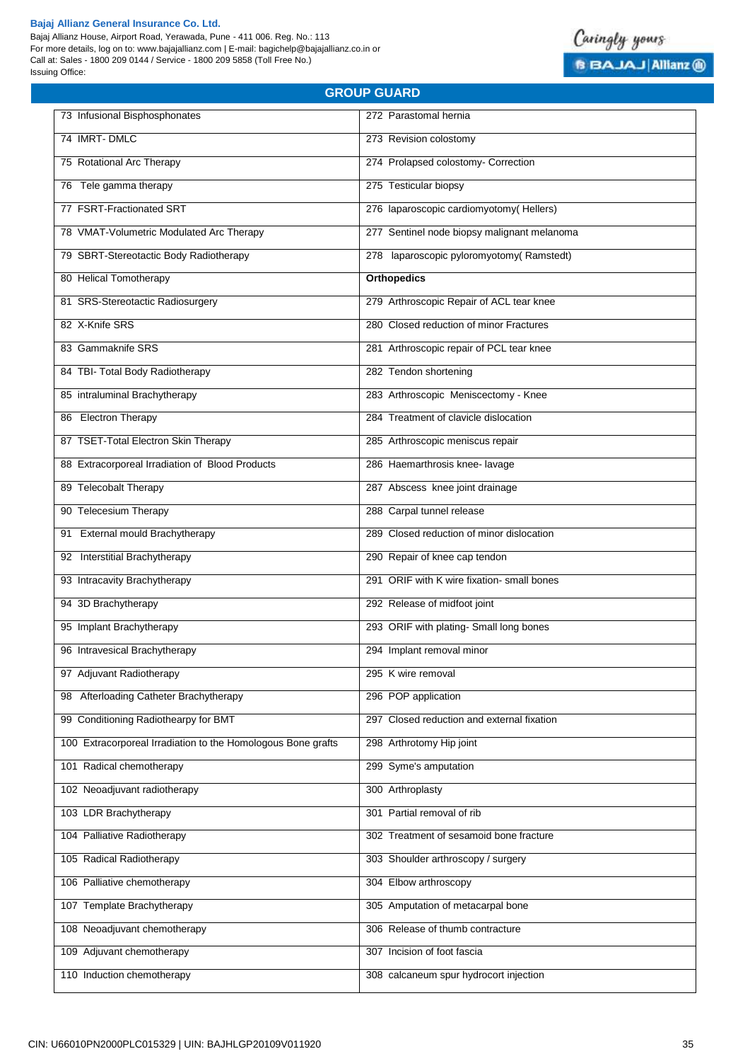Bajaj Allianz House, Airport Road, Yerawada, Pune - 411 006. Reg. No.: 113 For more details, log on to: www.bajajallianz.com | E-mail: bagichelp@bajajallianz.co.in or Call at: Sales - 1800 209 0144 / Service - 1800 209 5858 (Toll Free No.) Issuing Office:



| 73 Infusional Bisphosphonates                                | 272 Parastomal hernia                       |
|--------------------------------------------------------------|---------------------------------------------|
| 74 IMRT-DMLC                                                 | 273 Revision colostomy                      |
| 75 Rotational Arc Therapy                                    | 274 Prolapsed colostomy- Correction         |
| 76 Tele gamma therapy                                        | 275 Testicular biopsy                       |
| 77 FSRT-Fractionated SRT                                     | 276 laparoscopic cardiomyotomy(Hellers)     |
| 78 VMAT-Volumetric Modulated Arc Therapy                     | 277 Sentinel node biopsy malignant melanoma |
| 79 SBRT-Stereotactic Body Radiotherapy                       | 278 laparoscopic pyloromyotomy(Ramstedt)    |
| 80 Helical Tomotherapy                                       | <b>Orthopedics</b>                          |
| 81 SRS-Stereotactic Radiosurgery                             | 279 Arthroscopic Repair of ACL tear knee    |
| 82 X-Knife SRS                                               | 280 Closed reduction of minor Fractures     |
| 83 Gammaknife SRS                                            | 281 Arthroscopic repair of PCL tear knee    |
| 84 TBI- Total Body Radiotherapy                              | 282 Tendon shortening                       |
| 85 intraluminal Brachytherapy                                | 283 Arthroscopic Meniscectomy - Knee        |
| 86 Electron Therapy                                          | 284 Treatment of clavicle dislocation       |
| 87 TSET-Total Electron Skin Therapy                          | 285 Arthroscopic meniscus repair            |
| 88 Extracorporeal Irradiation of Blood Products              | 286 Haemarthrosis knee- lavage              |
| 89 Telecobalt Therapy                                        | 287 Abscess knee joint drainage             |
| 90 Telecesium Therapy                                        | 288 Carpal tunnel release                   |
| 91 External mould Brachytherapy                              | 289 Closed reduction of minor dislocation   |
| 92 Interstitial Brachytherapy                                | 290 Repair of knee cap tendon               |
| 93 Intracavity Brachytherapy                                 | 291 ORIF with K wire fixation- small bones  |
| 94 3D Brachytherapy                                          | 292 Release of midfoot joint                |
| 95 Implant Brachytherapy                                     | 293 ORIF with plating- Small long bones     |
| 96 Intravesical Brachytherapy                                | 294 Implant removal minor                   |
| 97 Adjuvant Radiotherapy                                     | 295 K wire removal                          |
| Afterloading Catheter Brachytherapy<br>98                    | 296 POP application                         |
| 99 Conditioning Radiothearpy for BMT                         | 297 Closed reduction and external fixation  |
| 100 Extracorporeal Irradiation to the Homologous Bone grafts | 298 Arthrotomy Hip joint                    |
| 101 Radical chemotherapy                                     | 299 Syme's amputation                       |
| 102 Neoadjuvant radiotherapy                                 | 300 Arthroplasty                            |
| 103 LDR Brachytherapy                                        | 301 Partial removal of rib                  |
| 104 Palliative Radiotherapy                                  | 302 Treatment of sesamoid bone fracture     |
| 105 Radical Radiotherapy                                     | 303 Shoulder arthroscopy / surgery          |
| 106 Palliative chemotherapy                                  | 304 Elbow arthroscopy                       |
| 107 Template Brachytherapy                                   | 305 Amputation of metacarpal bone           |
| 108 Neoadjuvant chemotherapy                                 | 306 Release of thumb contracture            |
| 109 Adjuvant chemotherapy                                    | 307 Incision of foot fascia                 |
| 110 Induction chemotherapy                                   | 308 calcaneum spur hydrocort injection      |
|                                                              |                                             |

**GROUP GUARD**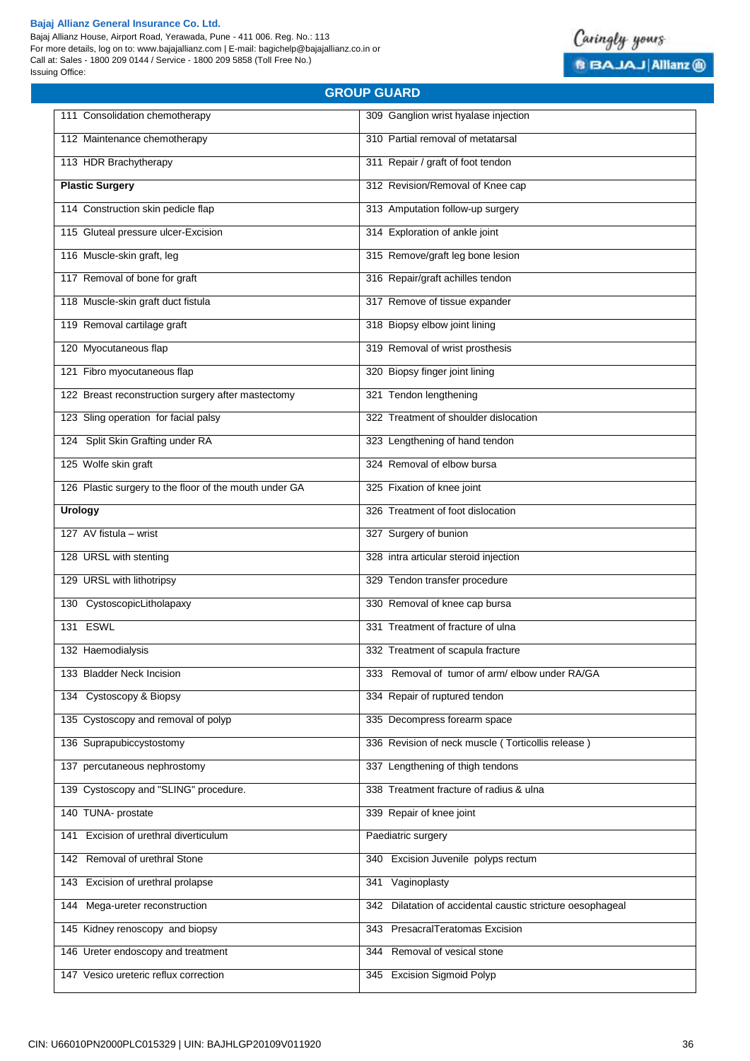Bajaj Allianz House, Airport Road, Yerawada, Pune - 411 006. Reg. No.: 113 For more details, log on to: www.bajajallianz.com | E-mail: bagichelp@bajajallianz.co.in or Call at: Sales - 1800 209 0144 / Service - 1800 209 5858 (Toll Free No.) Issuing Office:

# **GROUP GUARD**

| 111 Consolidation chemotherapy                         | 309 Ganglion wrist hyalase injection                       |
|--------------------------------------------------------|------------------------------------------------------------|
| 112 Maintenance chemotherapy                           | 310 Partial removal of metatarsal                          |
| 113 HDR Brachytherapy                                  | 311 Repair / graft of foot tendon                          |
| <b>Plastic Surgery</b>                                 | 312 Revision/Removal of Knee cap                           |
| 114 Construction skin pedicle flap                     | 313 Amputation follow-up surgery                           |
| 115 Gluteal pressure ulcer-Excision                    | 314 Exploration of ankle joint                             |
| 116 Muscle-skin graft, leg                             | 315 Remove/graft leg bone lesion                           |
| 117 Removal of bone for graft                          | 316 Repair/graft achilles tendon                           |
| 118 Muscle-skin graft duct fistula                     | 317 Remove of tissue expander                              |
| 119 Removal cartilage graft                            | 318 Biopsy elbow joint lining                              |
| 120 Myocutaneous flap                                  | 319 Removal of wrist prosthesis                            |
| 121 Fibro myocutaneous flap                            | 320 Biopsy finger joint lining                             |
| 122 Breast reconstruction surgery after mastectomy     | 321 Tendon lengthening                                     |
| 123 Sling operation for facial palsy                   | 322 Treatment of shoulder dislocation                      |
| 124 Split Skin Grafting under RA                       | 323 Lengthening of hand tendon                             |
|                                                        |                                                            |
| 125 Wolfe skin graft                                   | 324 Removal of elbow bursa                                 |
| 126 Plastic surgery to the floor of the mouth under GA | 325 Fixation of knee joint                                 |
| <b>Urology</b>                                         | 326 Treatment of foot dislocation                          |
| 127 AV fistula - wrist                                 | 327 Surgery of bunion                                      |
| 128 URSL with stenting                                 | 328 intra articular steroid injection                      |
| 129 URSL with lithotripsy                              | 329 Tendon transfer procedure                              |
| 130 CystoscopicLitholapaxy                             | 330 Removal of knee cap bursa                              |
| 131 ESWL                                               | 331 Treatment of fracture of ulna                          |
| 132 Haemodialysis                                      | 332 Treatment of scapula fracture                          |
| 133 Bladder Neck Incision                              | 333 Removal of tumor of arm/ elbow under RA/GA             |
| 134 Cystoscopy & Biopsy                                | 334 Repair of ruptured tendon                              |
| 135 Cystoscopy and removal of polyp                    | 335 Decompress forearm space                               |
| 136 Suprapubiccystostomy                               | 336 Revision of neck muscle (Torticollis release)          |
| 137 percutaneous nephrostomy                           | 337 Lengthening of thigh tendons                           |
| 139 Cystoscopy and "SLING" procedure.                  | 338 Treatment fracture of radius & ulna                    |
| 140 TUNA- prostate                                     | 339 Repair of knee joint                                   |
| Excision of urethral diverticulum<br>141               | Paediatric surgery                                         |
| Removal of urethral Stone<br>142                       | 340 Excision Juvenile polyps rectum                        |
| Excision of urethral prolapse<br>143                   | Vaginoplasty<br>341                                        |
| 144 Mega-ureter reconstruction                         | 342 Dilatation of accidental caustic stricture oesophageal |
| 145 Kidney renoscopy and biopsy                        | 343 PresacralTeratomas Excision                            |
| 146 Ureter endoscopy and treatment                     | 344 Removal of vesical stone                               |
| 147 Vesico ureteric reflux correction                  | 345 Excision Sigmoid Polyp                                 |

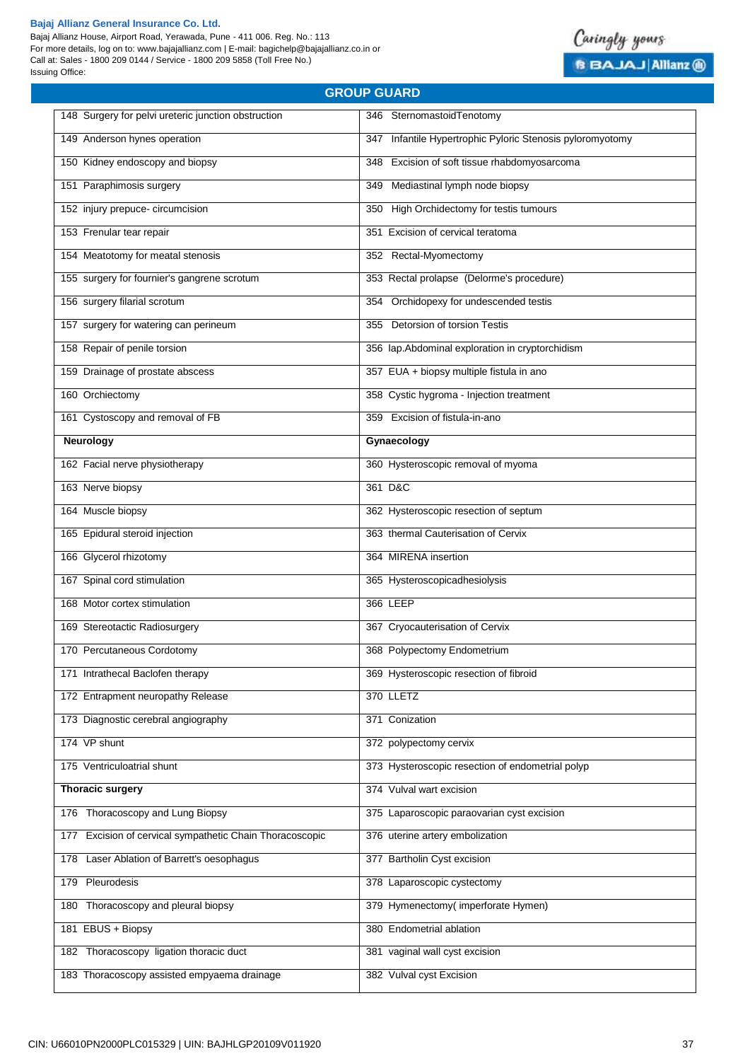Bajaj Allianz House, Airport Road, Yerawada, Pune - 411 006. Reg. No.: 113 For more details, log on to: www.bajajallianz.com | E-mail: bagichelp@bajajallianz.co.in or Call at: Sales - 1800 209 0144 / Service - 1800 209 5858 (Toll Free No.) Issuing Office:



| <b>GROUP GUARD</b>                                          |                                                           |  |
|-------------------------------------------------------------|-----------------------------------------------------------|--|
| 148 Surgery for pelvi ureteric junction obstruction         | 346 SternomastoidTenotomy                                 |  |
| 149 Anderson hynes operation                                | 347 Infantile Hypertrophic Pyloric Stenosis pyloromyotomy |  |
| 150 Kidney endoscopy and biopsy                             | 348 Excision of soft tissue rhabdomyosarcoma              |  |
| 151 Paraphimosis surgery                                    | 349 Mediastinal lymph node biopsy                         |  |
| 152 injury prepuce- circumcision                            | 350 High Orchidectomy for testis tumours                  |  |
| 153 Frenular tear repair                                    | 351 Excision of cervical teratoma                         |  |
| 154 Meatotomy for meatal stenosis                           | 352 Rectal-Myomectomy                                     |  |
| 155 surgery for fournier's gangrene scrotum                 | 353 Rectal prolapse (Delorme's procedure)                 |  |
| 156 surgery filarial scrotum                                | 354 Orchidopexy for undescended testis                    |  |
| 157 surgery for watering can perineum                       | 355 Detorsion of torsion Testis                           |  |
| 158 Repair of penile torsion                                | 356 lap.Abdominal exploration in cryptorchidism           |  |
| 159 Drainage of prostate abscess                            | 357 EUA + biopsy multiple fistula in ano                  |  |
| 160 Orchiectomy                                             | 358 Cystic hygroma - Injection treatment                  |  |
| 161 Cystoscopy and removal of FB                            | 359 Excision of fistula-in-ano                            |  |
| Neurology                                                   | Gynaecology                                               |  |
| 162 Facial nerve physiotherapy                              | 360 Hysteroscopic removal of myoma                        |  |
| 163 Nerve biopsy                                            | 361 D&C                                                   |  |
| 164 Muscle biopsy                                           | 362 Hysteroscopic resection of septum                     |  |
| 165 Epidural steroid injection                              | 363 thermal Cauterisation of Cervix                       |  |
| 166 Glycerol rhizotomy                                      | 364 MIRENA insertion                                      |  |
| 167 Spinal cord stimulation                                 | 365 Hysteroscopicadhesiolysis                             |  |
| 168 Motor cortex stimulation                                | 366 LEEP                                                  |  |
| 169 Stereotactic Radiosurgery                               | 367 Cryocauterisation of Cervix                           |  |
| 170 Percutaneous Cordotomy                                  | 368 Polypectomy Endometrium                               |  |
| 171 Intrathecal Baclofen therapy                            | 369 Hysteroscopic resection of fibroid                    |  |
| 172 Entrapment neuropathy Release                           | 370 LLETZ                                                 |  |
| 173 Diagnostic cerebral angiography                         | 371 Conization                                            |  |
| 174 VP shunt                                                | 372 polypectomy cervix                                    |  |
| 175 Ventriculoatrial shunt                                  | 373 Hysteroscopic resection of endometrial polyp          |  |
| <b>Thoracic surgery</b>                                     | 374 Vulval wart excision                                  |  |
| 176 Thoracoscopy and Lung Biopsy                            | 375 Laparoscopic paraovarian cyst excision                |  |
| Excision of cervical sympathetic Chain Thoracoscopic<br>177 | 376 uterine artery embolization                           |  |
| Laser Ablation of Barrett's oesophagus<br>178               | 377 Bartholin Cyst excision                               |  |
| 179 Pleurodesis                                             | 378 Laparoscopic cystectomy                               |  |
| 180 Thoracoscopy and pleural biopsy                         | 379 Hymenectomy(imperforate Hymen)                        |  |
| 181 EBUS + Biopsy                                           | 380 Endometrial ablation                                  |  |
| 182 Thoracoscopy ligation thoracic duct                     | 381 vaginal wall cyst excision                            |  |
| 183 Thoracoscopy assisted empyaema drainage                 | 382 Vulval cyst Excision                                  |  |
|                                                             |                                                           |  |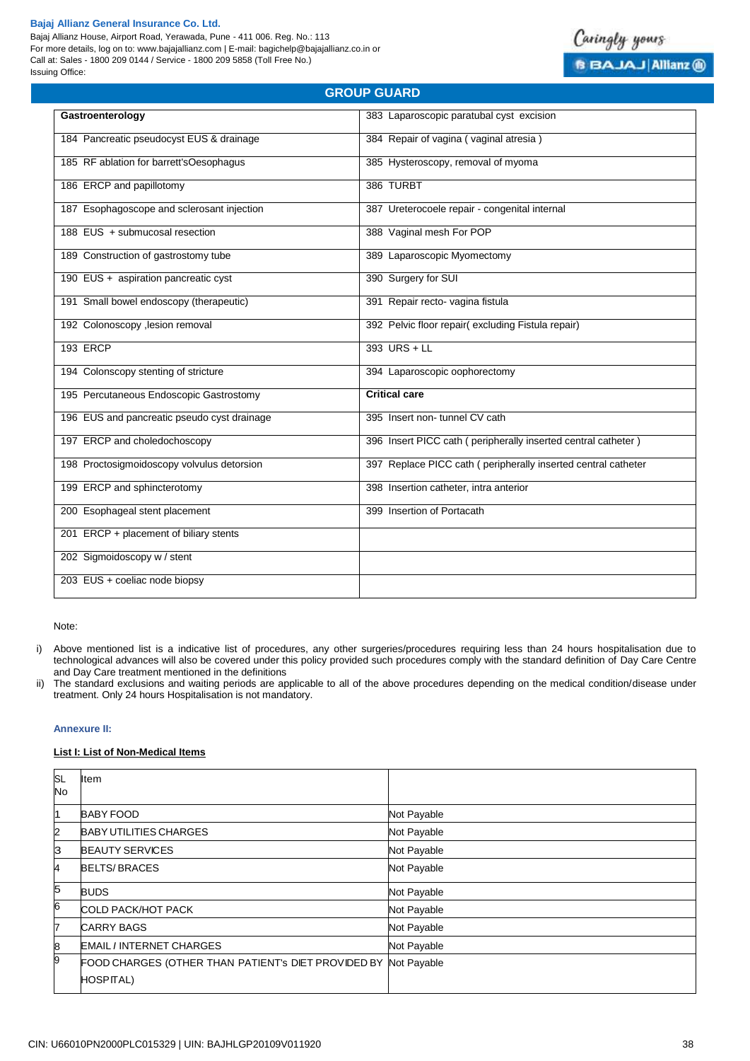Bajaj Allianz House, Airport Road, Yerawada, Pune - 411 006. Reg. No.: 113 For more details, log on to: www.bajajallianz.com | E-mail: bagichelp@bajajallianz.co.in or Call at: Sales - 1800 209 0144 / Service - 1800 209 5858 (Toll Free No.) Issuing Office:



| URUUF GUARD                                 |                                                               |
|---------------------------------------------|---------------------------------------------------------------|
| Gastroenterology                            | 383 Laparoscopic paratubal cyst excision                      |
| 184 Pancreatic pseudocyst EUS & drainage    | 384 Repair of vagina (vaginal atresia)                        |
| 185 RF ablation for barrett'sOesophagus     | 385 Hysteroscopy, removal of myoma                            |
| 186 ERCP and papillotomy                    | 386 TURBT                                                     |
| 187 Esophagoscope and sclerosant injection  | 387 Ureterocoele repair - congenital internal                 |
| 188 EUS + submucosal resection              | 388 Vaginal mesh For POP                                      |
| 189 Construction of gastrostomy tube        | 389 Laparoscopic Myomectomy                                   |
| 190 EUS + aspiration pancreatic cyst        | 390 Surgery for SUI                                           |
| 191 Small bowel endoscopy (therapeutic)     | 391 Repair recto- vagina fistula                              |
| 192 Colonoscopy , lesion removal            | 392 Pelvic floor repair(excluding Fistula repair)             |
| <b>193 ERCP</b>                             | 393 URS + LL                                                  |
| 194 Colonscopy stenting of stricture        | 394 Laparoscopic oophorectomy                                 |
| 195 Percutaneous Endoscopic Gastrostomy     | <b>Critical care</b>                                          |
| 196 EUS and pancreatic pseudo cyst drainage | 395 Insert non-tunnel CV cath                                 |
| 197 ERCP and choledochoscopy                | 396 Insert PICC cath (peripherally inserted central catheter) |
| 198 Proctosigmoidoscopy volvulus detorsion  | 397 Replace PICC cath (peripherally inserted central catheter |
| 199 ERCP and sphincterotomy                 | 398 Insertion catheter, intra anterior                        |
| 200 Esophageal stent placement              | 399 Insertion of Portacath                                    |
| 201 ERCP + placement of biliary stents      |                                                               |
| 202 Sigmoidoscopy w / stent                 |                                                               |
| 203 EUS + coeliac node biopsy               |                                                               |

**GROUP GUARD**

Note:

- i) Above mentioned list is a indicative list of procedures, any other surgeries/procedures requiring less than 24 hours hospitalisation due to technological advances will also be covered under this policy provided such procedures comply with the standard definition of Day Care Centre and Day Care treatment mentioned in the definitions
- ii) The standard exclusions and waiting periods are applicable to all of the above procedures depending on the medical condition/disease under treatment. Only 24 hours Hospitalisation is not mandatory.

#### **Annexure II:**

#### **List I: List of Non-Medical Items**

| <b>SL</b><br>No | Item                                                                    |             |
|-----------------|-------------------------------------------------------------------------|-------------|
| 11              | <b>BABY FOOD</b>                                                        | Not Payable |
| 2               | <b>BABY UTILITIES CHARGES</b>                                           | Not Payable |
| IЗ              | <b>BEAUTY SERVICES</b>                                                  | Not Payable |
| 4               | <b>BELTS/BRACES</b>                                                     | Not Payable |
| 5               | <b>BUDS</b>                                                             | Not Payable |
| 6               | COLD PACK/HOT PACK                                                      | Not Payable |
| 7               | <b>CARRY BAGS</b>                                                       | Not Payable |
| 8               | <b>EMAIL / INTERNET CHARGES</b>                                         | Not Payable |
| 9               | FOOD CHARGES (OTHER THAN PATIENT'S DIET PROVIDED BY<br><b>HOSPITAL)</b> | Not Payable |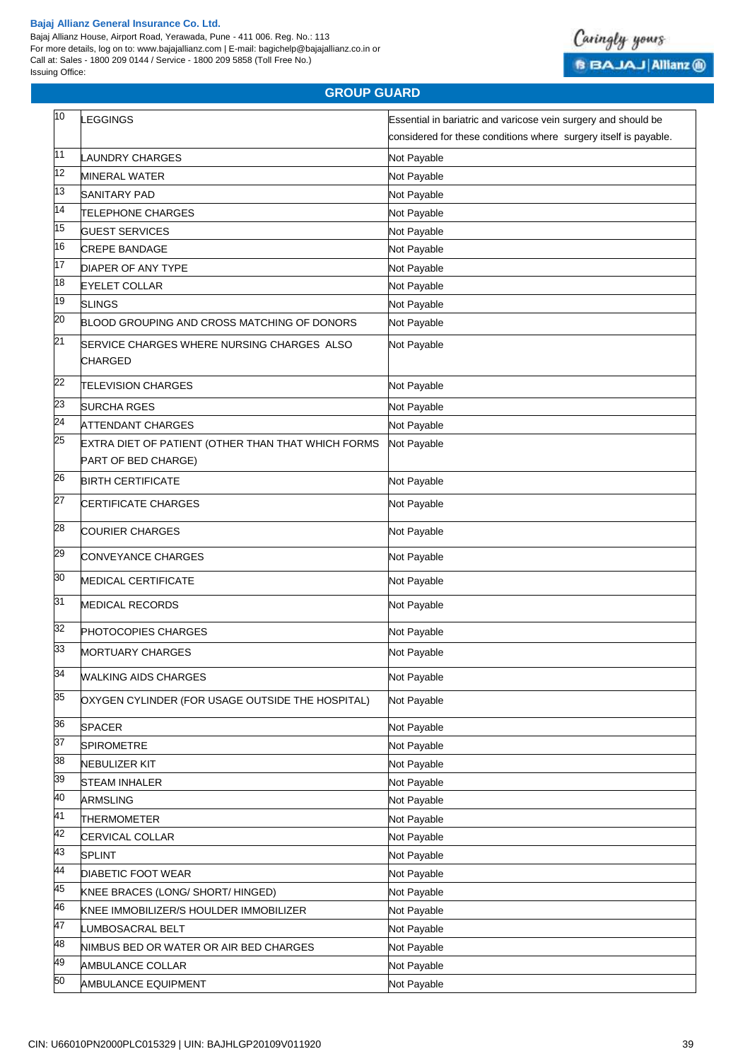Bajaj Allianz House, Airport Road, Yerawada, Pune - 411 006. Reg. No.: 113 For more details, log on to: www.bajajallianz.com | E-mail: bagichelp@bajajallianz.co.in or Call at: Sales - 1800 209 0144 / Service - 1800 209 5858 (Toll Free No.) Issuing Office:



# **GROUP GUARD**

| 10              | <b>LEGGINGS</b>                                                           | Essential in bariatric and varicose vein surgery and should be   |
|-----------------|---------------------------------------------------------------------------|------------------------------------------------------------------|
|                 |                                                                           | considered for these conditions where surgery itself is payable. |
| 11              | LAUNDRY CHARGES                                                           | Not Payable                                                      |
| 12              | <b>MINERAL WATER</b>                                                      | Not Payable                                                      |
| 13              | <b>SANITARY PAD</b>                                                       | Not Payable                                                      |
| 14              | <b>TELEPHONE CHARGES</b>                                                  | Not Payable                                                      |
| 15              | <b>GUEST SERVICES</b>                                                     | Not Payable                                                      |
| 16              | <b>CREPE BANDAGE</b>                                                      | Not Payable                                                      |
| 17              | <b>DIAPER OF ANY TYPE</b>                                                 | Not Payable                                                      |
| 18              | <b>EYELET COLLAR</b>                                                      | Not Payable                                                      |
| 19              | <b>SLINGS</b>                                                             | Not Payable                                                      |
| 20              | BLOOD GROUPING AND CROSS MATCHING OF DONORS                               | Not Payable                                                      |
| 21              | SERVICE CHARGES WHERE NURSING CHARGES ALSO<br><b>CHARGED</b>              | Not Payable                                                      |
| 22              | <b>TELEVISION CHARGES</b>                                                 | Not Payable                                                      |
| 23              | <b>SURCHA RGES</b>                                                        | Not Payable                                                      |
| $\overline{24}$ | <b>ATTENDANT CHARGES</b>                                                  | Not Payable                                                      |
| 25              | EXTRA DIET OF PATIENT (OTHER THAN THAT WHICH FORMS<br>PART OF BED CHARGE) | Not Payable                                                      |
| 26              | <b>BIRTH CERTIFICATE</b>                                                  | Not Payable                                                      |
| 27              | <b>CERTIFICATE CHARGES</b>                                                | Not Payable                                                      |
| 28              | <b>COURIER CHARGES</b>                                                    | Not Payable                                                      |
| 29              | CONVEYANCE CHARGES                                                        | Not Payable                                                      |
| 30              | MEDICAL CERTIFICATE                                                       | Not Payable                                                      |
| 31              | <b>MEDICAL RECORDS</b>                                                    | Not Payable                                                      |
| 32              | <b>PHOTOCOPIES CHARGES</b>                                                | Not Payable                                                      |
| 33              | <b>MORTUARY CHARGES</b>                                                   | Not Payable                                                      |
| 34              | <b>WALKING AIDS CHARGES</b>                                               | Not Payable                                                      |
| 35              | OXYGEN CYLINDER (FOR USAGE OUTSIDE THE HOSPITAL)                          | Not Payable                                                      |
| 36              | <b>SPACER</b>                                                             | Not Payable                                                      |
| 37              | <b>SPIROMETRE</b>                                                         | Not Payable                                                      |
| 38              | <b>NEBULIZER KIT</b>                                                      | Not Payable                                                      |
| 39              | <b>STEAM INHALER</b>                                                      | Not Payable                                                      |
| 40              | <b>ARMSLING</b>                                                           | Not Payable                                                      |
| 41              | <b>THERMOMETER</b>                                                        | Not Payable                                                      |
| 42              | CERVICAL COLLAR                                                           | Not Payable                                                      |
| 43              | <b>SPLINT</b>                                                             | Not Payable                                                      |
| 44              | DIABETIC FOOT WEAR                                                        | Not Payable                                                      |
| 45              | KNEE BRACES (LONG/ SHORT/ HINGED)                                         | Not Payable                                                      |
| 46              | KNEE IMMOBILIZER/S HOULDER IMMOBILIZER                                    | Not Payable                                                      |
| 47              | UMBOSACRAL BELT                                                           | Not Payable                                                      |
| 48              | NIMBUS BED OR WATER OR AIR BED CHARGES                                    | Not Payable                                                      |
| 49              | AMBULANCE COLLAR                                                          | Not Payable                                                      |
| 50              | AMBULANCE EQUIPMENT                                                       | Not Payable                                                      |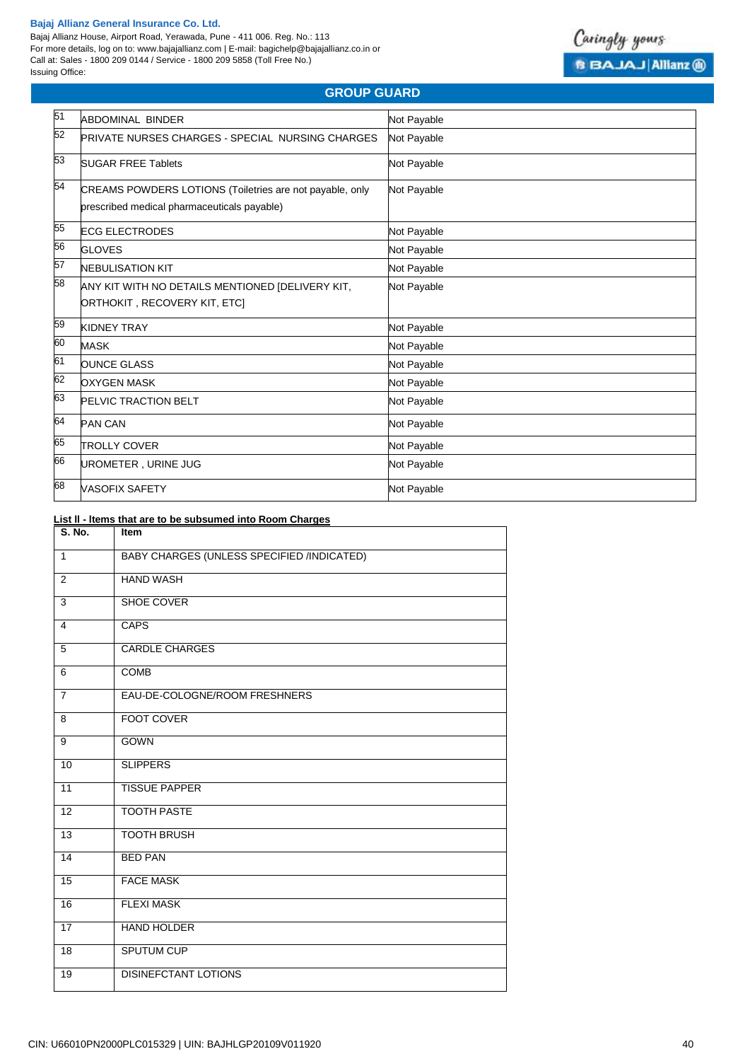Bajaj Allianz House, Airport Road, Yerawada, Pune - 411 006. Reg. No.: 113 For more details, log on to: www.bajajallianz.com | E-mail: bagichelp@bajajallianz.co.in or Call at: Sales - 1800 209 0144 / Service - 1800 209 5858 (Toll Free No.) Issuing Office:



# **GROUP GUARD**

| 51 | ABDOMINAL BINDER                                                                                        | Not Payable |
|----|---------------------------------------------------------------------------------------------------------|-------------|
| 52 | <b>PRIVATE NURSES CHARGES - SPECIAL NURSING CHARGES</b>                                                 | Not Payable |
| 53 | <b>SUGAR FREE Tablets</b>                                                                               | Not Payable |
| 54 | CREAMS POWDERS LOTIONS (Toiletries are not payable, only<br>prescribed medical pharmaceuticals payable) | Not Payable |
| 55 | <b>ECG ELECTRODES</b>                                                                                   | Not Payable |
| 56 | <b>GLOVES</b>                                                                                           | Not Payable |
| 57 | <b>NEBULISATION KIT</b>                                                                                 | Not Payable |
| 58 | ANY KIT WITH NO DETAILS MENTIONED [DELIVERY KIT,<br>ORTHOKIT, RECOVERY KIT, ETC]                        | Not Payable |
| 59 | <b>KIDNEY TRAY</b>                                                                                      | Not Payable |
| 60 | <b>MASK</b>                                                                                             | Not Payable |
| 61 | <b>OUNCE GLASS</b>                                                                                      | Not Payable |
| 62 | <b>OXYGEN MASK</b>                                                                                      | Not Payable |
| 63 | PELVIC TRACTION BELT                                                                                    | Not Payable |
| 64 | <b>PAN CAN</b>                                                                                          | Not Payable |
| 65 | <b>TROLLY COVER</b>                                                                                     | Not Payable |
| 66 | UROMETER, URINE JUG                                                                                     | Not Payable |
| 68 | <b>VASOFIX SAFETY</b>                                                                                   | Not Payable |

# **List ll - ltems that are to be subsumed into Room Charges**

| S. No.          | Item                                       |
|-----------------|--------------------------------------------|
| $\mathbf{1}$    | BABY CHARGES (UNLESS SPECIFIED /INDICATED) |
| 2               | <b>HAND WASH</b>                           |
| 3               | <b>SHOE COVER</b>                          |
| $\overline{4}$  | <b>CAPS</b>                                |
| $\overline{5}$  | <b>CARDLE CHARGES</b>                      |
| 6               | COMB                                       |
| $\overline{7}$  | EAU-DE-COLOGNE/ROOM FRESHNERS              |
| 8               | <b>FOOT COVER</b>                          |
| $\overline{9}$  | <b>GOWN</b>                                |
| 10              | <b>SLIPPERS</b>                            |
| 11              | <b>TISSUE PAPPER</b>                       |
| $\overline{12}$ | <b>TOOTH PASTE</b>                         |
| $\overline{13}$ | <b>TOOTH BRUSH</b>                         |
| $\overline{14}$ | <b>BED PAN</b>                             |
| 15              | <b>FACE MASK</b>                           |
| $\overline{16}$ | <b>FLEXI MASK</b>                          |
| 17              | <b>HAND HOLDER</b>                         |
| 18              | SPUTUM CUP                                 |
| 19              | DISINEFCTANT LOTIONS                       |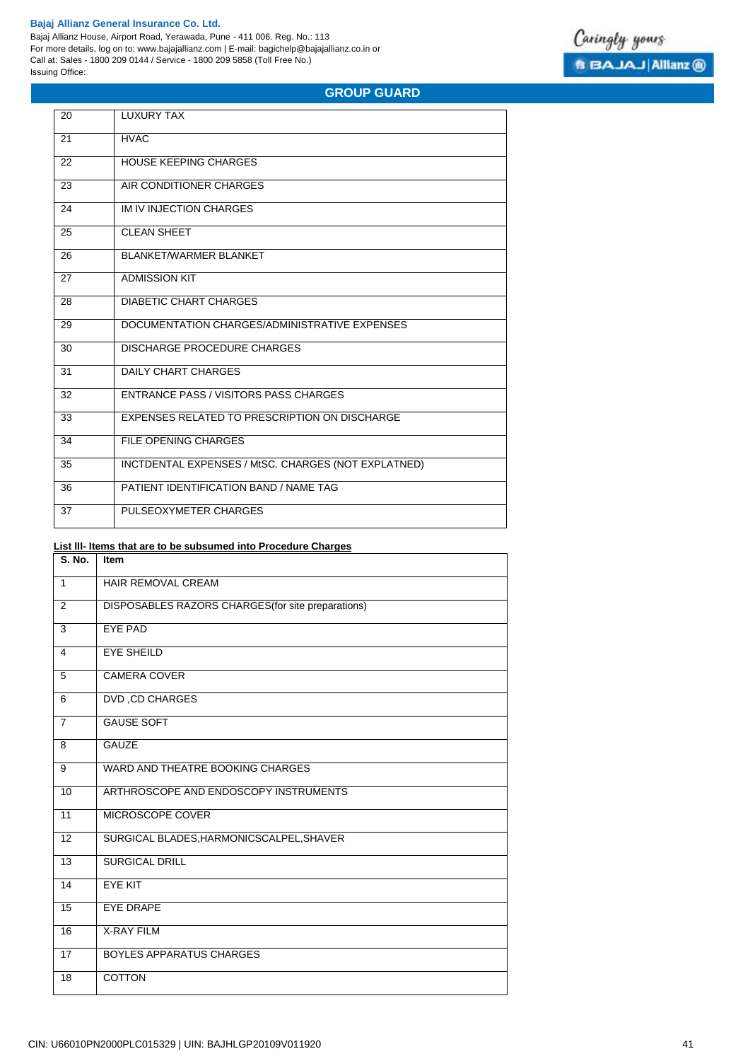Bajaj Allianz House, Airport Road, Yerawada, Pune - 411 006. Reg. No.: 113 For more details, log on to: www.bajajallianz.com | E-mail: bagichelp@bajajallianz.co.in or Call at: Sales - 1800 209 0144 / Service - 1800 209 5858 (Toll Free No.) Issuing Office:



# **GROUP GUARD**

| 20 | LUXURY TAX                                          |
|----|-----------------------------------------------------|
| 21 | <b>HVAC</b>                                         |
| 22 | <b>HOUSE KEEPING CHARGES</b>                        |
| 23 | AIR CONDITIONER CHARGES                             |
| 24 | IM IV INJECTION CHARGES                             |
| 25 | <b>CLEAN SHEET</b>                                  |
| 26 | <b>BLANKET/WARMER BLANKET</b>                       |
| 27 | <b>ADMISSION KIT</b>                                |
| 28 | <b>DIABETIC CHART CHARGES</b>                       |
| 29 | DOCUMENTATION CHARGES/ADMINISTRATIVE EXPENSES       |
| 30 | DISCHARGE PROCEDURE CHARGES                         |
| 31 | <b>DAILY CHART CHARGES</b>                          |
| 32 | ENTRANCE PASS / VISITORS PASS CHARGES               |
| 33 | EXPENSES RELATED TO PRESCRIPTION ON DISCHARGE       |
| 34 | FILE OPENING CHARGES                                |
| 35 | INCTDENTAL EXPENSES / MtSC. CHARGES (NOT EXPLATNED) |
| 36 | PATIENT IDENTIFICATION BAND / NAME TAG              |
| 37 | PULSEOXYMETER CHARGES                               |

# **List lll- ltems that are to be subsumed into Procedure Charges**

| <b>S. No.</b>   | Item                                               |
|-----------------|----------------------------------------------------|
| $\mathbf{1}$    | <b>HAIR REMOVAL CREAM</b>                          |
| 2               | DISPOSABLES RAZORS CHARGES (for site preparations) |
| 3               | EYE PAD                                            |
| $\overline{4}$  | <b>EYE SHEILD</b>                                  |
| 5               | <b>CAMERA COVER</b>                                |
| 6               | <b>DVD, CD CHARGES</b>                             |
| $\overline{7}$  | <b>GAUSE SOFT</b>                                  |
| 8               | <b>GAUZE</b>                                       |
| 9               | WARD AND THEATRE BOOKING CHARGES                   |
| 10              | ARTHROSCOPE AND ENDOSCOPY INSTRUMENTS              |
| 11              | MICROSCOPE COVER                                   |
| 12              | SURGICAL BLADES, HARMONICSCALPEL, SHAVER           |
| $\overline{13}$ | <b>SURGICAL DRILL</b>                              |
| 14              | <b>EYE KIT</b>                                     |
| 15              | <b>EYE DRAPE</b>                                   |
| 16              | <b>X-RAY FILM</b>                                  |
| 17              | <b>BOYLES APPARATUS CHARGES</b>                    |
| 18              | <b>COTTON</b>                                      |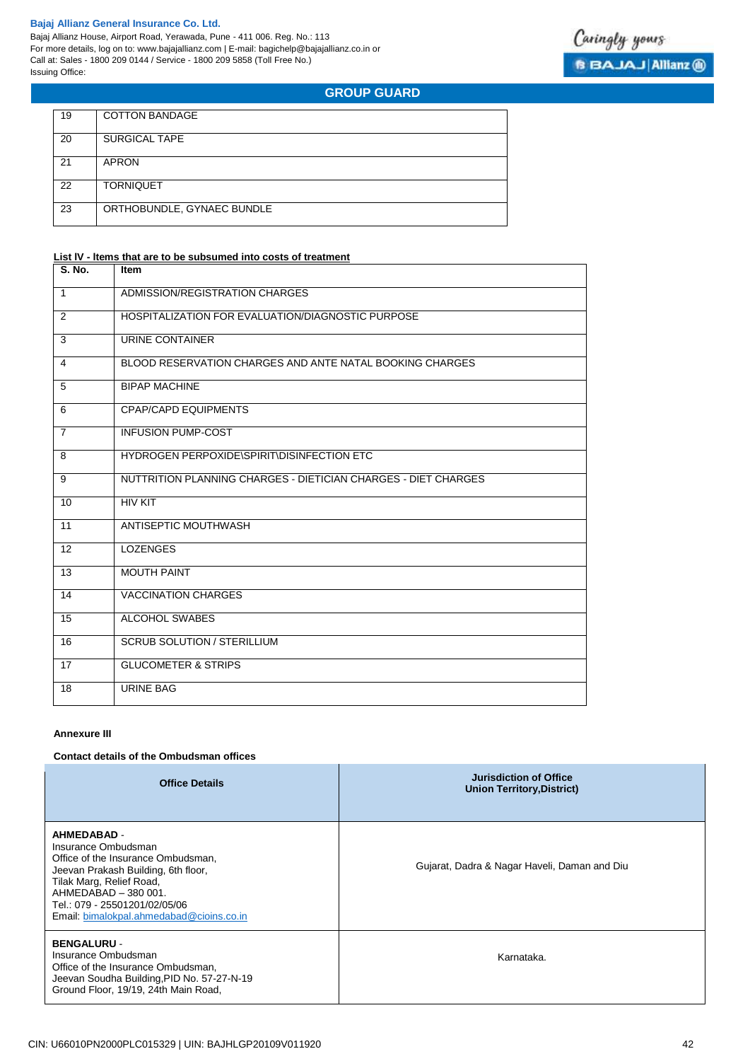

**GROUP GUARD**

| 19 | <b>COTTON BANDAGE</b>      |
|----|----------------------------|
| 20 | <b>SURGICAL TAPE</b>       |
| 21 | <b>APRON</b>               |
| 22 | <b>TORNIQUET</b>           |
| 23 | ORTHOBUNDLE, GYNAEC BUNDLE |

# **List lV - ltems that are to be subsumed into costs of treatment**

| S. No.         | <b>Item</b>                                                    |
|----------------|----------------------------------------------------------------|
| $\mathbf{1}$   | ADMISSION/REGISTRATION CHARGES                                 |
| 2              | HOSPITALIZATION FOR EVALUATION/DIAGNOSTIC PURPOSE              |
| 3              | URINE CONTAINER                                                |
| 4              | BLOOD RESERVATION CHARGES AND ANTE NATAL BOOKING CHARGES       |
| 5              | <b>BIPAP MACHINE</b>                                           |
| 6              | <b>CPAP/CAPD EQUIPMENTS</b>                                    |
| $\overline{7}$ | <b>INFUSION PUMP-COST</b>                                      |
| 8              | HYDROGEN PERPOXIDE\SPIRIT\DISINFECTION ETC                     |
| 9              | NUTTRITION PLANNING CHARGES - DIETICIAN CHARGES - DIET CHARGES |
| 10             | <b>HIV KIT</b>                                                 |
| 11             | ANTISEPTIC MOUTHWASH                                           |
| 12             | <b>LOZENGES</b>                                                |
| 13             | <b>MOUTH PAINT</b>                                             |
| 14             | <b>VACCINATION CHARGES</b>                                     |
| 15             | <b>ALCOHOL SWABES</b>                                          |
| 16             | <b>SCRUB SOLUTION / STERILLIUM</b>                             |
| 17             | <b>GLUCOMETER &amp; STRIPS</b>                                 |
| 18             | <b>URINE BAG</b>                                               |

### **Annexure III**

#### **Contact details of the Ombudsman offices**

| <b>Office Details</b>                                                                                                                                                                                                                                   | <b>Jurisdiction of Office</b><br><b>Union Territory, District)</b> |
|---------------------------------------------------------------------------------------------------------------------------------------------------------------------------------------------------------------------------------------------------------|--------------------------------------------------------------------|
| <b>AHMEDABAD -</b><br>Insurance Ombudsman<br>Office of the Insurance Ombudsman.<br>Jeevan Prakash Building, 6th floor,<br>Tilak Marg, Relief Road,<br>AHMEDABAD - 380 001.<br>Tel.: 079 - 25501201/02/05/06<br>Email: bimalokpal.ahmedabad@cioins.co.in | Gujarat, Dadra & Nagar Haveli, Daman and Diu                       |
| <b>BENGALURU -</b><br>Insurance Ombudsman<br>Office of the Insurance Ombudsman,<br>Jeevan Soudha Building, PID No. 57-27-N-19<br>Ground Floor, 19/19, 24th Main Road,                                                                                   | Karnataka.                                                         |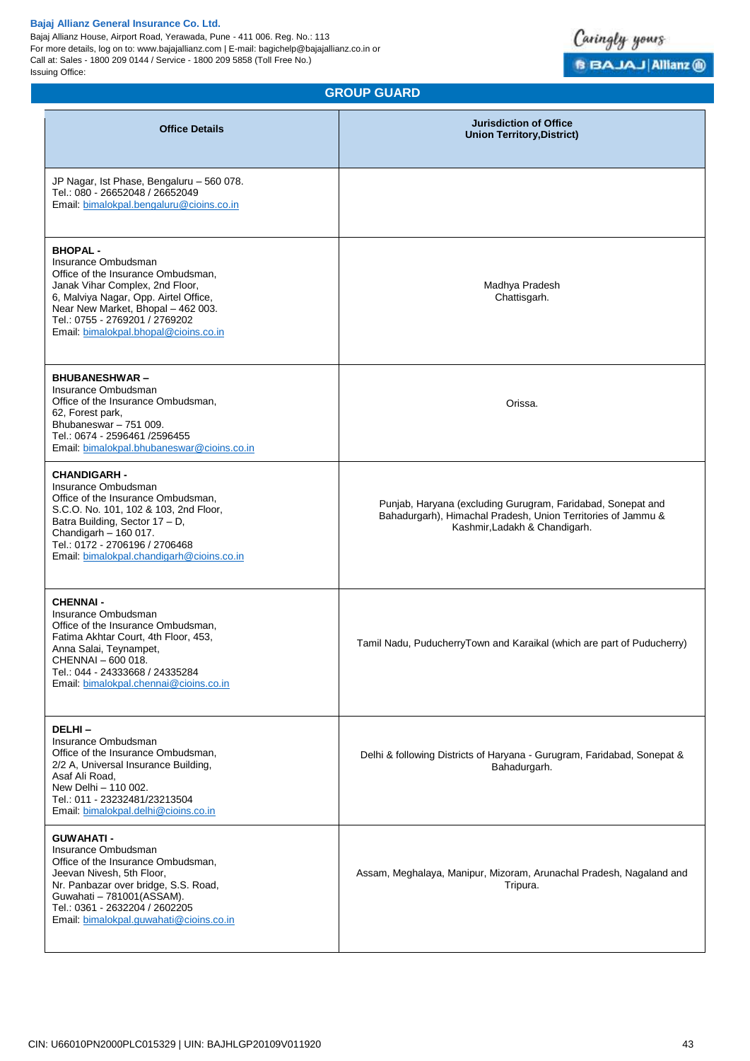Bajaj Allianz House, Airport Road, Yerawada, Pune - 411 006. Reg. No.: 113 For more details, log on to: www.bajajallianz.com | E-mail: bagichelp@bajajallianz.co.in or Call at: Sales - 1800 209 0144 / Service - 1800 209 5858 (Toll Free No.) Issuing Office:



**GROUP GUARD**

| <b>Office Details</b>                                                                                                                                                                                                                                                    | <b>Jurisdiction of Office</b><br><b>Union Territory, District)</b>                                                                                           |
|--------------------------------------------------------------------------------------------------------------------------------------------------------------------------------------------------------------------------------------------------------------------------|--------------------------------------------------------------------------------------------------------------------------------------------------------------|
| JP Nagar, Ist Phase, Bengaluru - 560 078.<br>Tel.: 080 - 26652048 / 26652049<br>Email: bimalokpal.bengaluru@cioins.co.in                                                                                                                                                 |                                                                                                                                                              |
| <b>BHOPAL-</b><br>Insurance Ombudsman<br>Office of the Insurance Ombudsman,<br>Janak Vihar Complex, 2nd Floor,<br>6, Malviya Nagar, Opp. Airtel Office,<br>Near New Market, Bhopal - 462 003.<br>Tel.: 0755 - 2769201 / 2769202<br>Email: bimalokpal.bhopal@cioins.co.in | Madhya Pradesh<br>Chattisgarh.                                                                                                                               |
| <b>BHUBANESHWAR-</b><br>Insurance Ombudsman<br>Office of the Insurance Ombudsman,<br>62, Forest park,<br>Bhubaneswar - 751 009.<br>Tel.: 0674 - 2596461 /2596455<br>Email: bimalokpal.bhubaneswar@cioins.co.in                                                           | Orissa.                                                                                                                                                      |
| <b>CHANDIGARH -</b><br>Insurance Ombudsman<br>Office of the Insurance Ombudsman,<br>S.C.O. No. 101, 102 & 103, 2nd Floor,<br>Batra Building, Sector 17 - D,<br>Chandigarh $-160017$ .<br>Tel.: 0172 - 2706196 / 2706468<br>Email: bimalokpal.chandigarh@cioins.co.in     | Punjab, Haryana (excluding Gurugram, Faridabad, Sonepat and<br>Bahadurgarh), Himachal Pradesh, Union Territories of Jammu &<br>Kashmir, Ladakh & Chandigarh. |
| <b>CHENNAI -</b><br>Insurance Ombudsman<br>Office of the Insurance Ombudsman,<br>Fatima Akhtar Court, 4th Floor, 453,<br>Anna Salai, Teynampet,<br>CHENNAI - 600 018.<br>Tel.: 044 - 24333668 / 24335284<br>Email: bimalokpal.chennai@cioins.co.in                       | Tamil Nadu, PuducherryTown and Karaikal (which are part of Puducherry)                                                                                       |
| DELHI-<br>Insurance Ombudsman<br>Office of the Insurance Ombudsman,<br>2/2 A, Universal Insurance Building,<br>Asaf Ali Road,<br>New Delhi - 110 002.<br>Tel.: 011 - 23232481/23213504<br>Email: bimalokpal.delhi@cioins.co.in                                           | Delhi & following Districts of Haryana - Gurugram, Faridabad, Sonepat &<br>Bahadurgarh.                                                                      |
| <b>GUWAHATI -</b><br>Insurance Ombudsman<br>Office of the Insurance Ombudsman,<br>Jeevan Nivesh, 5th Floor,<br>Nr. Panbazar over bridge, S.S. Road,<br>Guwahati - 781001(ASSAM).<br>Tel.: 0361 - 2632204 / 2602205<br>Email: bimalokpal.guwahati@cioins.co.in            | Assam, Meghalaya, Manipur, Mizoram, Arunachal Pradesh, Nagaland and<br>Tripura.                                                                              |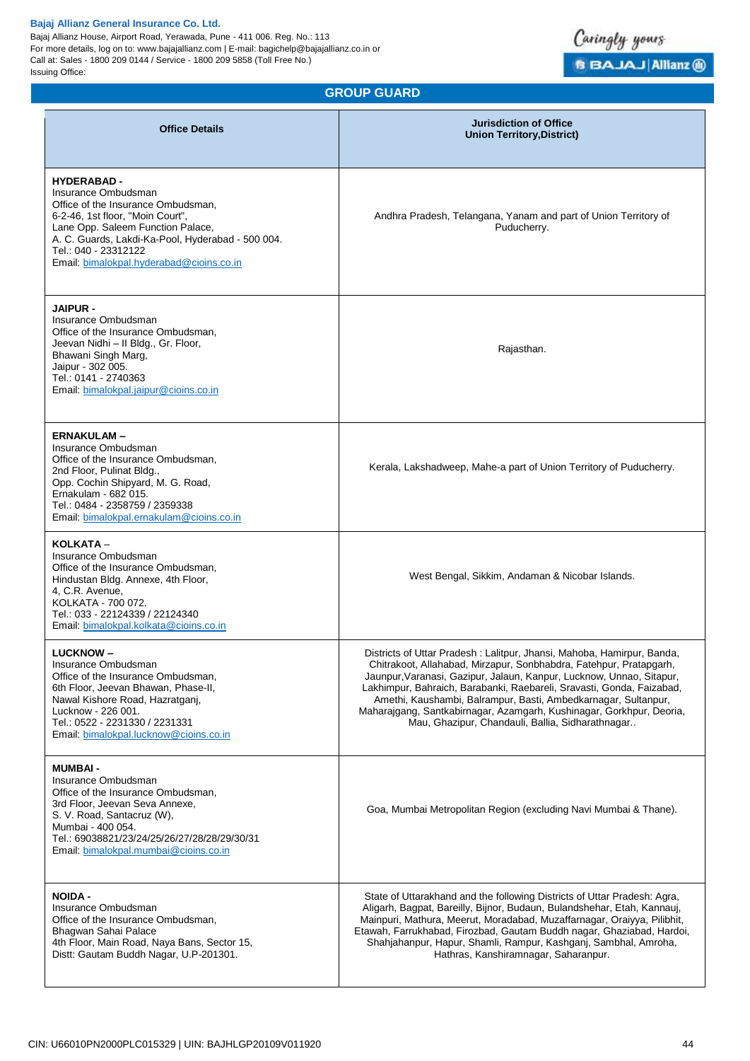Bajaj Allianz House, Airport Road, Yerawada, Pune - 411 006. Reg. No.: 113 For more details, log on to: www.bajajallianz.com | E-mail: bagichelp@bajajallianz.co.in or Call at: Sales - 1800 209 0144 / Service - 1800 209 5858 (Toll Free No.) Issuing Office:



**GROUP GUARD**

| <b>Office Details</b>                                                                                                                                                                                                                                                            | <b>Jurisdiction of Office</b><br><b>Union Territory, District)</b>                                                                                                                                                                                                                                                                                                                                                                                                                          |
|----------------------------------------------------------------------------------------------------------------------------------------------------------------------------------------------------------------------------------------------------------------------------------|---------------------------------------------------------------------------------------------------------------------------------------------------------------------------------------------------------------------------------------------------------------------------------------------------------------------------------------------------------------------------------------------------------------------------------------------------------------------------------------------|
| <b>HYDERABAD-</b><br>Insurance Ombudsman<br>Office of the Insurance Ombudsman,<br>6-2-46, 1st floor, "Moin Court",<br>Lane Opp. Saleem Function Palace,<br>A. C. Guards, Lakdi-Ka-Pool, Hyderabad - 500 004.<br>Tel.: 040 - 23312122<br>Email: bimalokpal.hyderabad@cioins.co.in | Andhra Pradesh, Telangana, Yanam and part of Union Territory of<br>Puducherry.                                                                                                                                                                                                                                                                                                                                                                                                              |
| <b>JAIPUR -</b><br>Insurance Ombudsman<br>Office of the Insurance Ombudsman,<br>Jeevan Nidhi - II Bldg., Gr. Floor,<br>Bhawani Singh Marg,<br>Jaipur - 302 005.<br>Tel.: 0141 - 2740363<br>Email: bimalokpal.jaipur@cioins.co.in                                                 | Rajasthan.                                                                                                                                                                                                                                                                                                                                                                                                                                                                                  |
| <b>ERNAKULAM-</b><br>Insurance Ombudsman<br>Office of the Insurance Ombudsman,<br>2nd Floor, Pulinat Bldg.,<br>Opp. Cochin Shipyard, M. G. Road,<br>Ernakulam - 682 015.<br>Tel.: 0484 - 2358759 / 2359338<br>Email bimalokpal.ernakulam@cioins.co.in                            | Kerala, Lakshadweep, Mahe-a part of Union Territory of Puducherry.                                                                                                                                                                                                                                                                                                                                                                                                                          |
| KOLKATA –<br>Insurance Ombudsman<br>Office of the Insurance Ombudsman,<br>Hindustan Bldg. Annexe, 4th Floor,<br>4, C.R. Avenue,<br>KOLKATA - 700 072.<br>Tel.: 033 - 22124339 / 22124340<br>Email: bimalokpal.kolkata@cioins.co.in                                               | West Bengal, Sikkim, Andaman & Nicobar Islands.                                                                                                                                                                                                                                                                                                                                                                                                                                             |
| <b>LUCKNOW-</b><br>Insurance Ombudsman<br>Office of the Insurance Ombudsman,<br>6th Floor, Jeevan Bhawan, Phase-II,<br>Nawal Kishore Road, Hazratganj,<br>Lucknow - 226 001.<br>Tel.: 0522 - 2231330 / 2231331<br>Email: bimalokpal.lucknow@cioins.co.in                         | Districts of Uttar Pradesh: Lalitpur, Jhansi, Mahoba, Hamirpur, Banda,<br>Chitrakoot, Allahabad, Mirzapur, Sonbhabdra, Fatehpur, Pratapgarh,<br>Jaunpur, Varanasi, Gazipur, Jalaun, Kanpur, Lucknow, Unnao, Sitapur,<br>Lakhimpur, Bahraich, Barabanki, Raebareli, Sravasti, Gonda, Faizabad,<br>Amethi, Kaushambi, Balrampur, Basti, Ambedkarnagar, Sultanpur,<br>Maharajgang, Santkabirnagar, Azamgarh, Kushinagar, Gorkhpur, Deoria,<br>Mau, Ghazipur, Chandauli, Ballia, Sidharathnagar |
| <b>MUMBAI -</b><br>Insurance Ombudsman<br>Office of the Insurance Ombudsman,<br>3rd Floor, Jeevan Seva Annexe,<br>S. V. Road, Santacruz (W),<br>Mumbai - 400 054.<br>Tel.: 69038821/23/24/25/26/27/28/28/29/30/31<br>Email: bimalokpal.mumbai@cioins.co.in                       | Goa, Mumbai Metropolitan Region (excluding Navi Mumbai & Thane).                                                                                                                                                                                                                                                                                                                                                                                                                            |
| <b>NOIDA -</b><br>Insurance Ombudsman<br>Office of the Insurance Ombudsman,<br>Bhagwan Sahai Palace<br>4th Floor, Main Road, Naya Bans, Sector 15,<br>Distt: Gautam Buddh Nagar, U.P-201301.                                                                                     | State of Uttarakhand and the following Districts of Uttar Pradesh: Agra,<br>Aligarh, Bagpat, Bareilly, Bijnor, Budaun, Bulandshehar, Etah, Kannauj,<br>Mainpuri, Mathura, Meerut, Moradabad, Muzaffarnagar, Oraiyya, Pilibhit,<br>Etawah, Farrukhabad, Firozbad, Gautam Buddh nagar, Ghaziabad, Hardoi,<br>Shahjahanpur, Hapur, Shamli, Rampur, Kashganj, Sambhal, Amroha,<br>Hathras, Kanshiramnagar, Saharanpur.                                                                          |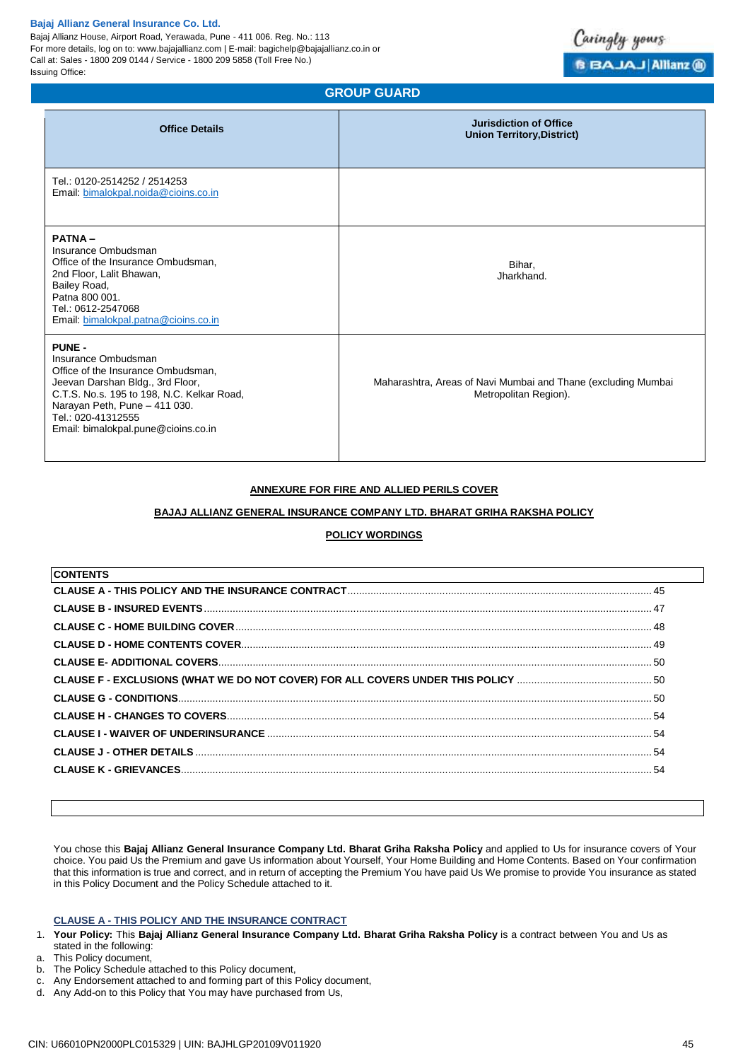Bajaj Allianz House, Airport Road, Yerawada, Pune - 411 006. Reg. No.: 113 For more details, log on to: www.bajajallianz.com | E-mail: bagichelp@bajajallianz.co.in or Call at: Sales - 1800 209 0144 / Service - 1800 209 5858 (Toll Free No.) Issuing Office:



# **GROUP GUARD**

| <b>Office Details</b>                                                                                                                                                                                                                                      | <b>Jurisdiction of Office</b><br><b>Union Territory, District)</b>                     |
|------------------------------------------------------------------------------------------------------------------------------------------------------------------------------------------------------------------------------------------------------------|----------------------------------------------------------------------------------------|
| Tel.: 0120-2514252 / 2514253<br>Email: bimalokpal.noida@cioins.co.in                                                                                                                                                                                       |                                                                                        |
| <b>PATNA-</b><br>Insurance Ombudsman<br>Office of the Insurance Ombudsman,<br>2nd Floor, Lalit Bhawan,<br>Bailey Road,<br>Patna 800 001.<br>Tel.: 0612-2547068<br>Email: bimalokpal.patna@cioins.co.in                                                     | Bihar,<br>Jharkhand.                                                                   |
| <b>PUNE -</b><br>Insurance Ombudsman<br>Office of the Insurance Ombudsman,<br>Jeevan Darshan Bldg., 3rd Floor,<br>C.T.S. No.s. 195 to 198, N.C. Kelkar Road,<br>Narayan Peth, Pune - 411 030.<br>Tel.: 020-41312555<br>Email: bimalokpal.pune@cioins.co.in | Maharashtra, Areas of Navi Mumbai and Thane (excluding Mumbai<br>Metropolitan Region). |

# **ANNEXURE FOR FIRE AND ALLIED PERILS COVER**

#### **BAJAJ ALLIANZ GENERAL INSURANCE COMPANY LTD. BHARAT GRIHA RAKSHA POLICY**

# **POLICY WORDINGS**

| <b>CONTENTS</b> |     |
|-----------------|-----|
|                 |     |
|                 |     |
|                 |     |
|                 |     |
|                 |     |
|                 |     |
|                 |     |
|                 |     |
|                 |     |
|                 | .54 |
|                 | .54 |
|                 |     |

You chose this **Bajaj Allianz General Insurance Company Ltd. Bharat Griha Raksha Policy** and applied to Us for insurance covers of Your choice. You paid Us the Premium and gave Us information about Yourself, Your Home Building and Home Contents. Based on Your confirmation that this information is true and correct, and in return of accepting the Premium You have paid Us We promise to provide You insurance as stated in this Policy Document and the Policy Schedule attached to it.

# <span id="page-44-0"></span>**CLAUSE A - THIS POLICY AND THE INSURANCE CONTRACT**

- 1. **Your Policy:** This **Bajaj Allianz General Insurance Company Ltd. Bharat Griha Raksha Policy** is a contract between You and Us as stated in the following:
- a. This Policy document,
- b. The Policy Schedule attached to this Policy document,
- c. Any Endorsement attached to and forming part of this Policy document,
- d. Any Add-on to this Policy that You may have purchased from Us,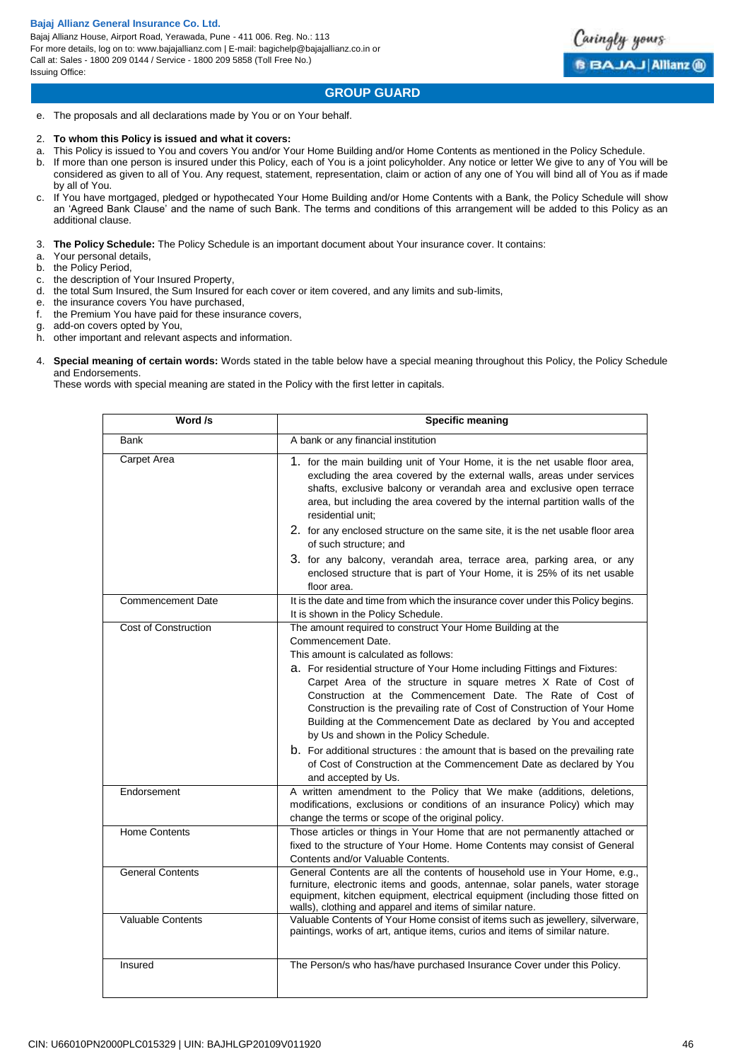Bajaj Allianz House, Airport Road, Yerawada, Pune - 411 006. Reg. No.: 113 For more details, log on to: www.bajajallianz.com | E-mail: bagichelp@bajajallianz.co.in or Call at: Sales - 1800 209 0144 / Service - 1800 209 5858 (Toll Free No.) Issuing Office:



# **GROUP GUARD**

e. The proposals and all declarations made by You or on Your behalf.

### 2. **To whom this Policy is issued and what it covers:**

- a. This Policy is issued to You and covers You and/or Your Home Building and/or Home Contents as mentioned in the Policy Schedule.
- b. If more than one person is insured under this Policy, each of You is a joint policyholder. Any notice or letter We give to any of You will be considered as given to all of You. Any request, statement, representation, claim or action of any one of You will bind all of You as if made by all of You.
- c. If You have mortgaged, pledged or hypothecated Your Home Building and/or Home Contents with a Bank, the Policy Schedule will show an 'Agreed Bank Clause' and the name of such Bank. The terms and conditions of this arrangement will be added to this Policy as an additional clause.

3. **The Policy Schedule:** The Policy Schedule is an important document about Your insurance cover. It contains:

- a. Your personal details,
- the Policy Period,
- c. the description of Your Insured Property,
- d. the total Sum Insured, the Sum Insured for each cover or item covered, and any limits and sub-limits,
- e. the insurance covers You have purchased,
- f. the Premium You have paid for these insurance covers,
- g. add-on covers opted by You,
- h. other important and relevant aspects and information.
- 4. **Special meaning of certain words:** Words stated in the table below have a special meaning throughout this Policy, the Policy Schedule and Endorsements.

These words with special meaning are stated in the Policy with the first letter in capitals.

| Word /s                  | <b>Specific meaning</b>                                                                                                                                                                                                                                                                                                                                                                                                                                                                                                                                                                                                                                                                                              |
|--------------------------|----------------------------------------------------------------------------------------------------------------------------------------------------------------------------------------------------------------------------------------------------------------------------------------------------------------------------------------------------------------------------------------------------------------------------------------------------------------------------------------------------------------------------------------------------------------------------------------------------------------------------------------------------------------------------------------------------------------------|
| <b>Bank</b>              | A bank or any financial institution                                                                                                                                                                                                                                                                                                                                                                                                                                                                                                                                                                                                                                                                                  |
| Carpet Area              | 1. for the main building unit of Your Home, it is the net usable floor area,<br>excluding the area covered by the external walls, areas under services<br>shafts, exclusive balcony or verandah area and exclusive open terrace<br>area, but including the area covered by the internal partition walls of the<br>residential unit;                                                                                                                                                                                                                                                                                                                                                                                  |
|                          | 2. for any enclosed structure on the same site, it is the net usable floor area<br>of such structure; and                                                                                                                                                                                                                                                                                                                                                                                                                                                                                                                                                                                                            |
|                          | 3. for any balcony, verandah area, terrace area, parking area, or any<br>enclosed structure that is part of Your Home, it is 25% of its net usable<br>floor area.                                                                                                                                                                                                                                                                                                                                                                                                                                                                                                                                                    |
| <b>Commencement Date</b> | It is the date and time from which the insurance cover under this Policy begins.<br>It is shown in the Policy Schedule.                                                                                                                                                                                                                                                                                                                                                                                                                                                                                                                                                                                              |
| Cost of Construction     | The amount required to construct Your Home Building at the<br>Commencement Date.<br>This amount is calculated as follows:<br>a. For residential structure of Your Home including Fittings and Fixtures:<br>Carpet Area of the structure in square metres X Rate of Cost of<br>Construction at the Commencement Date. The Rate of Cost of<br>Construction is the prevailing rate of Cost of Construction of Your Home<br>Building at the Commencement Date as declared by You and accepted<br>by Us and shown in the Policy Schedule.<br>b. For additional structures : the amount that is based on the prevailing rate<br>of Cost of Construction at the Commencement Date as declared by You<br>and accepted by Us. |
| Endorsement              | A written amendment to the Policy that We make (additions, deletions,<br>modifications, exclusions or conditions of an insurance Policy) which may<br>change the terms or scope of the original policy.                                                                                                                                                                                                                                                                                                                                                                                                                                                                                                              |
| <b>Home Contents</b>     | Those articles or things in Your Home that are not permanently attached or<br>fixed to the structure of Your Home. Home Contents may consist of General<br>Contents and/or Valuable Contents.                                                                                                                                                                                                                                                                                                                                                                                                                                                                                                                        |
| <b>General Contents</b>  | General Contents are all the contents of household use in Your Home, e.g.,<br>furniture, electronic items and goods, antennae, solar panels, water storage<br>equipment, kitchen equipment, electrical equipment (including those fitted on<br>walls), clothing and apparel and items of similar nature.                                                                                                                                                                                                                                                                                                                                                                                                             |
| <b>Valuable Contents</b> | Valuable Contents of Your Home consist of items such as jewellery, silverware,<br>paintings, works of art, antique items, curios and items of similar nature.                                                                                                                                                                                                                                                                                                                                                                                                                                                                                                                                                        |
| Insured                  | The Person/s who has/have purchased Insurance Cover under this Policy.                                                                                                                                                                                                                                                                                                                                                                                                                                                                                                                                                                                                                                               |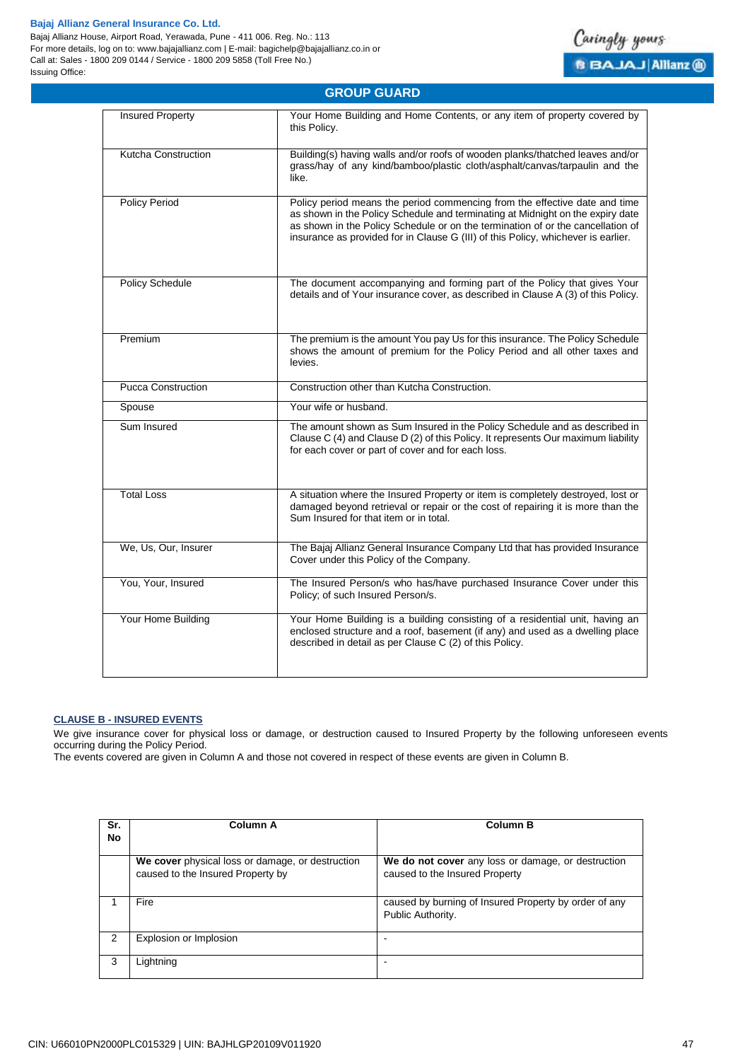Bajaj Allianz House, Airport Road, Yerawada, Pune - 411 006. Reg. No.: 113 For more details, log on to: www.bajajallianz.com | E-mail: bagichelp@bajajallianz.co.in or Call at: Sales - 1800 209 0144 / Service - 1800 209 5858 (Toll Free No.) Issuing Office:



| <b>GROUP GUARD</b>        |                                                                                                                                                                                                                                                                                                                                      |  |
|---------------------------|--------------------------------------------------------------------------------------------------------------------------------------------------------------------------------------------------------------------------------------------------------------------------------------------------------------------------------------|--|
| <b>Insured Property</b>   | Your Home Building and Home Contents, or any item of property covered by<br>this Policy.                                                                                                                                                                                                                                             |  |
| Kutcha Construction       | Building(s) having walls and/or roofs of wooden planks/thatched leaves and/or<br>grass/hay of any kind/bamboo/plastic cloth/asphalt/canvas/tarpaulin and the<br>like.                                                                                                                                                                |  |
| <b>Policy Period</b>      | Policy period means the period commencing from the effective date and time<br>as shown in the Policy Schedule and terminating at Midnight on the expiry date<br>as shown in the Policy Schedule or on the termination of or the cancellation of<br>insurance as provided for in Clause G (III) of this Policy, whichever is earlier. |  |
| <b>Policy Schedule</b>    | The document accompanying and forming part of the Policy that gives Your<br>details and of Your insurance cover, as described in Clause A (3) of this Policy.                                                                                                                                                                        |  |
| Premium                   | The premium is the amount You pay Us for this insurance. The Policy Schedule<br>shows the amount of premium for the Policy Period and all other taxes and<br>levies.                                                                                                                                                                 |  |
| <b>Pucca Construction</b> | Construction other than Kutcha Construction.                                                                                                                                                                                                                                                                                         |  |
| Spouse                    | Your wife or husband.                                                                                                                                                                                                                                                                                                                |  |
| Sum Insured               | The amount shown as Sum Insured in the Policy Schedule and as described in<br>Clause C (4) and Clause D (2) of this Policy. It represents Our maximum liability<br>for each cover or part of cover and for each loss.                                                                                                                |  |
| <b>Total Loss</b>         | A situation where the Insured Property or item is completely destroyed, lost or<br>damaged beyond retrieval or repair or the cost of repairing it is more than the<br>Sum Insured for that item or in total.                                                                                                                         |  |
| We, Us, Our, Insurer      | The Bajaj Allianz General Insurance Company Ltd that has provided Insurance<br>Cover under this Policy of the Company.                                                                                                                                                                                                               |  |
| You, Your, Insured        | The Insured Person/s who has/have purchased Insurance Cover under this<br>Policy; of such Insured Person/s.                                                                                                                                                                                                                          |  |
| Your Home Building        | Your Home Building is a building consisting of a residential unit, having an<br>enclosed structure and a roof, basement (if any) and used as a dwelling place<br>described in detail as per Clause C (2) of this Policy.                                                                                                             |  |

# <span id="page-46-0"></span>**CLAUSE B - INSURED EVENTS**

We give insurance cover for physical loss or damage, or destruction caused to Insured Property by the following unforeseen events occurring during the Policy Period.

The events covered are given in Column A and those not covered in respect of these events are given in Column B.

| Sr.<br>No | <b>Column A</b>                                                                       | <b>Column B</b>                                                                      |
|-----------|---------------------------------------------------------------------------------------|--------------------------------------------------------------------------------------|
|           | We cover physical loss or damage, or destruction<br>caused to the Insured Property by | We do not cover any loss or damage, or destruction<br>caused to the Insured Property |
|           | Fire                                                                                  | caused by burning of Insured Property by order of any<br>Public Authority.           |
| 2         | Explosion or Implosion                                                                |                                                                                      |
| 3         | Lightning                                                                             |                                                                                      |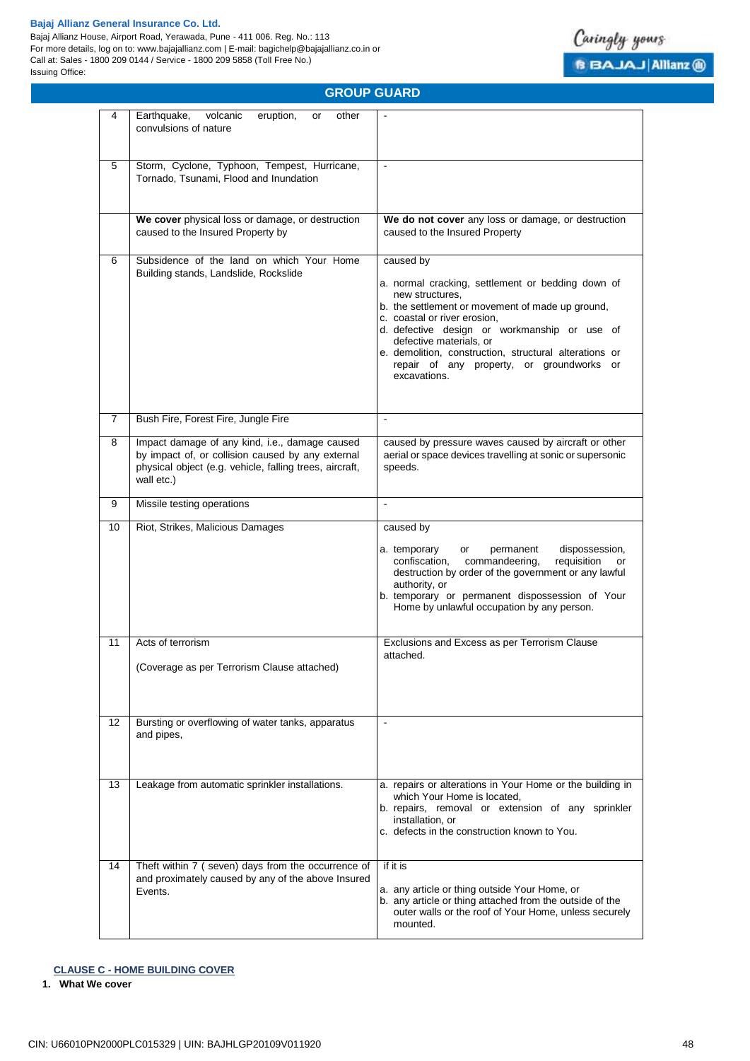Bajaj Allianz House, Airport Road, Yerawada, Pune - 411 006. Reg. No.: 113 For more details, log on to: www.bajajallianz.com | E-mail: bagichelp@bajajallianz.co.in or Call at: Sales - 1800 209 0144 / Service - 1800 209 5858 (Toll Free No.) Issuing Office:



# **GROUP GUARD**

| 4                 | Earthquake,<br>volcanic<br>eruption,<br>other<br>or<br>convulsions of nature                                                                                                 |                                                                                                                                                                                                                                                                                                                                                                         |
|-------------------|------------------------------------------------------------------------------------------------------------------------------------------------------------------------------|-------------------------------------------------------------------------------------------------------------------------------------------------------------------------------------------------------------------------------------------------------------------------------------------------------------------------------------------------------------------------|
| 5                 | Storm, Cyclone, Typhoon, Tempest, Hurricane,<br>Tornado, Tsunami, Flood and Inundation                                                                                       | $\tilde{\phantom{a}}$                                                                                                                                                                                                                                                                                                                                                   |
|                   | We cover physical loss or damage, or destruction<br>caused to the Insured Property by                                                                                        | We do not cover any loss or damage, or destruction<br>caused to the Insured Property                                                                                                                                                                                                                                                                                    |
| 6                 | Subsidence of the land on which Your Home<br>Building stands, Landslide, Rockslide                                                                                           | caused by<br>a. normal cracking, settlement or bedding down of<br>new structures.<br>b. the settlement or movement of made up ground,<br>c. coastal or river erosion,<br>d. defective design or workmanship or use of<br>defective materials, or<br>e. demolition, construction, structural alterations or<br>repair of any property, or groundworks or<br>excavations. |
| 7                 | Bush Fire, Forest Fire, Jungle Fire                                                                                                                                          | $\sim$                                                                                                                                                                                                                                                                                                                                                                  |
| 8                 | Impact damage of any kind, i.e., damage caused<br>by impact of, or collision caused by any external<br>physical object (e.g. vehicle, falling trees, aircraft,<br>wall etc.) | caused by pressure waves caused by aircraft or other<br>aerial or space devices travelling at sonic or supersonic<br>speeds.                                                                                                                                                                                                                                            |
| 9                 | Missile testing operations                                                                                                                                                   |                                                                                                                                                                                                                                                                                                                                                                         |
| 10                | Riot, Strikes, Malicious Damages                                                                                                                                             | caused by<br>a. temporary<br>dispossession,<br>or<br>permanent<br>confiscation,<br>commandeering,<br>requisition<br>or<br>destruction by order of the government or any lawful<br>authority, or<br>b. temporary or permanent dispossession of Your<br>Home by unlawful occupation by any person.                                                                        |
| 11                | Acts of terrorism<br>(Coverage as per Terrorism Clause attached)                                                                                                             | Exclusions and Excess as per Terrorism Clause<br>attached.                                                                                                                                                                                                                                                                                                              |
| $12 \overline{ }$ | Bursting or overflowing of water tanks, apparatus<br>and pipes,                                                                                                              | $\sim$                                                                                                                                                                                                                                                                                                                                                                  |
| 13                | Leakage from automatic sprinkler installations.                                                                                                                              | a. repairs or alterations in Your Home or the building in<br>which Your Home is located,<br>b. repairs, removal or extension of any sprinkler<br>installation, or<br>c. defects in the construction known to You.                                                                                                                                                       |
| 14                | Theft within 7 (seven) days from the occurrence of<br>and proximately caused by any of the above Insured<br>Events.                                                          | if it is<br>a. any article or thing outside Your Home, or<br>b. any article or thing attached from the outside of the<br>outer walls or the roof of Your Home, unless securely<br>mounted.                                                                                                                                                                              |

# <span id="page-47-0"></span>**CLAUSE C - HOME BUILDING COVER**

**1. What We cover**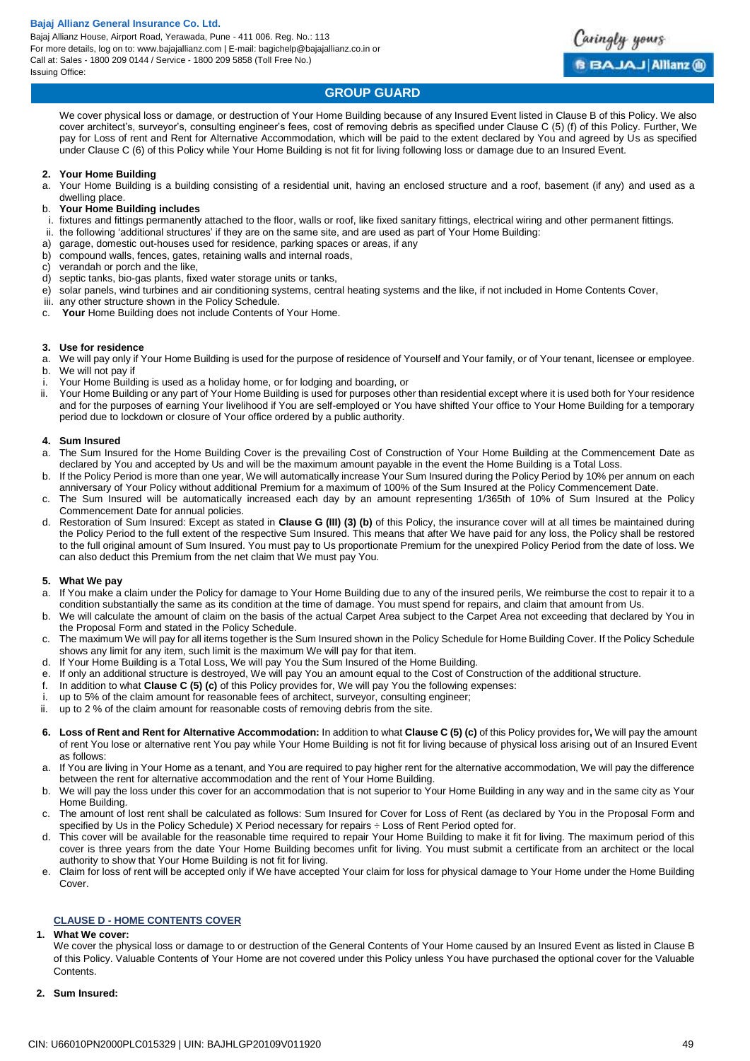

# **GROUP GUARD**

We cover physical loss or damage, or destruction of Your Home Building because of any Insured Event listed in Clause B of this Policy. We also cover architect's, surveyor's, consulting engineer's fees, cost of removing debris as specified under Clause C (5) (f) of this Policy. Further, We pay for Loss of rent and Rent for Alternative Accommodation, which will be paid to the extent declared by You and agreed by Us as specified under Clause C (6) of this Policy while Your Home Building is not fit for living following loss or damage due to an Insured Event.

#### **2. Your Home Building**

a. Your Home Building is a building consisting of a residential unit, having an enclosed structure and a roof, basement (if any) and used as a dwelling place.

### b. **Your Home Building includes**

- i. fixtures and fittings permanently attached to the floor, walls or roof, like fixed sanitary fittings, electrical wiring and other permanent fittings.
- ii. the following 'additional structures' if they are on the same site, and are used as part of Your Home Building:
- a) garage, domestic out-houses used for residence, parking spaces or areas, if any
- b) compound walls, fences, gates, retaining walls and internal roads,
- c) verandah or porch and the like,
- d) septic tanks, bio-gas plants, fixed water storage units or tanks,
- e) solar panels, wind turbines and air conditioning systems, central heating systems and the like, if not included in Home Contents Cover,
- iii. any other structure shown in the Policy Schedule.
- c. **Your** Home Building does not include Contents of Your Home.

#### **3. Use for residence**

- a. We will pay only if Your Home Building is used for the purpose of residence of Yourself and Your family, or of Your tenant, licensee or employee. b. We will not pay if
- Your Home Building is used as a holiday home, or for lodging and boarding, or
- ii. Your Home Building or any part of Your Home Building is used for purposes other than residential except where it is used both for Your residence and for the purposes of earning Your livelihood if You are self-employed or You have shifted Your office to Your Home Building for a temporary period due to lockdown or closure of Your office ordered by a public authority.

#### **4. Sum Insured**

- a. The Sum Insured for the Home Building Cover is the prevailing Cost of Construction of Your Home Building at the Commencement Date as declared by You and accepted by Us and will be the maximum amount payable in the event the Home Building is a Total Loss.
- b. If the Policy Period is more than one year, We will automatically increase Your Sum Insured during the Policy Period by 10% per annum on each anniversary of Your Policy without additional Premium for a maximum of 100% of the Sum Insured at the Policy Commencement Date.
- c. The Sum Insured will be automatically increased each day by an amount representing 1/365th of 10% of Sum Insured at the Policy Commencement Date for annual policies.
- d. Restoration of Sum Insured: Except as stated in **Clause G (III) (3) (b)** of this Policy, the insurance cover will at all times be maintained during the Policy Period to the full extent of the respective Sum Insured. This means that after We have paid for any loss, the Policy shall be restored to the full original amount of Sum Insured. You must pay to Us proportionate Premium for the unexpired Policy Period from the date of loss. We can also deduct this Premium from the net claim that We must pay You.

# **5. What We pay**

- a. If You make a claim under the Policy for damage to Your Home Building due to any of the insured perils, We reimburse the cost to repair it to a condition substantially the same as its condition at the time of damage. You must spend for repairs, and claim that amount from Us.
- b. We will calculate the amount of claim on the basis of the actual Carpet Area subject to the Carpet Area not exceeding that declared by You in the Proposal Form and stated in the Policy Schedule.
- c. The maximum We will pay for all items together is the Sum Insured shown in the Policy Schedule for Home Building Cover. If the Policy Schedule shows any limit for any item, such limit is the maximum We will pay for that item.
- d. If Your Home Building is a Total Loss, We will pay You the Sum Insured of the Home Building.
- e. If only an additional structure is destroyed, We will pay You an amount equal to the Cost of Construction of the additional structure.
- f. In addition to what **Clause C (5) (c)** of this Policy provides for, We will pay You the following expenses:
- i. up to 5% of the claim amount for reasonable fees of architect, surveyor, consulting engineer;
- ii. up to 2 % of the claim amount for reasonable costs of removing debris from the site.
- **6. Loss of Rent and Rent for Alternative Accommodation:** In addition to what **Clause C (5) (c)** of this Policy provides for**,** We will pay the amount of rent You lose or alternative rent You pay while Your Home Building is not fit for living because of physical loss arising out of an Insured Event as follows:
- a. If You are living in Your Home as a tenant, and You are required to pay higher rent for the alternative accommodation, We will pay the difference between the rent for alternative accommodation and the rent of Your Home Building.
- b. We will pay the loss under this cover for an accommodation that is not superior to Your Home Building in any way and in the same city as Your Home Building.
- c. The amount of lost rent shall be calculated as follows: Sum Insured for Cover for Loss of Rent (as declared by You in the Proposal Form and specified by Us in the Policy Schedule) X Period necessary for repairs ÷ Loss of Rent Period opted for.
- d. This cover will be available for the reasonable time required to repair Your Home Building to make it fit for living. The maximum period of this cover is three years from the date Your Home Building becomes unfit for living. You must submit a certificate from an architect or the local authority to show that Your Home Building is not fit for living.
- <span id="page-48-0"></span>e. Claim for loss of rent will be accepted only if We have accepted Your claim for loss for physical damage to Your Home under the Home Building Cover.

#### **CLAUSE D - HOME CONTENTS COVER**

#### **1. What We cover:**

We cover the physical loss or damage to or destruction of the General Contents of Your Home caused by an Insured Event as listed in Clause B of this Policy. Valuable Contents of Your Home are not covered under this Policy unless You have purchased the optional cover for the Valuable Contents.

**2. Sum Insured:**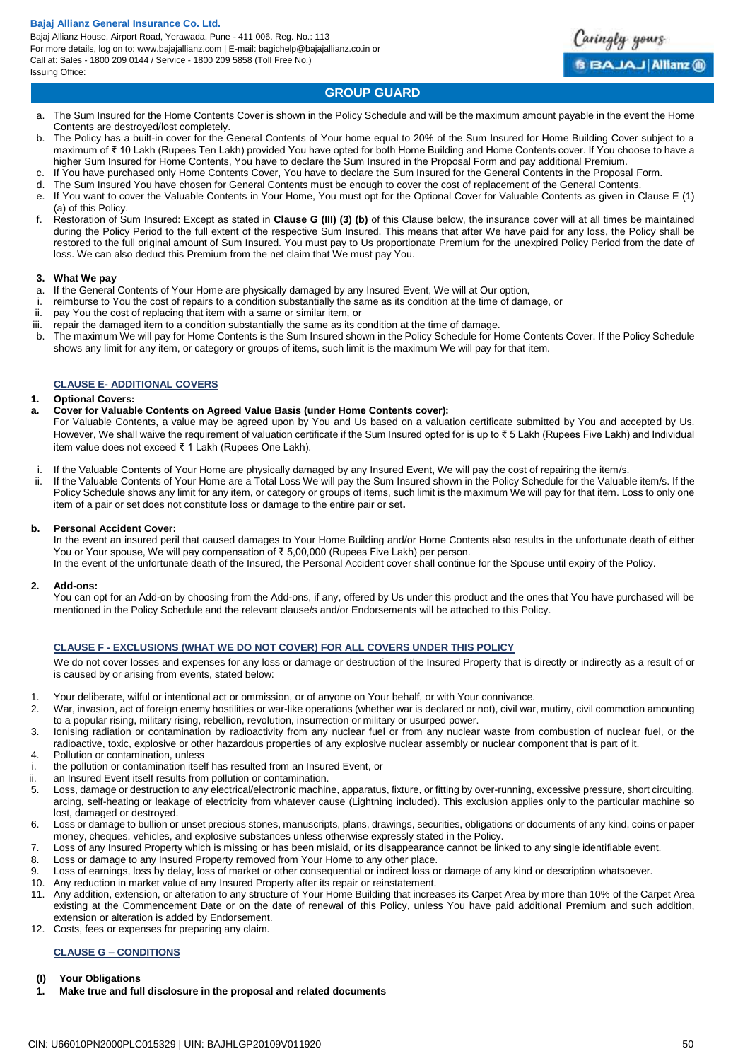Bajaj Allianz House, Airport Road, Yerawada, Pune - 411 006. Reg. No.: 113 For more details, log on to: www.bajajallianz.com | E-mail: bagichelp@bajajallianz.co.in or Call at: Sales - 1800 209 0144 / Service - 1800 209 5858 (Toll Free No.) Issuing Office:



# **GROUP GUARD**

- a. The Sum Insured for the Home Contents Cover is shown in the Policy Schedule and will be the maximum amount payable in the event the Home Contents are destroyed/lost completely.
- b. The Policy has a built-in cover for the General Contents of Your home equal to 20% of the Sum Insured for Home Building Cover subject to a maximum of ₹ 10 Lakh (Rupees Ten Lakh) provided You have opted for both Home Building and Home Contents cover. If You choose to have a higher Sum Insured for Home Contents, You have to declare the Sum Insured in the Proposal Form and pay additional Premium.
- c. If You have purchased only Home Contents Cover, You have to declare the Sum Insured for the General Contents in the Proposal Form.
- d. The Sum Insured You have chosen for General Contents must be enough to cover the cost of replacement of the General Contents. e. If You want to cover the Valuable Contents in Your Home, You must opt for the Optional Cover for Valuable Contents as given in Clause E (1)
- (a) of this Policy.
- f. Restoration of Sum Insured: Except as stated in **Clause G (III) (3) (b)** of this Clause below, the insurance cover will at all times be maintained during the Policy Period to the full extent of the respective Sum Insured. This means that after We have paid for any loss, the Policy shall be restored to the full original amount of Sum Insured. You must pay to Us proportionate Premium for the unexpired Policy Period from the date of loss. We can also deduct this Premium from the net claim that We must pay You.

#### **3. What We pay**

- a. If the General Contents of Your Home are physically damaged by any Insured Event, We will at Our option,
- i. reimburse to You the cost of repairs to a condition substantially the same as its condition at the time of damage, or
- ii. pay You the cost of replacing that item with a same or similar item, or
- iii. repair the damaged item to a condition substantially the same as its condition at the time of damage.
- b. The maximum We will pay for Home Contents is the Sum Insured shown in the Policy Schedule for Home Contents Cover. If the Policy Schedule shows any limit for any item, or category or groups of items, such limit is the maximum We will pay for that item.

# <span id="page-49-0"></span>**CLAUSE E- ADDITIONAL COVERS**

#### **1. Optional Covers:**

**a. Cover for Valuable Contents on Agreed Value Basis (under Home Contents cover):** 

For Valuable Contents, a value may be agreed upon by You and Us based on a valuation certificate submitted by You and accepted by Us. However, We shall waive the requirement of valuation certificate if the Sum Insured opted for is up to ₹ 5 Lakh (Rupees Five Lakh) and Individual item value does not exceed ₹ 1 Lakh (Rupees One Lakh).

i. If the Valuable Contents of Your Home are physically damaged by any Insured Event, We will pay the cost of repairing the item/s.<br>If the Valuable Contents of Your Home are a Total Loss We will pay the Sum Insured shown i

If the Valuable Contents of Your Home are a Total Loss We will pay the Sum Insured shown in the Policy Schedule for the Valuable item/s. If the Policy Schedule shows any limit for any item, or category or groups of items, such limit is the maximum We will pay for that item. Loss to only one item of a pair or set does not constitute loss or damage to the entire pair or set**.** 

#### **b. Personal Accident Cover:**

In the event an insured peril that caused damages to Your Home Building and/or Home Contents also results in the unfortunate death of either You or Your spouse, We will pay compensation of ₹ 5,00,000 (Rupees Five Lakh) per person.

In the event of the unfortunate death of the Insured, the Personal Accident cover shall continue for the Spouse until expiry of the Policy.

#### **2. Add-ons:**

You can opt for an Add-on by choosing from the Add-ons, if any, offered by Us under this product and the ones that You have purchased will be mentioned in the Policy Schedule and the relevant clause/s and/or Endorsements will be attached to this Policy.

#### <span id="page-49-1"></span>**CLAUSE F - EXCLUSIONS (WHAT WE DO NOT COVER) FOR ALL COVERS UNDER THIS POLICY**

We do not cover losses and expenses for any loss or damage or destruction of the Insured Property that is directly or indirectly as a result of or is caused by or arising from events, stated below:

- 1. Your deliberate, wilful or intentional act or ommission, or of anyone on Your behalf, or with Your connivance.
- 2. War, invasion, act of foreign enemy hostilities or war-like operations (whether war is declared or not), civil war, mutiny, civil commotion amounting to a popular rising, military rising, rebellion, revolution, insurrection or military or usurped power.
- 3. Ionising radiation or contamination by radioactivity from any nuclear fuel or from any nuclear waste from combustion of nuclear fuel, or the radioactive, toxic, explosive or other hazardous properties of any explosive nuclear assembly or nuclear component that is part of it.
- 4. Pollution or contamination, unless
- i. the pollution or contamination itself has resulted from an Insured Event, or ii. an Insured Event itself results from pollution or contamination.
- an Insured Event itself results from pollution or contamination.
- 5. Loss, damage or destruction to any electrical/electronic machine, apparatus, fixture, or fitting by over-running, excessive pressure, short circuiting, arcing, self-heating or leakage of electricity from whatever cause (Lightning included). This exclusion applies only to the particular machine so lost, damaged or destroyed.
- 6. Loss or damage to bullion or unset precious stones, manuscripts, plans, drawings, securities, obligations or documents of any kind, coins or paper money, cheques, vehicles, and explosive substances unless otherwise expressly stated in the Policy.
- 7. Loss of any Insured Property which is missing or has been mislaid, or its disappearance cannot be linked to any single identifiable event.<br>8. Loss or damage to any Insured Property removed from Your Home to any other pl
- Loss or damage to any Insured Property removed from Your Home to any other place.
- 9. Loss of earnings, loss by delay, loss of market or other consequential or indirect loss or damage of any kind or description whatsoever.
- 10. Any reduction in market value of any Insured Property after its repair or reinstatement.
- 11. Any addition, extension, or alteration to any structure of Your Home Building that increases its Carpet Area by more than 10% of the Carpet Area existing at the Commencement Date or on the date of renewal of this Policy, unless You have paid additional Premium and such addition, extension or alteration is added by Endorsement.
- 12. Costs, fees or expenses for preparing any claim.

# <span id="page-49-2"></span>**CLAUSE G – CONDITIONS**

#### **(I) Your Obligations**

**1. Make true and full disclosure in the proposal and related documents**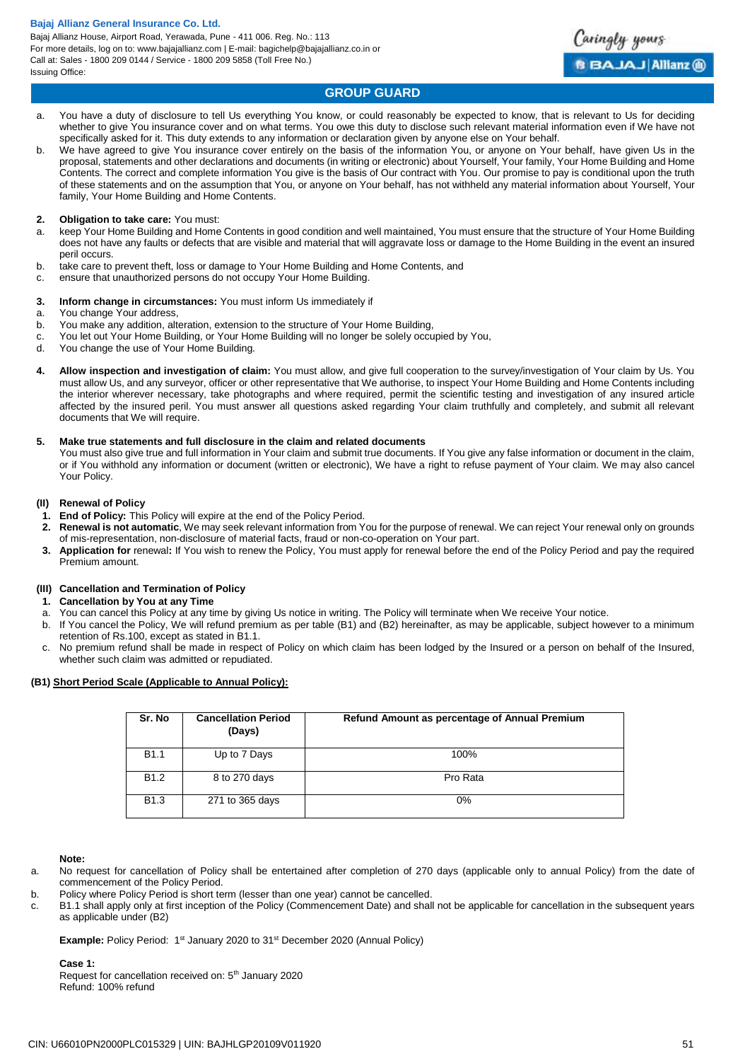Bajaj Allianz House, Airport Road, Yerawada, Pune - 411 006. Reg. No.: 113 For more details, log on to: www.bajajallianz.com | E-mail: bagichelp@bajajallianz.co.in or Call at: Sales - 1800 209 0144 / Service - 1800 209 5858 (Toll Free No.) Issuing Office:



# **GROUP GUARD**

- a. You have a duty of disclosure to tell Us everything You know, or could reasonably be expected to know, that is relevant to Us for deciding whether to give You insurance cover and on what terms. You owe this duty to disclose such relevant material information even if We have not specifically asked for it. This duty extends to any information or declaration given by anyone else on Your behalf.
- b. We have agreed to give You insurance cover entirely on the basis of the information You, or anyone on Your behalf, have given Us in the proposal, statements and other declarations and documents (in writing or electronic) about Yourself, Your family, Your Home Building and Home Contents. The correct and complete information You give is the basis of Our contract with You. Our promise to pay is conditional upon the truth of these statements and on the assumption that You, or anyone on Your behalf, has not withheld any material information about Yourself, Your family, Your Home Building and Home Contents.

#### **2. Obligation to take care:** You must:

- a. keep Your Home Building and Home Contents in good condition and well maintained, You must ensure that the structure of Your Home Building does not have any faults or defects that are visible and material that will aggravate loss or damage to the Home Building in the event an insured peril occurs.
- b. take care to prevent theft, loss or damage to Your Home Building and Home Contents, and
- c. ensure that unauthorized persons do not occupy Your Home Building.

#### **3. Inform change in circumstances:** You must inform Us immediately if

- a. You change Your address,
- b. You make any addition, alteration, extension to the structure of Your Home Building,
- c. You let out Your Home Building, or Your Home Building will no longer be solely occupied by You,
- d. You change the use of Your Home Building.
- **4. Allow inspection and investigation of claim:** You must allow, and give full cooperation to the survey/investigation of Your claim by Us. You must allow Us, and any surveyor, officer or other representative that We authorise, to inspect Your Home Building and Home Contents including the interior wherever necessary, take photographs and where required, permit the scientific testing and investigation of any insured article affected by the insured peril. You must answer all questions asked regarding Your claim truthfully and completely, and submit all relevant documents that We will require.

#### **5. Make true statements and full disclosure in the claim and related documents**

You must also give true and full information in Your claim and submit true documents. If You give any false information or document in the claim, or if You withhold any information or document (written or electronic), We have a right to refuse payment of Your claim. We may also cancel Your Policy.

### **(II) Renewal of Policy**

- **1. End of Policy:** This Policy will expire at the end of the Policy Period.
- **2. Renewal is not automatic**, We may seek relevant information from You for the purpose of renewal. We can reject Your renewal only on grounds of mis-representation, non-disclosure of material facts, fraud or non-co-operation on Your part.
- **3. Application for** renewal**:** If You wish to renew the Policy, You must apply for renewal before the end of the Policy Period and pay the required Premium amount.

#### **(III) Cancellation and Termination of Policy**

- **1. Cancellation by You at any Time**
- a. You can cancel this Policy at any time by giving Us notice in writing. The Policy will terminate when We receive Your notice.
- b. If You cancel the Policy, We will refund premium as per table (B1) and (B2) hereinafter, as may be applicable, subject however to a minimum retention of Rs.100, except as stated in B1.1.
- c. No premium refund shall be made in respect of Policy on which claim has been lodged by the Insured or a person on behalf of the Insured, whether such claim was admitted or repudiated.

#### **(B1) Short Period Scale (Applicable to Annual Policy):**

| Sr. No           | <b>Cancellation Period</b><br>(Days) | Refund Amount as percentage of Annual Premium |
|------------------|--------------------------------------|-----------------------------------------------|
| <b>B1.1</b>      | Up to 7 Days                         | 100%                                          |
| B <sub>1.2</sub> | 8 to 270 days                        | Pro Rata                                      |
| <b>B1.3</b>      | 271 to 365 days                      | $0\%$                                         |

#### **Note:**

- a. No request for cancellation of Policy shall be entertained after completion of 270 days (applicable only to annual Policy) from the date of commencement of the Policy Period.
- b. Policy where Policy Period is short term (lesser than one year) cannot be cancelled.
- c. B1.1 shall apply only at first inception of the Policy (Commencement Date) and shall not be applicable for cancellation in the subsequent years as applicable under (B2)

**Example:** Policy Period: 1<sup>st</sup> January 2020 to 31<sup>st</sup> December 2020 (Annual Policy)

**Case 1:** Request for cancellation received on: 5<sup>th</sup> January 2020 Refund: 100% refund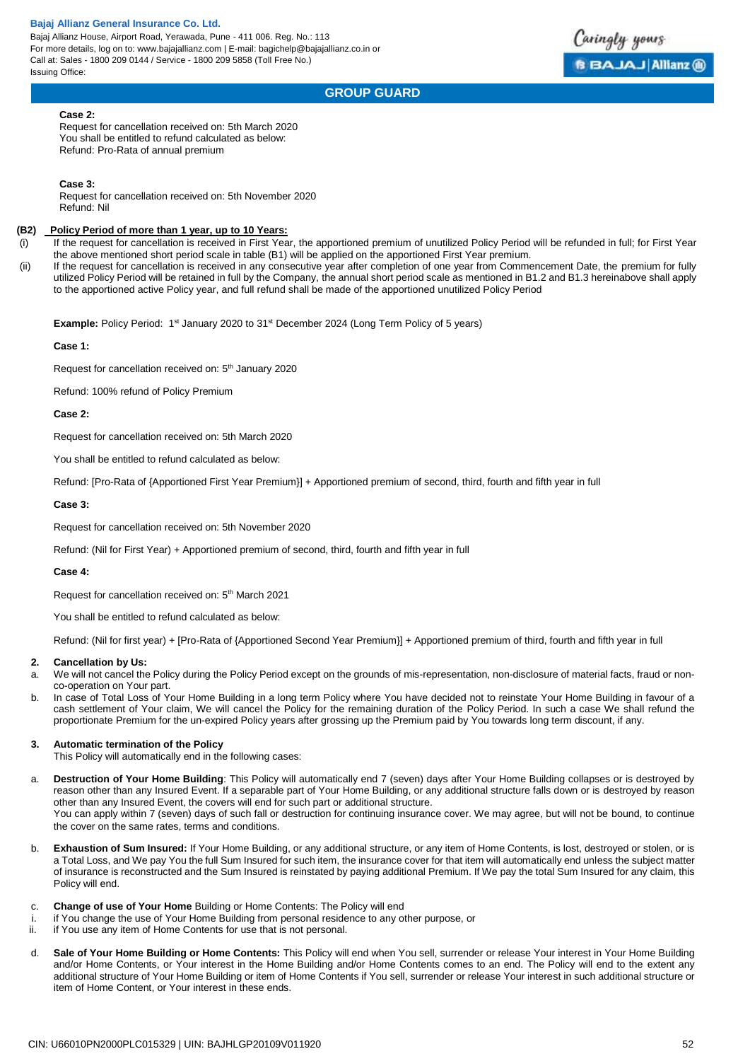Bajaj Allianz House, Airport Road, Yerawada, Pune - 411 006. Reg. No.: 113 For more details, log on to: www.bajajallianz.com | E-mail: bagichelp@bajajallianz.co.in or Call at: Sales - 1800 209 0144 / Service - 1800 209 5858 (Toll Free No.) Issuing Office:

# aringly yours **BBAJAJ Allianz ®**

# **GROUP GUARD**

#### **Case 2:**

Request for cancellation received on: 5th March 2020 You shall be entitled to refund calculated as below: Refund: Pro-Rata of annual premium

#### **Case 3:**

Request for cancellation received on: 5th November 2020 Refund: Nil

#### **(B2) Policy Period of more than 1 year, up to 10 Years:**

- (i) If the request for cancellation is received in First Year, the apportioned premium of unutilized Policy Period will be refunded in full; for First Year the above mentioned short period scale in table (B1) will be applied on the apportioned First Year premium.
- (ii) If the request for cancellation is received in any consecutive year after completion of one year from Commencement Date, the premium for fully utilized Policy Period will be retained in full by the Company, the annual short period scale as mentioned in B1.2 and B1.3 hereinabove shall apply to the apportioned active Policy year, and full refund shall be made of the apportioned unutilized Policy Period

**Example:** Policy Period: 1<sup>st</sup> January 2020 to 31<sup>st</sup> December 2024 (Long Term Policy of 5 years)

#### **Case 1:**

Request for cancellation received on: 5<sup>th</sup> January 2020

Refund: 100% refund of Policy Premium

#### **Case 2:**

Request for cancellation received on: 5th March 2020

You shall be entitled to refund calculated as below:

Refund: [Pro-Rata of {Apportioned First Year Premium}] + Apportioned premium of second, third, fourth and fifth year in full

#### **Case 3:**

Request for cancellation received on: 5th November 2020

Refund: (Nil for First Year) + Apportioned premium of second, third, fourth and fifth year in full

#### **Case 4:**

Request for cancellation received on: 5th March 2021

You shall be entitled to refund calculated as below:

Refund: (Nil for first year) + [Pro-Rata of {Apportioned Second Year Premium}] + Apportioned premium of third, fourth and fifth year in full

#### **2. Cancellation by Us:**

- a. We will not cancel the Policy during the Policy Period except on the grounds of mis-representation, non-disclosure of material facts, fraud or nonco-operation on Your part.
- b. In case of Total Loss of Your Home Building in a long term Policy where You have decided not to reinstate Your Home Building in favour of a cash settlement of Your claim, We will cancel the Policy for the remaining duration of the Policy Period. In such a case We shall refund the proportionate Premium for the un-expired Policy years after grossing up the Premium paid by You towards long term discount, if any.

#### **3. Automatic termination of the Policy**

This Policy will automatically end in the following cases:

a. **Destruction of Your Home Building**: This Policy will automatically end 7 (seven) days after Your Home Building collapses or is destroyed by reason other than any Insured Event. If a separable part of Your Home Building, or any additional structure falls down or is destroyed by reason other than any Insured Event, the covers will end for such part or additional structure. You can apply within 7 (seven) days of such fall or destruction for continuing insurance cover. We may agree, but will not be bound, to continue

the cover on the same rates, terms and conditions.

- b. **Exhaustion of Sum Insured:** If Your Home Building, or any additional structure, or any item of Home Contents, is lost, destroyed or stolen, or is a Total Loss, and We pay You the full Sum Insured for such item, the insurance cover for that item will automatically end unless the subject matter of insurance is reconstructed and the Sum Insured is reinstated by paying additional Premium. If We pay the total Sum Insured for any claim, this Policy will end.
- c. **Change of use of Your Home** Building or Home Contents: The Policy will end
- if You change the use of Your Home Building from personal residence to any other purpose, or
- ii. if You use any item of Home Contents for use that is not personal.
- d. **Sale of Your Home Building or Home Contents:** This Policy will end when You sell, surrender or release Your interest in Your Home Building and/or Home Contents, or Your interest in the Home Building and/or Home Contents comes to an end. The Policy will end to the extent any additional structure of Your Home Building or item of Home Contents if You sell, surrender or release Your interest in such additional structure or item of Home Content, or Your interest in these ends.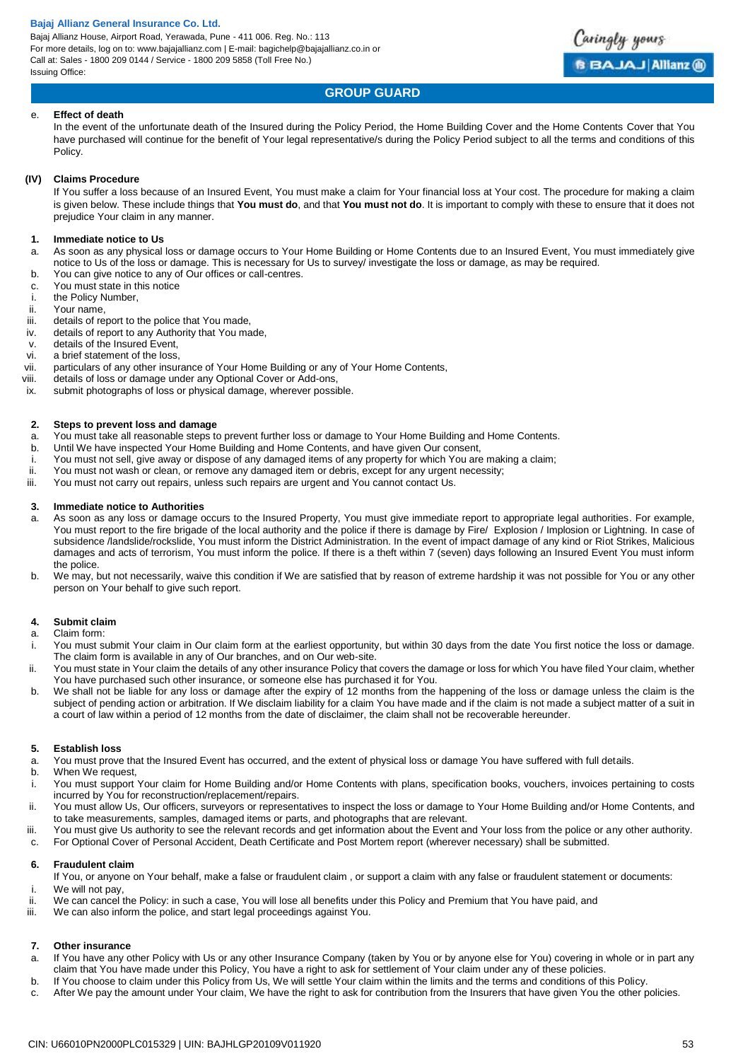Bajaj Allianz House, Airport Road, Yerawada, Pune - 411 006. Reg. No.: 113 For more details, log on to: www.bajajallianz.com | E-mail: bagichelp@bajajallianz.co.in or Call at: Sales - 1800 209 0144 / Service - 1800 209 5858 (Toll Free No.) Issuing Office:



# **GROUP GUARD**

#### e. **Effect of death**

In the event of the unfortunate death of the Insured during the Policy Period, the Home Building Cover and the Home Contents Cover that You have purchased will continue for the benefit of Your legal representative/s during the Policy Period subject to all the terms and conditions of this Policy.

#### **(IV) Claims Procedure**

If You suffer a loss because of an Insured Event, You must make a claim for Your financial loss at Your cost. The procedure for making a claim is given below. These include things that **You must do**, and that **You must not do**. It is important to comply with these to ensure that it does not prejudice Your claim in any manner.

#### **1. Immediate notice to Us**

- a. As soon as any physical loss or damage occurs to Your Home Building or Home Contents due to an Insured Event, You must immediately give notice to Us of the loss or damage. This is necessary for Us to survey/ investigate the loss or damage, as may be required.
- b. You can give notice to any of Our offices or call-centres.
- c. You must state in this notice
- i. the Policy Number,
- ii. Your name,
- iii. details of report to the police that You made,
- iv. details of report to any Authority that You made,
- v. details of the Insured Event,
- vi. a brief statement of the loss,
- vii. particulars of any other insurance of Your Home Building or any of Your Home Contents,
- viii. details of loss or damage under any Optional Cover or Add-ons,
- ix. submit photographs of loss or physical damage, wherever possible.

#### **2. Steps to prevent loss and damage**

- a. You must take all reasonable steps to prevent further loss or damage to Your Home Building and Home Contents.
- b. Until We have inspected Your Home Building and Home Contents, and have given Our consent,
- i. You must not sell, give away or dispose of any damaged items of any property for which You are making a claim;<br>ii. You must not wash or clean, or remove any damaged item or debris, except for any urgent necessity:
- You must not wash or clean, or remove any damaged item or debris, except for any urgent necessity;
- iii. You must not carry out repairs, unless such repairs are urgent and You cannot contact Us.

#### **3. Immediate notice to Authorities**

- a. As soon as any loss or damage occurs to the Insured Property, You must give immediate report to appropriate legal authorities. For example, You must report to the fire brigade of the local authority and the police if there is damage by Fire/ Explosion / Implosion or Lightning. In case of subsidence /landslide/rockslide, You must inform the District Administration. In the event of impact damage of any kind or Riot Strikes, Malicious damages and acts of terrorism, You must inform the police. If there is a theft within 7 (seven) days following an Insured Event You must inform the police.
- b. We may, but not necessarily, waive this condition if We are satisfied that by reason of extreme hardship it was not possible for You or any other person on Your behalf to give such report.

# **4. Submit claim**

# a. Claim form:

- i. You must submit Your claim in Our claim form at the earliest opportunity, but within 30 days from the date You first notice the loss or damage. The claim form is available in any of Our branches, and on Our web-site.
- ii. You must state in Your claim the details of any other insurance Policy that covers the damage or loss for which You have filed Your claim, whether You have purchased such other insurance, or someone else has purchased it for You.
- b. We shall not be liable for any loss or damage after the expiry of 12 months from the happening of the loss or damage unless the claim is the subject of pending action or arbitration. If We disclaim liability for a claim You have made and if the claim is not made a subject matter of a suit in a court of law within a period of 12 months from the date of disclaimer, the claim shall not be recoverable hereunder.

#### **5. Establish loss**

- a. You must prove that the Insured Event has occurred, and the extent of physical loss or damage You have suffered with full details.
- b. When We request.
- i. You must support Your claim for Home Building and/or Home Contents with plans, specification books, vouchers, invoices pertaining to costs incurred by You for reconstruction/replacement/repairs.
- ii. You must allow Us, Our officers, surveyors or representatives to inspect the loss or damage to Your Home Building and/or Home Contents, and to take measurements, samples, damaged items or parts, and photographs that are relevant.
- iii. You must give Us authority to see the relevant records and get information about the Event and Your loss from the police or any other authority.
- c. For Optional Cover of Personal Accident, Death Certificate and Post Mortem report (wherever necessary) shall be submitted.

#### **6. Fraudulent claim**

- If You, or anyone on Your behalf, make a false or fraudulent claim , or support a claim with any false or fraudulent statement or documents: i. We will not pay,
- ii. We can cancel the Policy: in such a case, You will lose all benefits under this Policy and Premium that You have paid, and
- iii. We can also inform the police, and start legal proceedings against You.

#### **7. Other insurance**

- a. If You have any other Policy with Us or any other Insurance Company (taken by You or by anyone else for You) covering in whole or in part any claim that You have made under this Policy, You have a right to ask for settlement of Your claim under any of these policies.
- b. If You choose to claim under this Policy from Us, We will settle Your claim within the limits and the terms and conditions of this Policy.
- c. After We pay the amount under Your claim, We have the right to ask for contribution from the Insurers that have given You the other policies.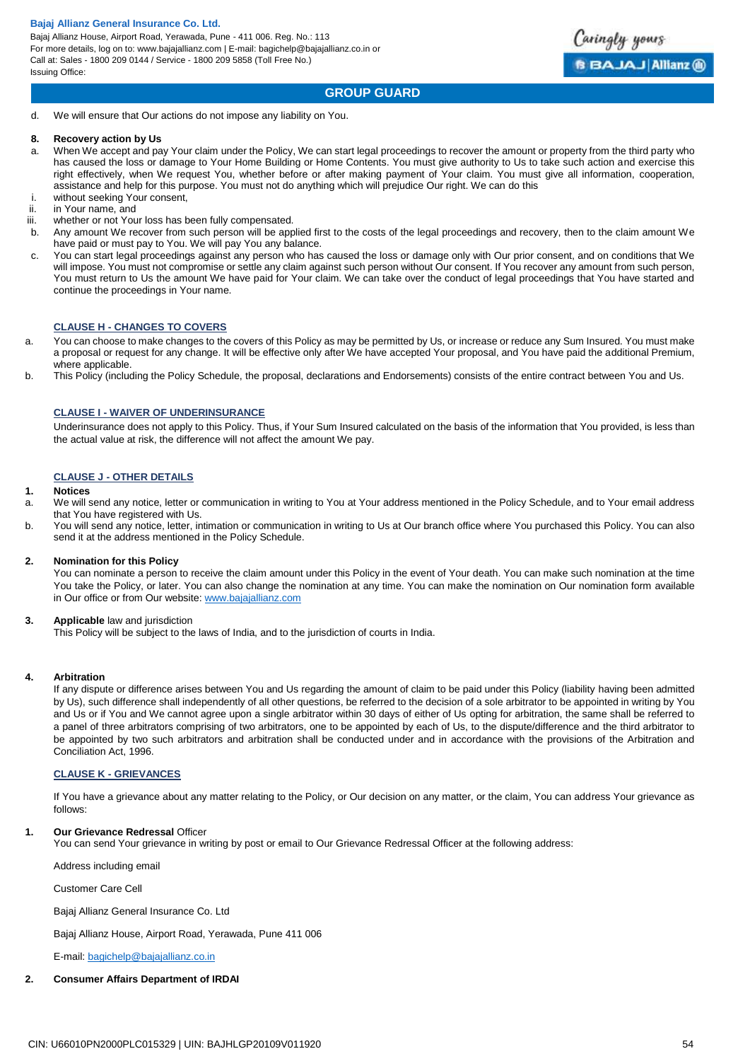Bajaj Allianz House, Airport Road, Yerawada, Pune - 411 006. Reg. No.: 113 For more details, log on to: www.bajajallianz.com | E-mail: bagichelp@bajajallianz.co.in or Call at: Sales - 1800 209 0144 / Service - 1800 209 5858 (Toll Free No.) Issuing Office:



# **GROUP GUARD**

d. We will ensure that Our actions do not impose any liability on You.

#### **8. Recovery action by Us**

- a. When We accept and pay Your claim under the Policy, We can start legal proceedings to recover the amount or property from the third party who has caused the loss or damage to Your Home Building or Home Contents. You must give authority to Us to take such action and exercise this right effectively, when We request You, whether before or after making payment of Your claim. You must give all information, cooperation, assistance and help for this purpose. You must not do anything which will prejudice Our right. We can do this
- i. without seeking Your consent,
- ii. in Your name, and
- iii. whether or not Your loss has been fully compensated.
- b. Any amount We recover from such person will be applied first to the costs of the legal proceedings and recovery, then to the claim amount We have paid or must pay to You. We will pay You any balance.
- c. You can start legal proceedings against any person who has caused the loss or damage only with Our prior consent, and on conditions that We will impose. You must not compromise or settle any claim against such person without Our consent. If You recover any amount from such person, You must return to Us the amount We have paid for Your claim. We can take over the conduct of legal proceedings that You have started and continue the proceedings in Your name.

#### <span id="page-53-0"></span>**CLAUSE H - CHANGES TO COVERS**

- a. You can choose to make changes to the covers of this Policy as may be permitted by Us, or increase or reduce any Sum Insured. You must make a proposal or request for any change. It will be effective only after We have accepted Your proposal, and You have paid the additional Premium, where applicable.
- b. This Policy (including the Policy Schedule, the proposal, declarations and Endorsements) consists of the entire contract between You and Us.

#### <span id="page-53-1"></span>**CLAUSE I - WAIVER OF UNDERINSURANCE**

Underinsurance does not apply to this Policy. Thus, if Your Sum Insured calculated on the basis of the information that You provided, is less than the actual value at risk, the difference will not affect the amount We pay.

#### <span id="page-53-2"></span>**CLAUSE J - OTHER DETAILS**

#### **1. Notices**

- a. We will send any notice, letter or communication in writing to You at Your address mentioned in the Policy Schedule, and to Your email address that You have registered with Us.
- b. You will send any notice, letter, intimation or communication in writing to Us at Our branch office where You purchased this Policy. You can also send it at the address mentioned in the Policy Schedule.

#### **2. Nomination for this Policy**

You can nominate a person to receive the claim amount under this Policy in the event of Your death. You can make such nomination at the time You take the Policy, or later. You can also change the nomination at any time. You can make the nomination on Our nomination form available in Our office or from Our website[: www.bajajallianz.com](http://www.bajajallianz.com/)

#### **3. Applicable** law and jurisdiction

This Policy will be subject to the laws of India, and to the jurisdiction of courts in India.

#### **4. Arbitration**

If any dispute or difference arises between You and Us regarding the amount of claim to be paid under this Policy (liability having been admitted by Us), such difference shall independently of all other questions, be referred to the decision of a sole arbitrator to be appointed in writing by You and Us or if You and We cannot agree upon a single arbitrator within 30 days of either of Us opting for arbitration, the same shall be referred to a panel of three arbitrators comprising of two arbitrators, one to be appointed by each of Us, to the dispute/difference and the third arbitrator to be appointed by two such arbitrators and arbitration shall be conducted under and in accordance with the provisions of the Arbitration and Conciliation Act, 1996.

#### <span id="page-53-3"></span>**CLAUSE K - GRIEVANCES**

If You have a grievance about any matter relating to the Policy, or Our decision on any matter, or the claim, You can address Your grievance as follows:

#### **1. Our Grievance Redressal** Officer

You can send Your grievance in writing by post or email to Our Grievance Redressal Officer at the following address:

Address including email

Customer Care Cell

Bajaj Allianz General Insurance Co. Ltd

Bajaj Allianz House, Airport Road, Yerawada, Pune 411 006

E-mail[: bagichelp@bajajallianz.co.in](mailto:bagichelp@bajajallianz.co.in)

#### **2. Consumer Affairs Department of IRDAI**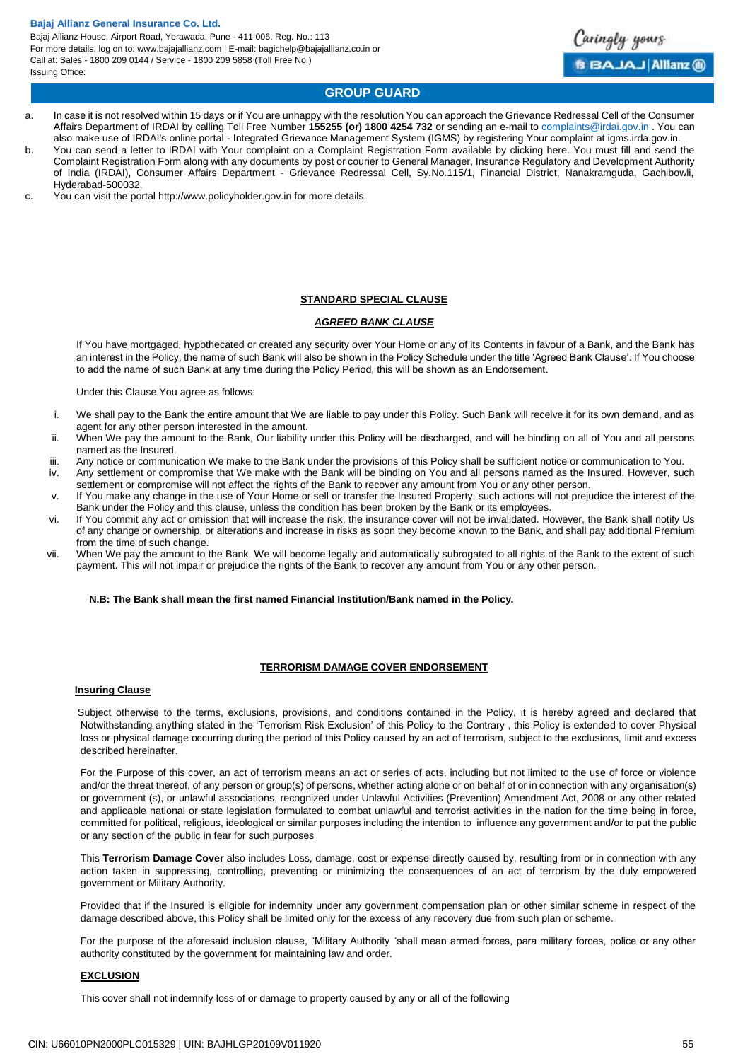Bajaj Allianz House, Airport Road, Yerawada, Pune - 411 006. Reg. No.: 113 For more details, log on to: www.bajajallianz.com | E-mail: bagichelp@bajajallianz.co.in or Call at: Sales - 1800 209 0144 / Service - 1800 209 5858 (Toll Free No.) Issuing Office:



# **GROUP GUARD**

- a. In case it is not resolved within 15 days or if You are unhappy with the resolution You can approach the Grievance Redressal Cell of the Consumer Affairs Department of IRDAI by calling Toll Free Number **155255 (or) 1800 4254 732** or sending an e-mail to [complaints@irdai.gov.in](mailto:complaints@irdai.gov.in) . You can also make use of IRDAI's online portal - Integrated Grievance Management System (IGMS) by registering Your complaint at igms.irda.gov.in.
- b. You can send a letter to IRDAI with Your complaint on a Complaint Registration Form available by clicking here. You must fill and send the Complaint Registration Form along with any documents by post or courier to General Manager, Insurance Regulatory and Development Authority of India (IRDAI), Consumer Affairs Department - Grievance Redressal Cell, Sy.No.115/1, Financial District, Nanakramguda, Gachibowli, Hyderabad-500032.
- c. You can visit the portal http://www.policyholder.gov.in for more details.

#### **STANDARD SPECIAL CLAUSE**

### *AGREED BANK CLAUSE*

If You have mortgaged, hypothecated or created any security over Your Home or any of its Contents in favour of a Bank, and the Bank has an interest in the Policy, the name of such Bank will also be shown in the Policy Schedule under the title 'Agreed Bank Clause'. If You choose to add the name of such Bank at any time during the Policy Period, this will be shown as an Endorsement.

Under this Clause You agree as follows:

- i. We shall pay to the Bank the entire amount that We are liable to pay under this Policy. Such Bank will receive it for its own demand, and as agent for any other person interested in the amount.
- ii. When We pay the amount to the Bank, Our liability under this Policy will be discharged, and will be binding on all of You and all persons named as the Insured.
- iii. Any notice or communication We make to the Bank under the provisions of this Policy shall be sufficient notice or communication to You. iv. Any settlement or compromise that We make with the Bank will be binding on You and all persons named as the Insured. However, such
- settlement or compromise will not affect the rights of the Bank to recover any amount from You or any other person. v. If You make any change in the use of Your Home or sell or transfer the Insured Property, such actions will not prejudice the interest of the
- Bank under the Policy and this clause, unless the condition has been broken by the Bank or its employees. vi. If You commit any act or omission that will increase the risk, the insurance cover will not be invalidated. However, the Bank shall notify Us
- of any change or ownership, or alterations and increase in risks as soon they become known to the Bank, and shall pay additional Premium from the time of such change.
- vii. When We pay the amount to the Bank, We will become legally and automatically subrogated to all rights of the Bank to the extent of such payment. This will not impair or prejudice the rights of the Bank to recover any amount from You or any other person.

#### **N.B: The Bank shall mean the first named Financial Institution/Bank named in the Policy.**

#### **TERRORISM DAMAGE COVER ENDORSEMENT**

#### **Insuring Clause**

Subject otherwise to the terms, exclusions, provisions, and conditions contained in the Policy, it is hereby agreed and declared that Notwithstanding anything stated in the 'Terrorism Risk Exclusion' of this Policy to the Contrary , this Policy is extended to cover Physical loss or physical damage occurring during the period of this Policy caused by an act of terrorism, subject to the exclusions, limit and excess described hereinafter.

For the Purpose of this cover, an act of terrorism means an act or series of acts, including but not limited to the use of force or violence and/or the threat thereof, of any person or group(s) of persons, whether acting alone or on behalf of or in connection with any organisation(s) or government (s), or unlawful associations, recognized under Unlawful Activities (Prevention) Amendment Act, 2008 or any other related and applicable national or state legislation formulated to combat unlawful and terrorist activities in the nation for the time being in force, committed for political, religious, ideological or similar purposes including the intention to influence any government and/or to put the public or any section of the public in fear for such purposes

This **Terrorism Damage Cover** also includes Loss, damage, cost or expense directly caused by, resulting from or in connection with any action taken in suppressing, controlling, preventing or minimizing the consequences of an act of terrorism by the duly empowered government or Military Authority.

Provided that if the Insured is eligible for indemnity under any government compensation plan or other similar scheme in respect of the damage described above, this Policy shall be limited only for the excess of any recovery due from such plan or scheme.

For the purpose of the aforesaid inclusion clause, "Military Authority "shall mean armed forces, para military forces, police or any other authority constituted by the government for maintaining law and order.

#### **EXCLUSION**

This cover shall not indemnify loss of or damage to property caused by any or all of the following